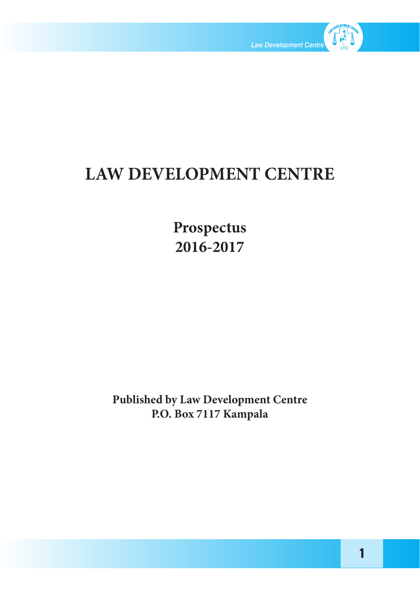

# **LAW DEVELOPMENT CENTRE**

**Prospectus 2016-2017**

**Published by Law Development Centre P.O. Box 7117 Kampala**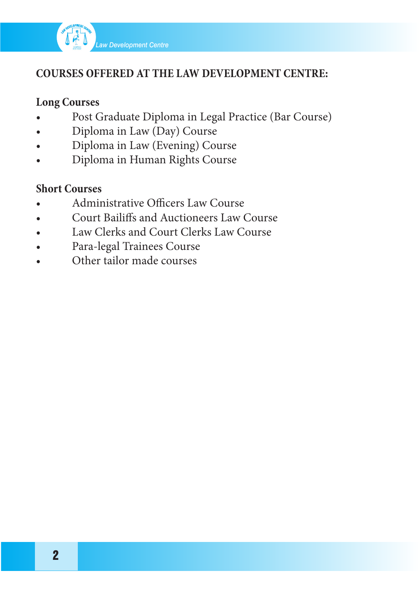

## **COURSES OFFERED AT THE LAW DEVELOPMENT CENTRE:**

#### **Long Courses**

- Post Graduate Diploma in Legal Practice (Bar Course)
- Diploma in Law (Day) Course
- Diploma in Law (Evening) Course
- Diploma in Human Rights Course

#### **Short Courses**

- Administrative Officers Law Course
- Court Bailiffs and Auctioneers Law Course
- Law Clerks and Court Clerks Law Course
- Para-legal Trainees Course
- Other tailor made courses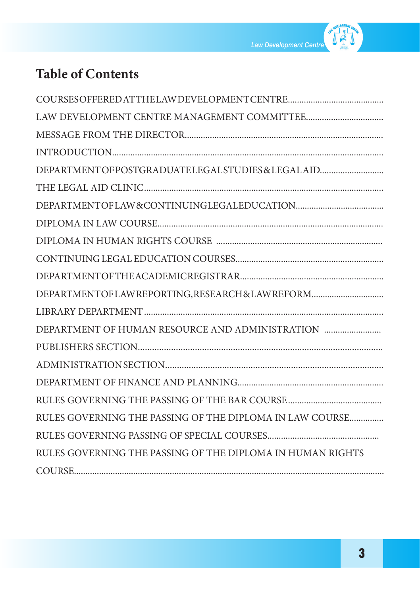

## **Table of Contents**

| DEPARTMENTOFPOSTGRADUATELEGAL STUDIES & LEGAL AID          |
|------------------------------------------------------------|
|                                                            |
|                                                            |
|                                                            |
|                                                            |
|                                                            |
|                                                            |
|                                                            |
|                                                            |
| DEPARTMENT OF HUMAN RESOURCE AND ADMINISTRATION            |
|                                                            |
|                                                            |
|                                                            |
|                                                            |
| RULES GOVERNING THE PASSING OF THE DIPLOMA IN LAW COURSE   |
|                                                            |
| RULES GOVERNING THE PASSING OF THE DIPLOMA IN HUMAN RIGHTS |
|                                                            |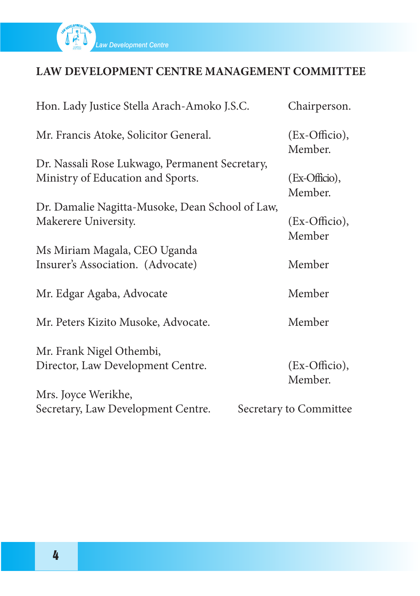

## **LAW DEVELOPMENT CENTRE MANAGEMENT COMMITTEE**

| Hon. Lady Justice Stella Arach-Amoko J.S.C.                             | Chairperson.             |
|-------------------------------------------------------------------------|--------------------------|
| Mr. Francis Atoke, Solicitor General.                                   | (Ex-Officio),<br>Member. |
| Dr. Nassali Rose Lukwago, Permanent Secretary,                          |                          |
| Ministry of Education and Sports.                                       | (Ex-Officio),<br>Member. |
| Dr. Damalie Nagitta-Musoke, Dean School of Law,<br>Makerere University. | (Ex-Officio),<br>Member  |
| Ms Miriam Magala, CEO Uganda<br>Insurer's Association. (Advocate)       | Member                   |
| Mr. Edgar Agaba, Advocate                                               | Member                   |
| Mr. Peters Kizito Musoke, Advocate.                                     | Member                   |
| Mr. Frank Nigel Othembi,                                                |                          |
| Director, Law Development Centre.                                       | (Ex-Officio),<br>Member. |
| Mrs. Joyce Werikhe,                                                     |                          |
| Secretary, Law Development Centre.                                      | Secretary to Committee   |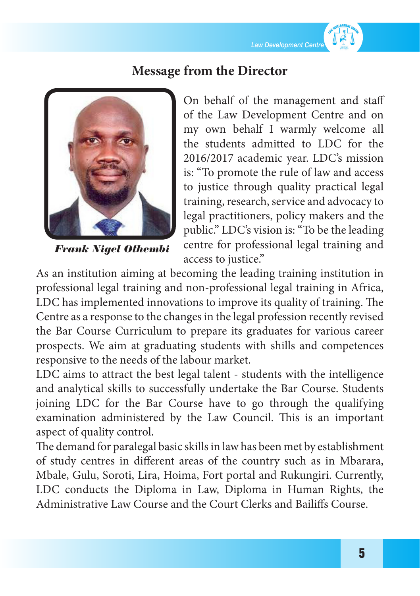## **Message from the Director**



*Frank Nigel Othembi*

On behalf of the management and staff of the Law Development Centre and on my own behalf I warmly welcome all the students admitted to LDC for the 2016/2017 academic year. LDC's mission is: "To promote the rule of law and access to justice through quality practical legal training, research, service and advocacy to legal practitioners, policy makers and the public." LDC's vision is:"To be the leading centre for professional legal training and access to justice."

As an institution aiming at becoming the leading training institution in professional legal training and non-professional legal training in Africa, LDC has implemented innovations to improve its quality of training. The Centre as a response to the changes in the legal profession recently revised the Bar Course Curriculum to prepare its graduates for various career prospects. We aim at graduating students with shills and competences responsive to the needs of the labour market.

LDC aims to attract the best legal talent - students with the intelligence and analytical skills to successfully undertake the Bar Course. Students joining LDC for the Bar Course have to go through the qualifying examination administered by the Law Council. This is an important aspect of quality control.

The demand for paralegal basic skills in law has been met by establishment of study centres in different areas of the country such as in Mbarara, Mbale, Gulu, Soroti, Lira, Hoima, Fort portal and Rukungiri. Currently, LDC conducts the Diploma in Law, Diploma in Human Rights, the Administrative Law Course and the Court Clerks and Bailiffs Course.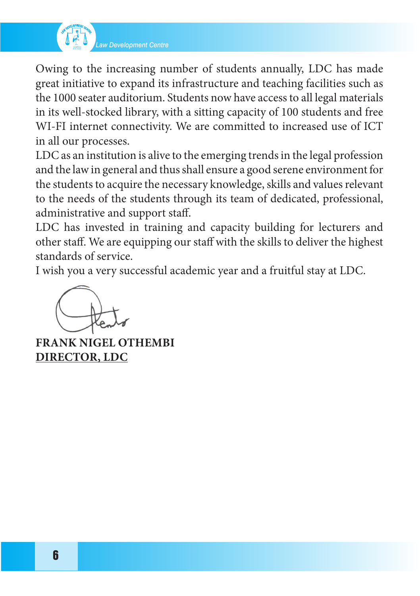

*Law Development Centre*

Owing to the increasing number of students annually, LDC has made great initiative to expand its infrastructure and teaching facilities such as the 1000 seater auditorium. Students now have accessto all legal materials in its well-stocked library, with a sitting capacity of 100 students and free WI-FI internet connectivity. We are committed to increased use of ICT in all our processes.

LDC as an institution is alive to the emerging trends in the legal profession and the law in general and thus shall ensure a good serene environment for the students to acquire the necessary knowledge, skills and values relevant to the needs of the students through its team of dedicated, professional, administrative and support staff.

LDC has invested in training and capacity building for lecturers and other staff. We are equipping our staff with the skills to deliver the highest standards of service.

I wish you a very successful academic year and a fruitful stay at LDC.

**FRANK NIGEL OTHEMBI DIRECTOR, LDC**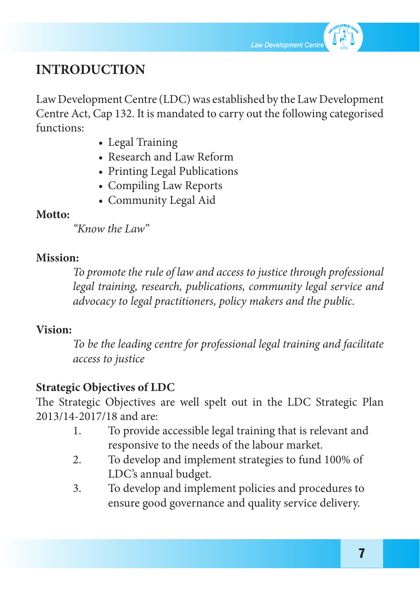

## **INTRODUCTION**

Law Development Centre (LDC) was established by the Law Development Centre Act, Cap 132. It is mandated to carry out the following categorised functions:

- Legal Training
- Research and Law Reform
- Printing Legal Publications
- Compiling Law Reports
- Community Legal Aid

#### **Motto:**

*"Know the Law"*

#### **Mission:**

*To promote the rule of law and access to justice through professional legal training, research, publications, community legal service and advocacy to legal practitioners, policy makers and the public.*

### **Vision:**

*To be the leading centre for professional legal training and facilitate access to justice*

## **Strategic Objectives of LDC**

The Strategic Objectives are well spelt out in the LDC Strategic Plan 2013/14-2017/18 and are:

- 1. To provide accessible legal training that is relevant and responsive to the needs of the labour market.
- 2. To develop and implement strategies to fund 100% of LDC's annual budget.
- 3. To develop and implement policies and procedures to ensure good governance and quality service delivery.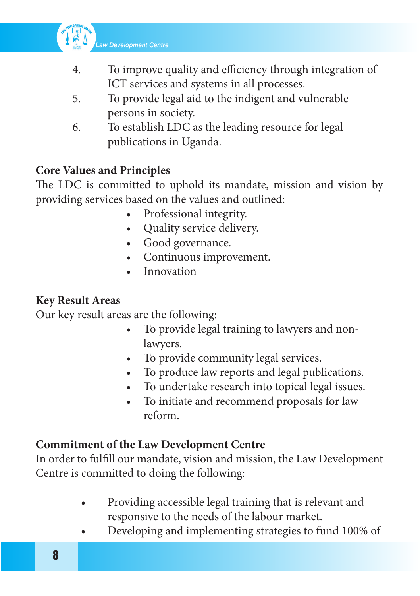

- 4. To improve quality and efficiency through integration of ICT services and systems in all processes.
- 5. To provide legal aid to the indigent and vulnerable persons in society.
- 6. To establish LDC as the leading resource for legal publications in Uganda.

### **Core Values and Principles**

The LDC is committed to uphold its mandate, mission and vision by providing services based on the values and outlined:

- Professional integrity.
- **Ouality service delivery.**
- Good governance.
- • Continuous improvement.
- **Innovation**

#### **Key Result Areas**

Our key result areas are the following:

- To provide legal training to lawyers and non- lawyers.
- To provide community legal services.
- • To produce law reports and legal publications.
- • To undertake research into topical legal issues.
- • To initiate and recommend proposals for law reform.

#### **Commitment of the Law Development Centre**

In order to fulfill our mandate, vision and mission, the Law Development Centre is committed to doing the following:

- Providing accessible legal training that is relevant and responsive to the needs of the labour market.
- Developing and implementing strategies to fund 100% of

8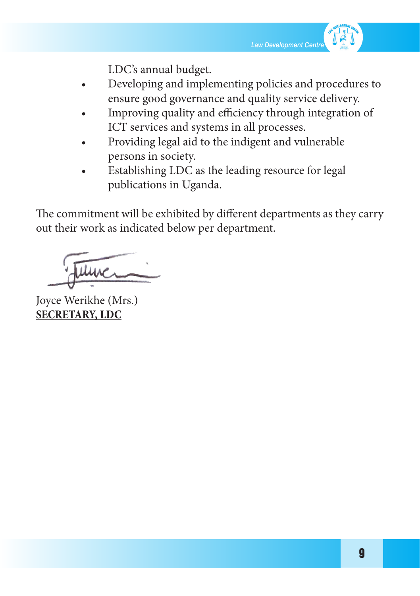

 LDC's annual budget.

- Developing and implementing policies and procedures to ensure good governance and quality service delivery.
- Improving quality and efficiency through integration of ICT services and systems in all processes.
- Providing legal aid to the indigent and vulnerable persons in society.
- Establishing LDC as the leading resource for legal publications in Uganda.

The commitment will be exhibited by different departments as they carry out their work as indicated below per department.

Joyce Werikhe (Mrs.) **SECRETARY, LDC**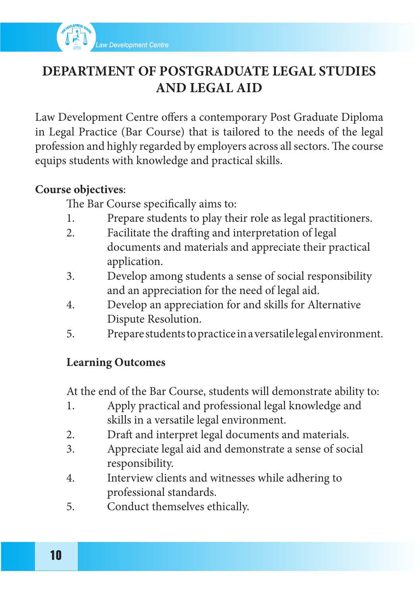

## **DEPARTMENT OF POSTGRADUATE LEGAL STUDIES AND LEGAL AID**

Law Development Centre offers a contemporary Post Graduate Diploma in Legal Practice (Bar Course) that is tailored to the needs of the legal profession and highly regarded by employers across all sectors. The course equips students with knowledge and practical skills.

#### **Course objectives**:

The Bar Course specifically aims to:

- 1. Prepare students to play their role as legal practitioners.
- 2. Facilitate the drafting and interpretation of legal documents and materials and appreciate their practical application.
- 3. Develop among students a sense of social responsibility and an appreciation for the need of legal aid.
- 4. Develop an appreciation for and skills for Alternative Dispute Resolution.
- 5. Preparestudentstopracticeinaversatilelegalenvironment.

## **Learning Outcomes**

At the end of the Bar Course, students will demonstrate ability to:

- 1. Apply practical and professional legal knowledge and skills in a versatile legal environment.
- 2. Draft and interpret legal documents and materials.
- 3. Appreciate legal aid and demonstrate a sense of social responsibility.
- 4. Interview clients and witnesses while adhering to professional standards.
- 5. Conduct themselves ethically.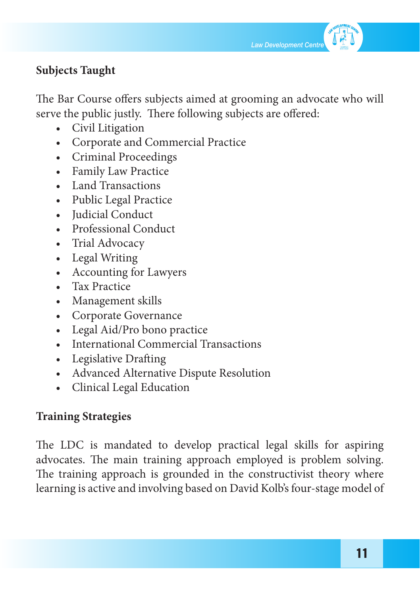

## **Subjects Taught**

The Bar Course offers subjects aimed at grooming an advocate who will serve the public justly. There following subjects are offered:

- • Civil Litigation
- • Corporate and Commercial Practice
- • Criminal Proceedings
- • Family Law Practice
- • Land Transactions
- • Public Legal Practice
- • Judicial Conduct
- Professional Conduct
- Trial Advocacy
- Legal Writing
- • Accounting for Lawyers
- • Tax Practice
- Management skills
- • Corporate Governance
- • Legal Aid/Pro bono practice
- • International Commercial Transactions
- • Legislative Drafting
- • Advanced Alternative Dispute Resolution
- • Clinical Legal Education

## **Training Strategies**

The LDC is mandated to develop practical legal skills for aspiring advocates. The main training approach employed is problem solving. The training approach is grounded in the constructivist theory where learning is active and involving based on David Kolb's four-stage model of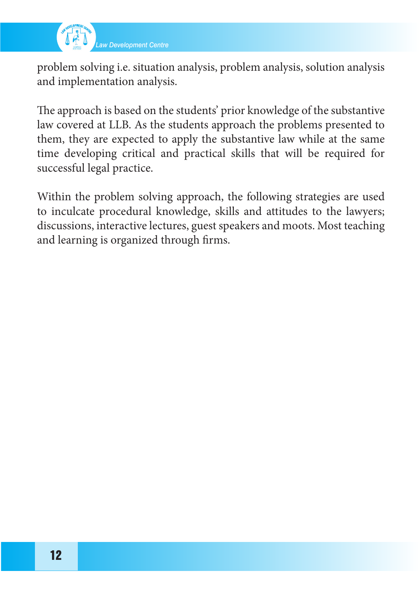

problem solving i.e. situation analysis, problem analysis, solution analysis and implementation analysis.

The approach is based on the students' prior knowledge of the substantive law covered at LLB. As the students approach the problems presented to them, they are expected to apply the substantive law while at the same time developing critical and practical skills that will be required for successful legal practice.

Within the problem solving approach, the following strategies are used to inculcate procedural knowledge, skills and attitudes to the lawyers; discussions, interactive lectures, guest speakers and moots. Most teaching and learning is organized through firms.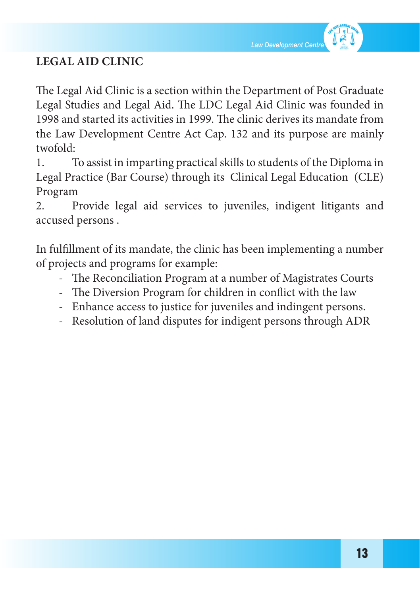

## **LEGAL AID CLINIC**

The Legal Aid Clinic is a section within the Department of Post Graduate Legal Studies and Legal Aid. The LDC Legal Aid Clinic was founded in 1998 and started its activities in 1999. The clinic derives its mandate from the Law Development Centre Act Cap. 132 and its purpose are mainly twofold:

1. To assist in imparting practical skills to students of the Diploma in Legal Practice (Bar Course) through its Clinical Legal Education (CLE) Program

2. Provide legal aid services to juveniles, indigent litigants and accused persons .

In fulfillment of its mandate, the clinic has been implementing a number of projects and programs for example:

- The Reconciliation Program at a number of Magistrates Courts
- The Diversion Program for children in conflict with the law
- Enhance access to justice for juveniles and indingent persons.
- Resolution of land disputes for indigent persons through ADR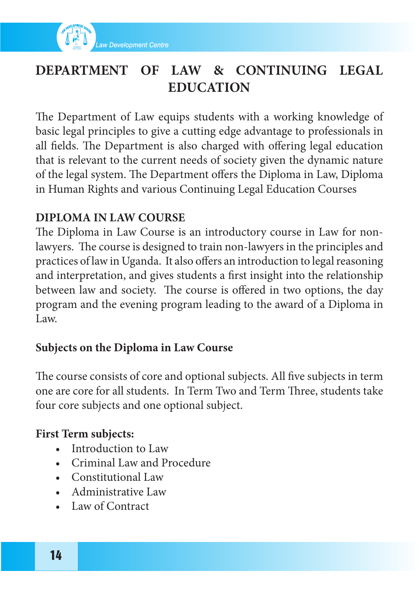

## **DEPARTMENT OF LAW & CONTINUING LEGAL EDUCATION**

The Department of Law equips students with a working knowledge of basic legal principles to give a cutting edge advantage to professionals in all fields. The Department is also charged with offering legal education that is relevant to the current needs of society given the dynamic nature of the legal system. The Department offers the Diploma in Law, Diploma in Human Rights and various Continuing Legal Education Courses

### **DIPLOMA IN LAW COURSE**

The Diploma in Law Course is an introductory course in Law for nonlawyers. The course is designed to train non-lawyers in the principles and practices of law in Uganda. It also offers an introduction to legal reasoning and interpretation, and gives students a first insight into the relationship between law and society. The course is offered in two options, the day program and the evening program leading to the award of a Diploma in Law.

### **Subjects on the Diploma in Law Course**

The course consists of core and optional subjects. All five subjects in term one are core for all students. In Term Two and Term Three, students take four core subjects and one optional subject.

#### **First Term subjects:**

- Introduction to Law
- • Criminal Law and Procedure
- • Constitutional Law
- • Administrative Law
- • Law of Contract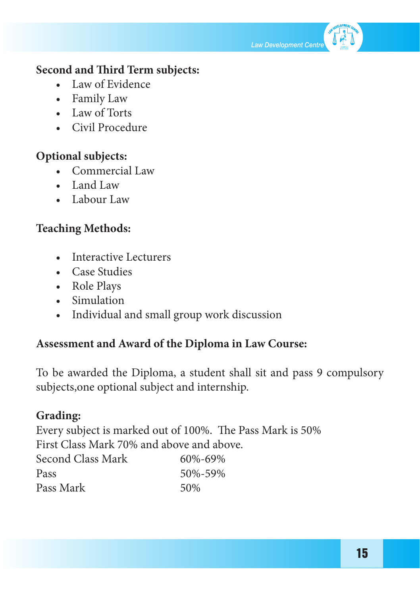

#### **Second and Third Term subjects:**

- • Law of Evidence
- • Family Law
- • Law of Torts
- • Civil Procedure

## **Optional subjects:**

- • Commercial Law
- Land Law
- • Labour Law

#### **Teaching Methods:**

- Interactive Lecturers
- • Case Studies
- • Role Plays
- Simulation
- • Individual and small group work discussion

#### **Assessment and Award of the Diploma in Law Course:**

To be awarded the Diploma, a student shall sit and pass 9 compulsory subjects,one optional subject and internship.

#### **Grading:**

Every subject is marked out of 100%. The Pass Mark is 50% First Class Mark 70% and above and above.

| Second Class Mark | $60\% - 69\%$ |
|-------------------|---------------|
| Pass              | 50%-59%       |
| Pass Mark         | 50%           |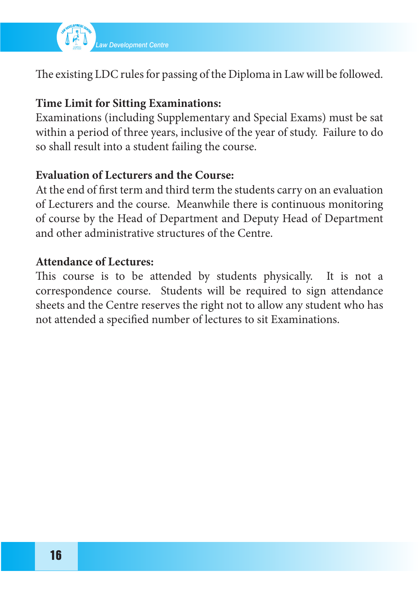

The existing LDC rules for passing of the Diploma in Law will be followed.

#### **Time Limit for Sitting Examinations:**

Examinations (including Supplementary and Special Exams) must be sat within a period of three years, inclusive of the year of study. Failure to do so shall result into a student failing the course.

#### **Evaluation of Lecturers and the Course:**

At the end of first term and third term the students carry on an evaluation of Lecturers and the course. Meanwhile there is continuous monitoring of course by the Head of Department and Deputy Head of Department and other administrative structures of the Centre.

#### **Attendance of Lectures:**

This course is to be attended by students physically. It is not a correspondence course. Students will be required to sign attendance sheets and the Centre reserves the right not to allow any student who has not attended a specified number of lectures to sit Examinations.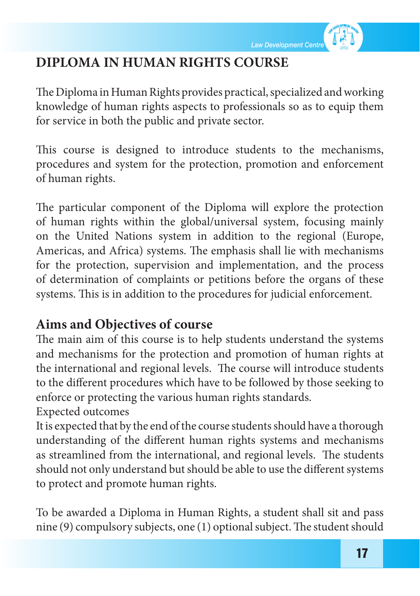

## **DIPLOMA IN HUMAN RIGHTS COURSE**

The Diploma in Human Rights provides practical, specialized and working knowledge of human rights aspects to professionals so as to equip them for service in both the public and private sector.

This course is designed to introduce students to the mechanisms, procedures and system for the protection, promotion and enforcement of human rights.

The particular component of the Diploma will explore the protection of human rights within the global/universal system, focusing mainly on the United Nations system in addition to the regional (Europe, Americas, and Africa) systems. The emphasis shall lie with mechanisms for the protection, supervision and implementation, and the process of determination of complaints or petitions before the organs of these systems. This is in addition to the procedures for judicial enforcement.

## **Aims and Objectives of course**

The main aim of this course is to help students understand the systems and mechanisms for the protection and promotion of human rights at the international and regional levels. The course will introduce students to the different procedures which have to be followed by those seeking to enforce or protecting the various human rights standards.

Expected outcomes

It is expected that by the end of the course students should have a thorough understanding of the different human rights systems and mechanisms as streamlined from the international, and regional levels. The students should not only understand but should be able to use the different systems to protect and promote human rights.

To be awarded a Diploma in Human Rights, a student shall sit and pass nine  $(9)$  compulsory subjects, one  $(1)$  optional subject. The student should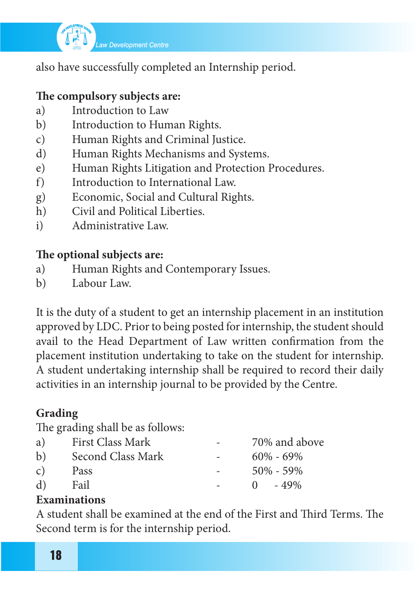

also have successfully completed an Internship period.

### **The compulsory subjects are:**

- a) Introduction to Law
- b) Introduction to Human Rights.
- c) Human Rights and Criminal Justice.
- d) Human Rights Mechanisms and Systems.
- e) Human Rights Litigation and Protection Procedures.
- f) Introduction to International Law.
- g) Economic, Social and Cultural Rights.
- h) Civil and Political Liberties.
- i) Administrative Law.

## **The optional subjects are:**

- a) Human Rights and Contemporary Issues.
- b) Labour Law.

It is the duty of a student to get an internship placement in an institution approved by LDC. Prior to being posted for internship, the student should avail to the Head Department of Law written confirmation from the placement institution undertaking to take on the student for internship. A student undertaking internship shall be required to record their daily activities in an internship journal to be provided by the Centre.

## **Grading**

The grading shall be as follows:

| a)              | <b>First Class Mark</b> | $\overline{\phantom{a}}$ | 70% and above |
|-----------------|-------------------------|--------------------------|---------------|
| b)              | Second Class Mark       | $\sim$ $\sim$            | $60\% - 69\%$ |
| $\mathcal{C}$ ) | Pass                    |                          | $50\% - 59\%$ |
| d)              | Fail                    |                          | $0 - 49\%$    |
|                 |                         |                          |               |

### **Examinations**

A student shall be examined at the end of the First and Third Terms. The Second term is for the internship period.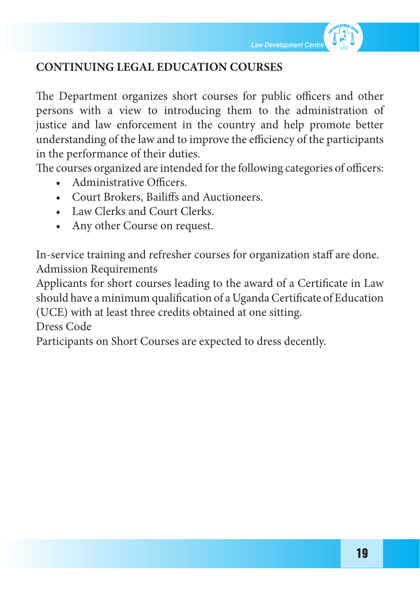

## **CONTINUING LEGAL EDUCATION COURSES**

The Department organizes short courses for public officers and other persons with a view to introducing them to the administration of justice and law enforcement in the country and help promote better understanding of the law and to improve the efficiency of the participants in the performance of their duties.

The courses organized are intended for the following categories of officers:

- Administrative Officers.
- • Court Brokers, Bailiffs and Auctioneers.
- • Law Clerks and Court Clerks.
- Any other Course on request.

In-service training and refresher courses for organization staff are done. Admission Requirements

Applicants for short courses leading to the award of a Certificate in Law should have a minimum qualification of a Uganda Certificate of Education (UCE) with at least three credits obtained at one sitting.

Dress Code

Participants on Short Courses are expected to dress decently.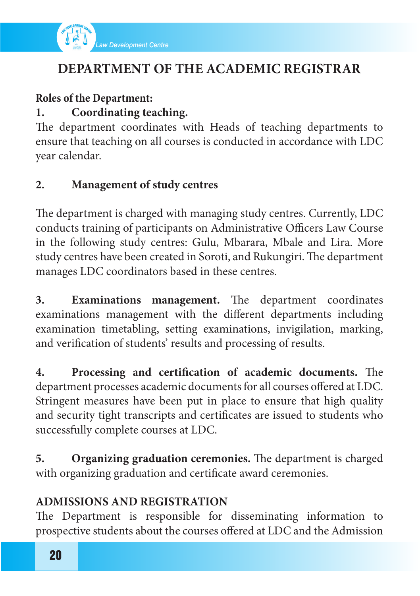

## **DEPARTMENT OF THE ACADEMIC REGISTRAR**

#### **Roles of the Department:**

## **1. Coordinating teaching.**

The department coordinates with Heads of teaching departments to ensure that teaching on all courses is conducted in accordance with LDC year calendar.

### **2. Management of study centres**

The department is charged with managing study centres. Currently, LDC conducts training of participants on Administrative Officers Law Course in the following study centres: Gulu, Mbarara, Mbale and Lira. More study centres have been created in Soroti, and Rukungiri. The department manages LDC coordinators based in these centres.

**3. Examinations management.** The department coordinates examinations management with the different departments including examination timetabling, setting examinations, invigilation, marking, and verification of students' results and processing of results.

**4. Processing and certification of academic documents.** The department processes academic documents for all courses offered at LDC. Stringent measures have been put in place to ensure that high quality and security tight transcripts and certificates are issued to students who successfully complete courses at LDC.

**5. Organizing graduation ceremonies.** The department is charged with organizing graduation and certificate award ceremonies.

## **ADMISSIONS AND REGISTRATION**

The Department is responsible for disseminating information to prospective students about the courses offered at LDC and the Admission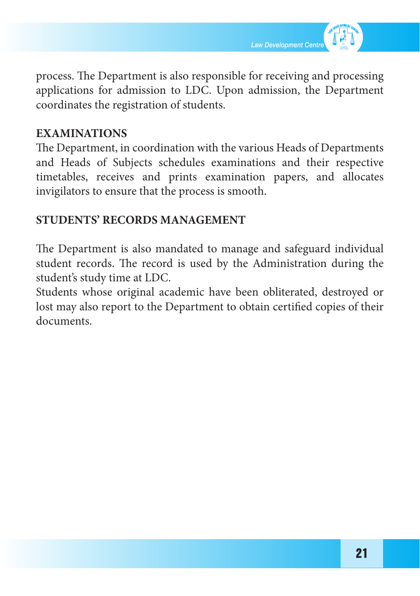

process. The Department is also responsible for receiving and processing applications for admission to LDC. Upon admission, the Department coordinates the registration of students.

#### **EXAMINATIONS**

The Department, in coordination with the various Heads of Departments and Heads of Subjects schedules examinations and their respective timetables, receives and prints examination papers, and allocates invigilators to ensure that the process is smooth.

#### **STUDENTS' RECORDS MANAGEMENT**

The Department is also mandated to manage and safeguard individual student records. The record is used by the Administration during the student's study time at LDC.

Students whose original academic have been obliterated, destroyed or lost may also report to the Department to obtain certified copies of their documents.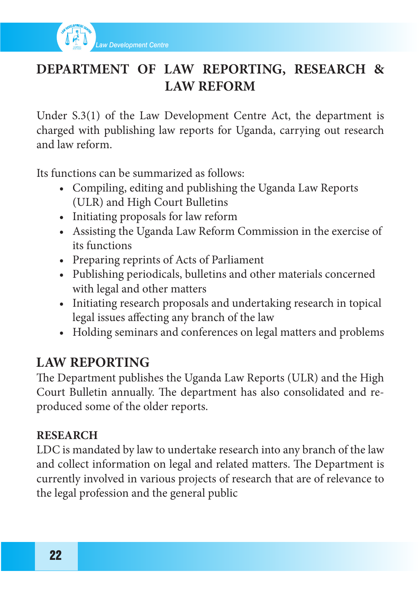

## **DEPARTMENT OF LAW REPORTING, RESEARCH & LAW REFORM**

Under S.3(1) of the Law Development Centre Act, the department is charged with publishing law reports for Uganda, carrying out research and law reform.

Its functions can be summarized as follows:

- • Compiling, editing and publishing the Uganda Law Reports (ULR) and High Court Bulletins
- Initiating proposals for law reform
- • Assisting the Uganda Law Reform Commission in the exercise of its functions
- • Preparing reprints of Acts of Parliament
- • Publishing periodicals, bulletins and other materials concerned with legal and other matters
- Initiating research proposals and undertaking research in topical legal issues affecting any branch of the law
- Holding seminars and conferences on legal matters and problems

## **LAW REPORTING**

The Department publishes the Uganda Law Reports (ULR) and the High Court Bulletin annually. The department has also consolidated and reproduced some of the older reports.

## **RESEARCH**

LDC is mandated by law to undertake research into any branch of the law and collect information on legal and related matters. The Department is currently involved in various projects of research that are of relevance to the legal profession and the general public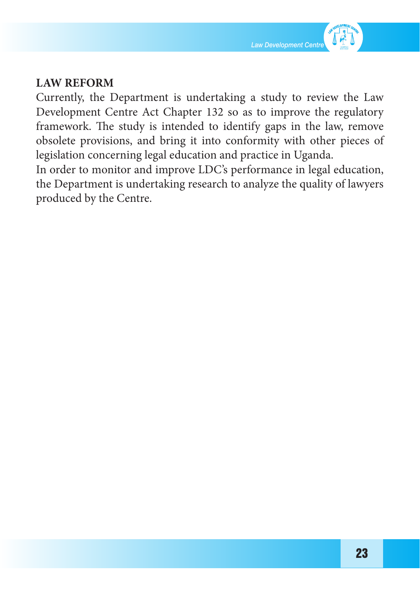

#### **LAW REFORM**

Currently, the Department is undertaking a study to review the Law Development Centre Act Chapter 132 so as to improve the regulatory framework. The study is intended to identify gaps in the law, remove obsolete provisions, and bring it into conformity with other pieces of legislation concerning legal education and practice in Uganda.

In order to monitor and improve LDC's performance in legal education, the Department is undertaking research to analyze the quality of lawyers produced by the Centre.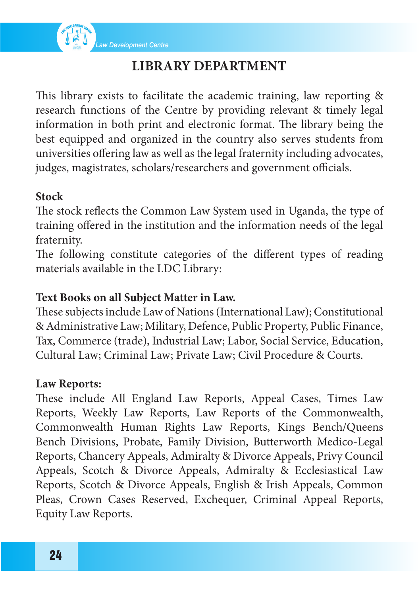

## **LIBRARY DEPARTMENT**

This library exists to facilitate the academic training, law reporting & research functions of the Centre by providing relevant & timely legal information in both print and electronic format. The library being the best equipped and organized in the country also serves students from universities offering law as well as the legal fraternity including advocates, judges, magistrates, scholars/researchers and government officials.

#### **Stock**

The stock reflects the Common Law System used in Uganda, the type of training offered in the institution and the information needs of the legal fraternity.

The following constitute categories of the different types of reading materials available in the LDC Library:

#### **Text Books on all Subject Matter in Law.**

These subjects include Law of Nations (International Law); Constitutional & Administrative Law; Military, Defence, Public Property, Public Finance, Tax, Commerce (trade), Industrial Law; Labor, Social Service, Education, Cultural Law; Criminal Law; Private Law; Civil Procedure & Courts.

#### **Law Reports:**

These include All England Law Reports, Appeal Cases, Times Law Reports, Weekly Law Reports, Law Reports of the Commonwealth, Commonwealth Human Rights Law Reports, Kings Bench/Queens Bench Divisions, Probate, Family Division, Butterworth Medico-Legal Reports, Chancery Appeals, Admiralty & Divorce Appeals, Privy Council Appeals, Scotch & Divorce Appeals, Admiralty & Ecclesiastical Law Reports, Scotch & Divorce Appeals, English & Irish Appeals, Common Pleas, Crown Cases Reserved, Exchequer, Criminal Appeal Reports, Equity Law Reports.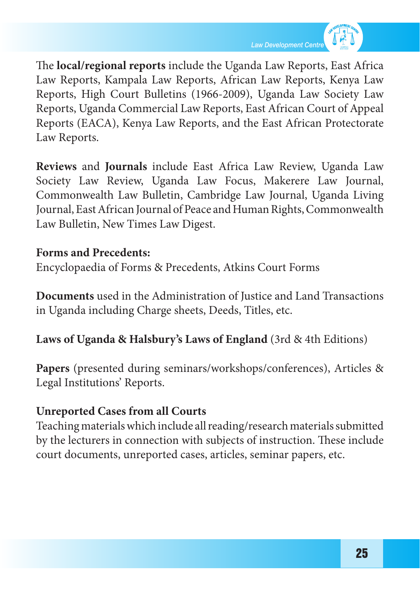

The **local/regional reports** include the Uganda Law Reports, East Africa Law Reports, Kampala Law Reports, African Law Reports, Kenya Law Reports, High Court Bulletins (1966-2009), Uganda Law Society Law Reports, Uganda Commercial Law Reports, East African Court of Appeal Reports (EACA), Kenya Law Reports, and the East African Protectorate Law Reports.

**Reviews** and **Journals** include East Africa Law Review, Uganda Law Society Law Review, Uganda Law Focus, Makerere Law Journal, Commonwealth Law Bulletin, Cambridge Law Journal, Uganda Living Journal, East African Journal of Peace and Human Rights, Commonwealth Law Bulletin, New Times Law Digest.

#### **Forms and Precedents:**

Encyclopaedia of Forms & Precedents, Atkins Court Forms

**Documents** used in the Administration of Justice and Land Transactions in Uganda including Charge sheets, Deeds, Titles, etc.

#### **Laws of Uganda & Halsbury's Laws of England** (3rd & 4th Editions)

**Papers** (presented during seminars/workshops/conferences), Articles & Legal Institutions' Reports.

#### **Unreported Cases from all Courts**

Teaching materials which include all reading/research materials submitted by the lecturers in connection with subjects of instruction. These include court documents, unreported cases, articles, seminar papers, etc.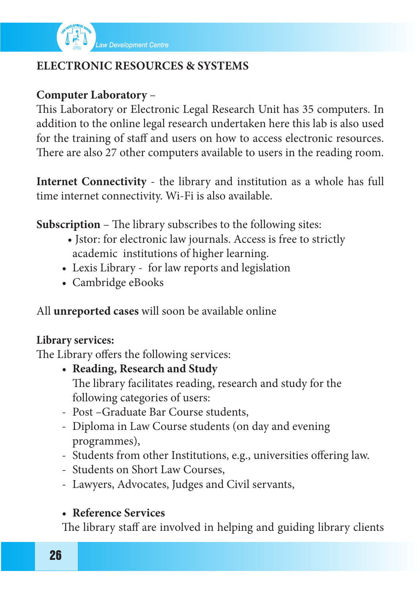

## **ELECTRONIC RESOURCES & SYSTEMS**

## **Computer Laboratory** –

This Laboratory or Electronic Legal Research Unit has 35 computers. In addition to the online legal research undertaken here this lab is also used for the training of staff and users on how to access electronic resources. There are also 27 other computers available to users in the reading room.

**Internet Connectivity** - the library and institution as a whole has full time internet connectivity. Wi-Fi is also available.

**Subscription** – The library subscribes to the following sites:

- • Jstor: for electronic law journals. Access is free to strictly academic institutions of higher learning.
- Lexis Library for law reports and legislation
- Cambridge eBooks

All **unreported cases** will soon be available online

#### **Library services:**

The Library offers the following services:

• **Reading, Research and Study**

 The library facilitates reading, research and study for the following categories of users:

- Post -Graduate Bar Course students,
- Diploma in Law Course students (on day and evening programmes),
- Students from other Institutions, e.g., universities offering law.
- Students on Short Law Courses,
- Lawyers, Advocates, Judges and Civil servants,

### • **Reference Services**

The library staff are involved in helping and guiding library clients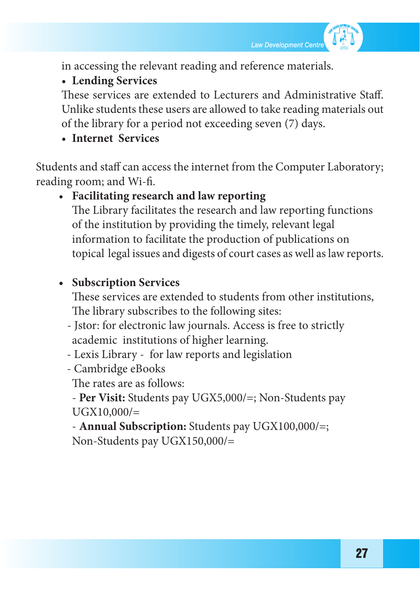

in accessing the relevant reading and reference materials.

## • **Lending Services**

These services are extended to Lecturers and Administrative Staff. Unlike students these users are allowed to take reading materials out of the library for a period not exceeding seven (7) days.

## • **Internet Services**

Students and staff can access the internet from the Computer Laboratory; reading room; and Wi-fi.

## • **Facilitating research and law reporting**

 The Library facilitates the research and law reporting functions of the institution by providing the timely, relevant legal information to facilitate the production of publications on topical legal issues and digests of court cases as well as law reports.

## **• Subscription Services**

 These services are extended to students from other institutions, The library subscribes to the following sites:

- Jstor: for electronic law journals. Access is free to strictly academic institutions of higher learning.
- Lexis Library for law reports and legislation
- Cambridge eBooks

 The rates are as follows:

 - **Per Visit:** Students pay UGX5,000/=; Non-Students pay  $UGX10,000/=$ 

 - **Annual Subscription:** Students pay UGX100,000/=; Non-Students pay UGX150,000/=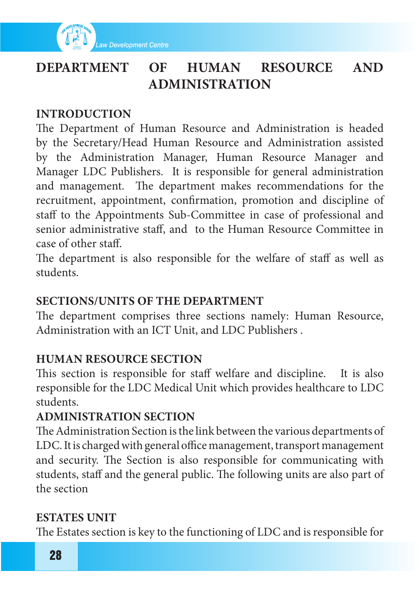

## **DEPARTMENT OF HUMAN RESOURCE AND ADMINISTRATION**

#### **INTRODUCTION**

The Department of Human Resource and Administration is headed by the Secretary/Head Human Resource and Administration assisted by the Administration Manager, Human Resource Manager and Manager LDC Publishers. It is responsible for general administration and management. The department makes recommendations for the recruitment, appointment, confirmation, promotion and discipline of staff to the Appointments Sub-Committee in case of professional and senior administrative staff, and to the Human Resource Committee in case of other staff.

The department is also responsible for the welfare of staff as well as students.

#### **SECTIONS/UNITS OF THE DEPARTMENT**

The department comprises three sections namely: Human Resource, Administration with an ICT Unit, and LDC Publishers .

### **HUMAN RESOURCE SECTION**

This section is responsible for staff welfare and discipline. It is also responsible for the LDC Medical Unit which provides healthcare to LDC students.

#### **ADMINISTRATION SECTION**

The Administration Section is the link between the various departments of LDC. It is charged with general office management, transport management and security. The Section is also responsible for communicating with students, staff and the general public. The following units are also part of the section

### **ESTATES UNIT**

The Estates section is key to the functioning of LDC and is responsible for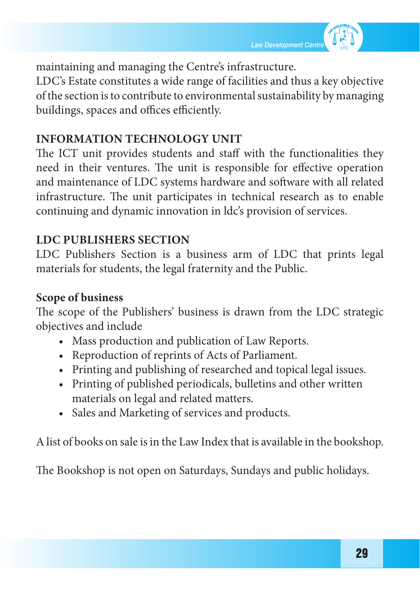

maintaining and managing the Centre's infrastructure.

LDC's Estate constitutes a wide range of facilities and thus a key objective of the section is to contribute to environmental sustainability by managing buildings, spaces and offices efficiently.

#### **INFORMATION TECHNOLOGY UNIT**

The ICT unit provides students and staff with the functionalities they need in their ventures. The unit is responsible for effective operation and maintenance of LDC systems hardware and software with all related infrastructure. The unit participates in technical research as to enable continuing and dynamic innovation in ldc's provision of services.

#### **LDC PUBLISHERS SECTION**

LDC Publishers Section is a business arm of LDC that prints legal materials for students, the legal fraternity and the Public.

#### **Scope of business**

The scope of the Publishers' business is drawn from the LDC strategic objectives and include

- • Mass production and publication of Law Reports.
- • Reproduction of reprints of Acts of Parliament.
- Printing and publishing of researched and topical legal issues.
- Printing of published periodicals, bulletins and other written materials on legal and related matters.
- • Sales and Marketing of services and products.

A list of books on sale is in the Law Index that is available in the bookshop.

The Bookshop is not open on Saturdays, Sundays and public holidays.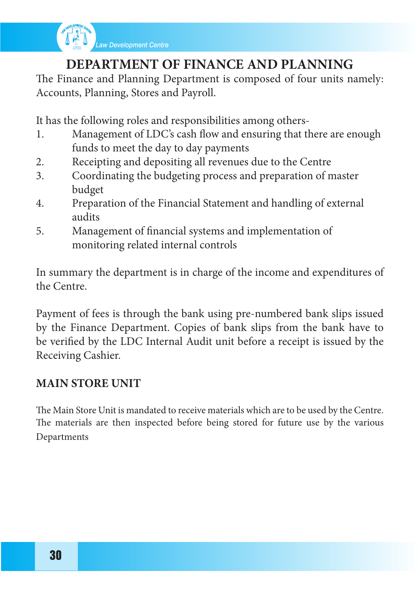

## **DEPARTMENT OF FINANCE AND PLANNING**

The Finance and Planning Department is composed of four units namely: Accounts, Planning, Stores and Payroll.

It has the following roles and responsibilities among others-

- 1. Management of LDC's cash flow and ensuring that there are enough funds to meet the day to day payments
- 2. Receipting and depositing all revenues due to the Centre
- 3. Coordinating the budgeting process and preparation of master budget
- 4. Preparation of the Financial Statement and handling of external audits
- 5. Management of financial systems and implementation of monitoring related internal controls

In summary the department is in charge of the income and expenditures of the Centre.

Payment of fees is through the bank using pre-numbered bank slips issued by the Finance Department. Copies of bank slips from the bank have to be verified by the LDC Internal Audit unit before a receipt is issued by the Receiving Cashier.

### **MAIN STORE UNIT**

The Main Store Unit is mandated to receive materials which are to be used by the Centre. The materials are then inspected before being stored for future use by the various Departments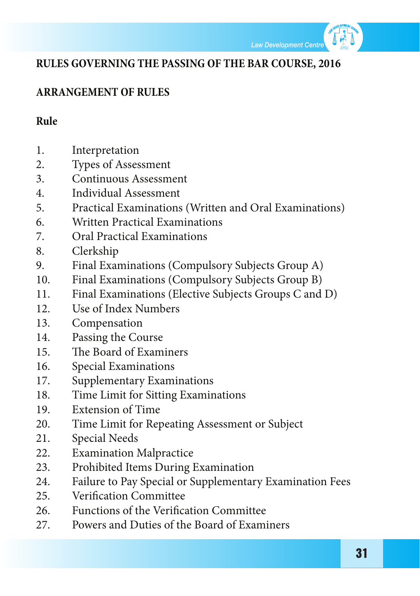

#### **RULES GOVERNING THE PASSING OF THE BAR COURSE, 2016**

#### **ARRANGEMENT OF RULES**

#### **Rule**

- 1. Interpretation
- 2. Types of Assessment
- 3. Continuous Assessment
- 4. Individual Assessment
- 5. Practical Examinations (Written and Oral Examinations)
- 6. Written Practical Examinations
- 7. Oral Practical Examinations
- 8. Clerkship
- 9. Final Examinations (Compulsory Subjects Group A)
- 10. Final Examinations (Compulsory Subjects Group B)
- 11. Final Examinations (Elective Subjects Groups C and D)
- 12. Use of Index Numbers
- 13. Compensation
- 14. Passing the Course
- 15. The Board of Examiners
- 16. Special Examinations
- 17. Supplementary Examinations
- 18. Time Limit for Sitting Examinations
- 19. Extension of Time
- 20. Time Limit for Repeating Assessment or Subject
- 21. Special Needs
- 22. Examination Malpractice
- 23. Prohibited Items During Examination
- 24. Failure to Pay Special or Supplementary Examination Fees
- 25. Verification Committee
- 26. Functions of the Verification Committee
- 27. Powers and Duties of the Board of Examiners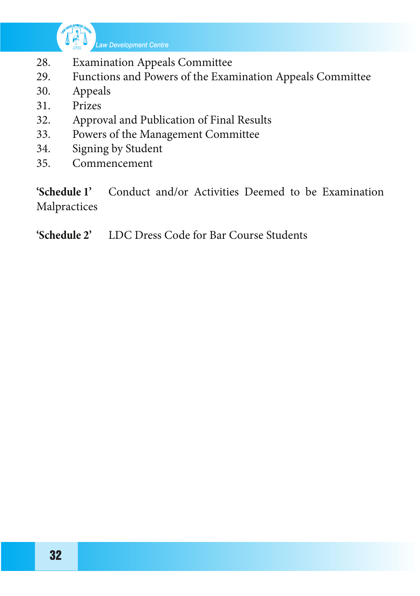

- 28. Examination Appeals Committee<br>29. Functions and Powers of the Exan
- Functions and Powers of the Examination Appeals Committee
- 30. Appeals
- 31. Prizes
- 32. Approval and Publication of Final Results
- 33. Powers of the Management Committee
- 34. Signing by Student
- 35. Commencement

**'Schedule 1'** Conduct and/or Activities Deemed to be Examination Malpractices

**'Schedule 2'** LDC Dress Code for Bar Course Students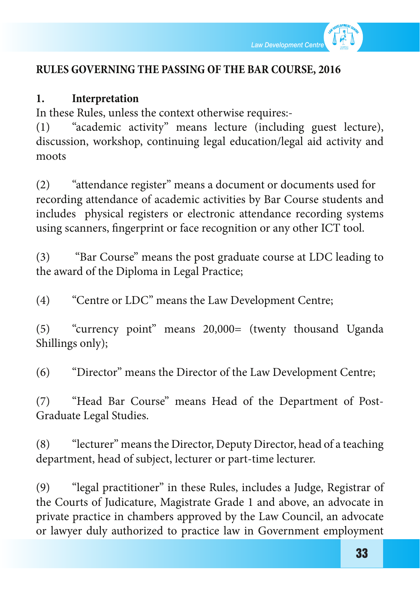

#### **RULES GOVERNING THE PASSING OF THE BAR COURSE, 2016**

#### **1. Interpretation**

In these Rules, unless the context otherwise requires:-

(1) "academic activity" means lecture (including guest lecture), discussion, workshop, continuing legal education/legal aid activity and moots

(2) "attendance register" means a document or documents used for recording attendance of academic activities by Bar Course students and includes physical registers or electronic attendance recording systems using scanners, fingerprint or face recognition or any other ICT tool.

(3) "Bar Course" means the post graduate course at LDC leading to the award of the Diploma in Legal Practice;

(4) "Centre or LDC" means the Law Development Centre;

(5) "currency point" means 20,000= (twenty thousand Uganda Shillings only);

(6) "Director" means the Director of the Law Development Centre;

(7) "Head Bar Course" means Head of the Department of Post-Graduate Legal Studies.

(8) "lecturer" meansthe Director, Deputy Director, head of a teaching department, head of subject, lecturer or part-time lecturer.

(9) "legal practitioner" in these Rules, includes a Judge, Registrar of the Courts of Judicature, Magistrate Grade 1 and above, an advocate in private practice in chambers approved by the Law Council, an advocate or lawyer duly authorized to practice law in Government employment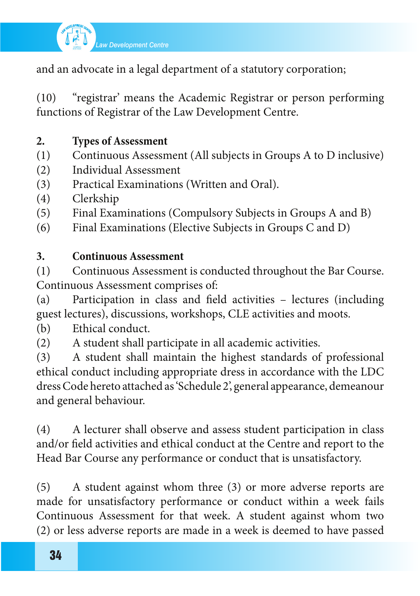

and an advocate in a legal department of a statutory corporation;

(10) "registrar' means the Academic Registrar or person performing functions of Registrar of the Law Development Centre.

## **2. Types of Assessment**

- (1) Continuous Assessment (All subjects in Groups A to D inclusive)
- (2) Individual Assessment
- (3) Practical Examinations (Written and Oral).
- (4) Clerkship
- (5) Final Examinations (Compulsory Subjects in Groups A and B)
- (6) Final Examinations (Elective Subjects in Groups C and D)

#### **3. Continuous Assessment**

(1) Continuous Assessment is conducted throughout the Bar Course. Continuous Assessment comprises of:

(a) Participation in class and field activities – lectures (including guest lectures), discussions, workshops, CLE activities and moots.

(b) Ethical conduct.

(2) A student shall participate in all academic activities.

(3) A student shall maintain the highest standards of professional ethical conduct including appropriate dress in accordance with the LDC dressCode hereto attached as'Schedule 2', general appearance, demeanour and general behaviour.

(4) A lecturer shall observe and assess student participation in class and/or field activities and ethical conduct at the Centre and report to the Head Bar Course any performance or conduct that is unsatisfactory.

(5) A student against whom three (3) or more adverse reports are made for unsatisfactory performance or conduct within a week fails Continuous Assessment for that week. A student against whom two (2) or less adverse reports are made in a week is deemed to have passed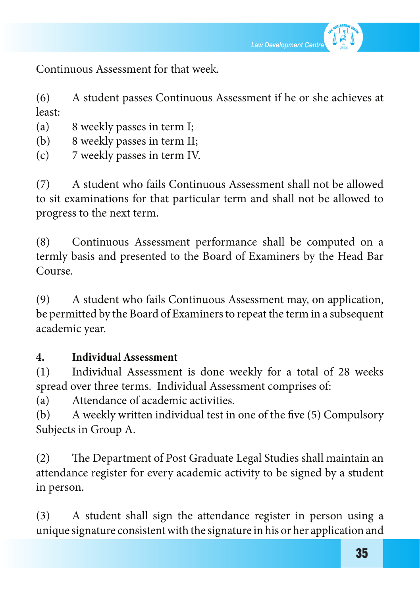

Continuous Assessment for that week.

(6) A student passes Continuous Assessment if he or she achieves at least:

- (a) 8 weekly passes in term I;
- (b) 8 weekly passes in term II;
- (c) 7 weekly passes in term IV.

(7) A student who fails Continuous Assessment shall not be allowed to sit examinations for that particular term and shall not be allowed to progress to the next term.

(8) Continuous Assessment performance shall be computed on a termly basis and presented to the Board of Examiners by the Head Bar Course.

(9) A student who fails Continuous Assessment may, on application, be permitted by the Board of Examiners to repeat the term in a subsequent academic year.

#### **4. Individual Assessment**

(1) Individual Assessment is done weekly for a total of 28 weeks spread over three terms. Individual Assessment comprises of:

(a) Attendance of academic activities.

(b) A weekly written individual test in one of the five (5) Compulsory Subjects in Group A.

(2) The Department of Post Graduate Legal Studies shall maintain an attendance register for every academic activity to be signed by a student in person.

(3) A student shall sign the attendance register in person using a unique signature consistent with the signature in his or her application and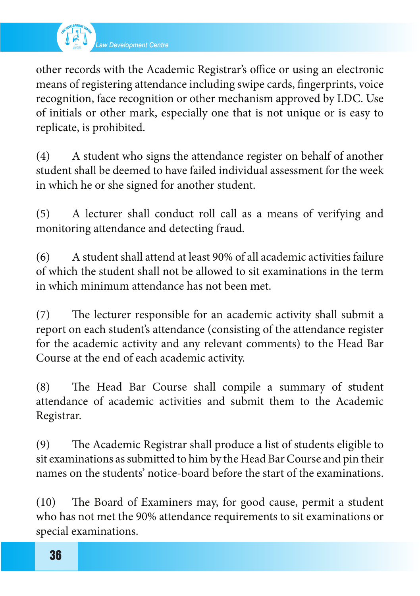

other records with the Academic Registrar's office or using an electronic means of registering attendance including swipe cards, fingerprints, voice recognition, face recognition or other mechanism approved by LDC. Use of initials or other mark, especially one that is not unique or is easy to replicate, is prohibited.

(4) A student who signs the attendance register on behalf of another student shall be deemed to have failed individual assessment for the week in which he or she signed for another student.

(5) A lecturer shall conduct roll call as a means of verifying and monitoring attendance and detecting fraud.

(6) A student shall attend at least 90% of all academic activities failure of which the student shall not be allowed to sit examinations in the term in which minimum attendance has not been met.

(7) The lecturer responsible for an academic activity shall submit a report on each student's attendance (consisting of the attendance register for the academic activity and any relevant comments) to the Head Bar Course at the end of each academic activity.

(8) The Head Bar Course shall compile a summary of student attendance of academic activities and submit them to the Academic Registrar.

(9) The Academic Registrar shall produce a list of students eligible to sit examinations as submitted to him by the Head Bar Course and pin their names on the students' notice-board before the start of the examinations.

(10) The Board of Examiners may, for good cause, permit a student who has not met the 90% attendance requirements to sit examinations or special examinations.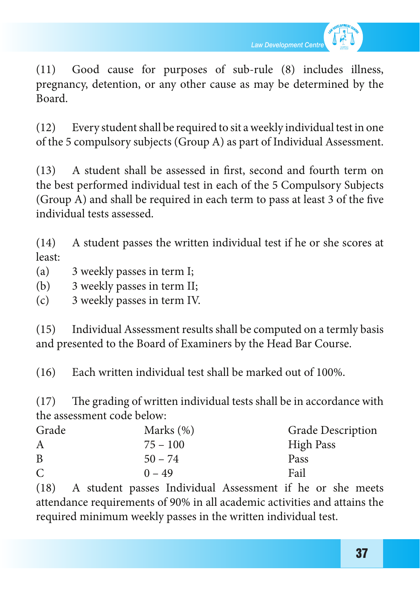

(11) Good cause for purposes of sub-rule (8) includes illness, pregnancy, detention, or any other cause as may be determined by the Board.

 $(12)$  Every student shall be required to sit a weekly individual test in one of the 5 compulsory subjects (Group A) as part of Individual Assessment.

(13) A student shall be assessed in first, second and fourth term on the best performed individual test in each of the 5 Compulsory Subjects (Group A) and shall be required in each term to pass at least 3 of the five individual tests assessed.

(14) A student passes the written individual test if he or she scores at least:

- (a) 3 weekly passes in term I;
- (b) 3 weekly passes in term II;
- (c) 3 weekly passes in term IV.

(15) Individual Assessment results shall be computed on a termly basis and presented to the Board of Examiners by the Head Bar Course.

(16) Each written individual test shall be marked out of 100%.

(17) The grading of written individual tests shall be in accordance with the assessment code below:

| Grade | Marks $(\%)$ | <b>Grade Description</b> |
|-------|--------------|--------------------------|
| A     | $75 - 100$   | High Pass                |
| B     | $50 - 74$    | Pass                     |
| C     | $0 - 49$     | Fail                     |

(18) A student passes Individual Assessment if he or she meets attendance requirements of 90% in all academic activities and attains the required minimum weekly passes in the written individual test.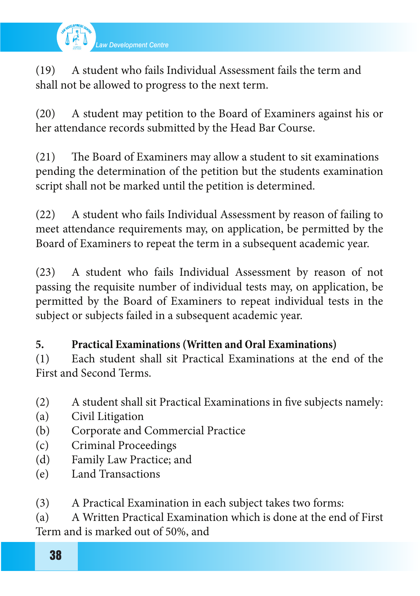

(19) A student who fails Individual Assessment fails the term and shall not be allowed to progress to the next term.

(20) A student may petition to the Board of Examiners against his or her attendance records submitted by the Head Bar Course.

(21) The Board of Examiners may allow a student to sit examinations pending the determination of the petition but the students examination script shall not be marked until the petition is determined.

(22) A student who fails Individual Assessment by reason of failing to meet attendance requirements may, on application, be permitted by the Board of Examiners to repeat the term in a subsequent academic year.

(23) A student who fails Individual Assessment by reason of not passing the requisite number of individual tests may, on application, be permitted by the Board of Examiners to repeat individual tests in the subject or subjects failed in a subsequent academic year.

# **5. Practical Examinations (Written and Oral Examinations)**

(1) Each student shall sit Practical Examinations at the end of the First and Second Terms.

- (2) A student shall sit Practical Examinations in five subjects namely:
- (a) Civil Litigation
- (b) Corporate and Commercial Practice
- (c) Criminal Proceedings
- (d) Family Law Practice; and
- (e) Land Transactions
- (3) A Practical Examination in each subject takes two forms:

(a) A Written Practical Examination which is done at the end of First Term and is marked out of 50%, and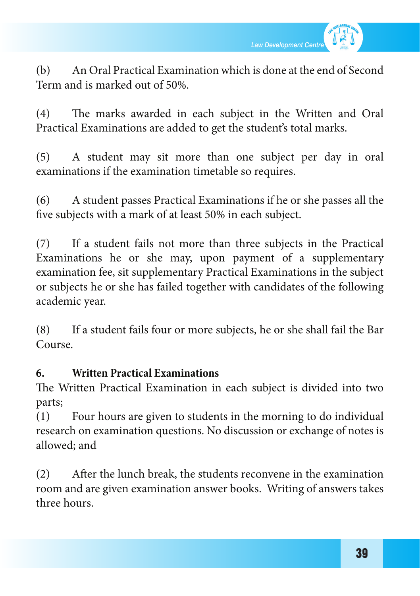

(b) An Oral Practical Examination which is done at the end of Second Term and is marked out of 50%.

(4) The marks awarded in each subject in the Written and Oral Practical Examinations are added to get the student's total marks.

(5) A student may sit more than one subject per day in oral examinations if the examination timetable so requires.

(6) A student passes Practical Examinations if he or she passes all the five subjects with a mark of at least 50% in each subject.

(7) If a student fails not more than three subjects in the Practical Examinations he or she may, upon payment of a supplementary examination fee, sit supplementary Practical Examinations in the subject or subjects he or she has failed together with candidates of the following academic year.

(8) If a student fails four or more subjects, he or she shall fail the Bar Course.

#### **6. Written Practical Examinations**

The Written Practical Examination in each subject is divided into two parts;

(1) Four hours are given to students in the morning to do individual research on examination questions. No discussion or exchange of notes is allowed; and

(2) After the lunch break, the students reconvene in the examination room and are given examination answer books. Writing of answers takes three hours.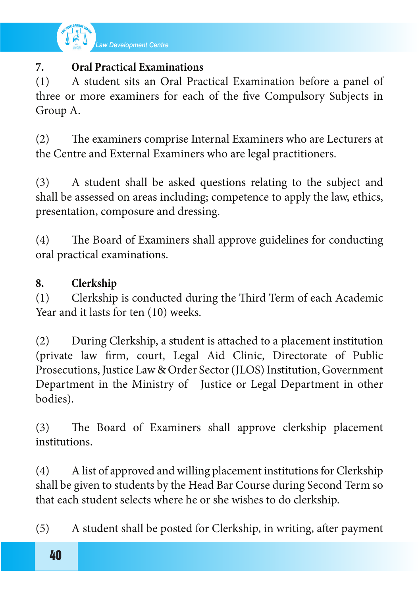

## **7. Oral Practical Examinations**

(1) A student sits an Oral Practical Examination before a panel of three or more examiners for each of the five Compulsory Subjects in Group A.

(2) The examiners comprise Internal Examiners who are Lecturers at the Centre and External Examiners who are legal practitioners.

(3) A student shall be asked questions relating to the subject and shall be assessed on areas including; competence to apply the law, ethics, presentation, composure and dressing.

(4) The Board of Examiners shall approve guidelines for conducting oral practical examinations.

### **8. Clerkship**

(1) Clerkship is conducted during the Third Term of each Academic Year and it lasts for ten (10) weeks.

(2) During Clerkship, a student is attached to a placement institution (private law firm, court, Legal Aid Clinic, Directorate of Public Prosecutions, Justice Law & Order Sector (JLOS) Institution, Government Department in the Ministry of Justice or Legal Department in other bodies).

(3) The Board of Examiners shall approve clerkship placement institutions.

(4) A list of approved and willing placement institutions for Clerkship shall be given to students by the Head Bar Course during Second Term so that each student selects where he or she wishes to do clerkship.

(5) A student shall be posted for Clerkship, in writing, after payment

40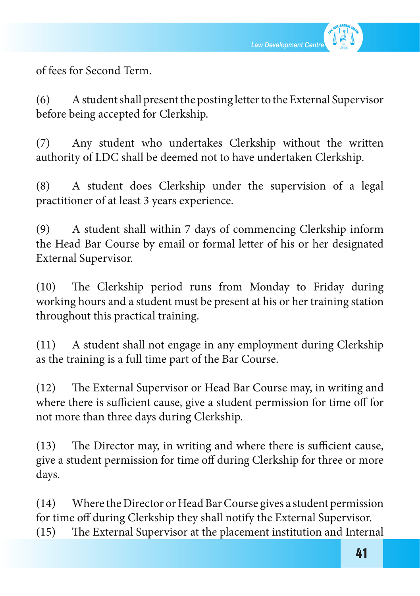

of fees for Second Term.

(6) A student shall present the posting letter to the External Supervisor before being accepted for Clerkship.

(7) Any student who undertakes Clerkship without the written authority of LDC shall be deemed not to have undertaken Clerkship.

(8) A student does Clerkship under the supervision of a legal practitioner of at least 3 years experience.

(9) A student shall within 7 days of commencing Clerkship inform the Head Bar Course by email or formal letter of his or her designated External Supervisor.

(10) The Clerkship period runs from Monday to Friday during working hours and a student must be present at his or her training station throughout this practical training.

(11) A student shall not engage in any employment during Clerkship as the training is a full time part of the Bar Course.

(12) The External Supervisor or Head Bar Course may, in writing and where there is sufficient cause, give a student permission for time off for not more than three days during Clerkship.

(13) The Director may, in writing and where there is sufficient cause, give a student permission for time off during Clerkship for three or more days.

(14) Where the Director or Head Bar Course gives a student permission for time off during Clerkship they shall notify the External Supervisor. (15) The External Supervisor at the placement institution and Internal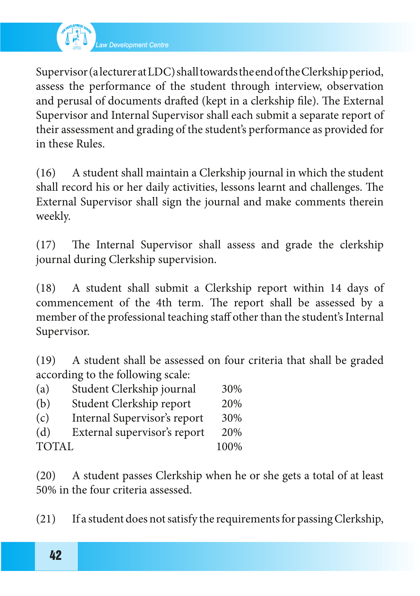

Supervisor (alecturer at LDC) shall towards the end of the Clerkshipperiod, assess the performance of the student through interview, observation and perusal of documents drafted (kept in a clerkship file). The External Supervisor and Internal Supervisor shall each submit a separate report of their assessment and grading of the student's performance as provided for in these Rules.

(16) A student shall maintain a Clerkship journal in which the student shall record his or her daily activities, lessons learnt and challenges. The External Supervisor shall sign the journal and make comments therein weekly.

(17) The Internal Supervisor shall assess and grade the clerkship journal during Clerkship supervision.

(18) A student shall submit a Clerkship report within 14 days of commencement of the 4th term. The report shall be assessed by a member of the professional teaching staff other than the student's Internal Supervisor.

(19) A student shall be assessed on four criteria that shall be graded according to the following scale:

| (a)          | Student Clerkship journal    | 30%  |
|--------------|------------------------------|------|
| (b)          | Student Clerkship report     | 20%  |
| (c)          | Internal Supervisor's report | 30%  |
| (d)          | External supervisor's report | 20%  |
| <b>TOTAL</b> |                              | 100% |

(20) A student passes Clerkship when he or she gets a total of at least 50% in the four criteria assessed.

(21) If a student does not satisfy the requirements for passing Clerkship,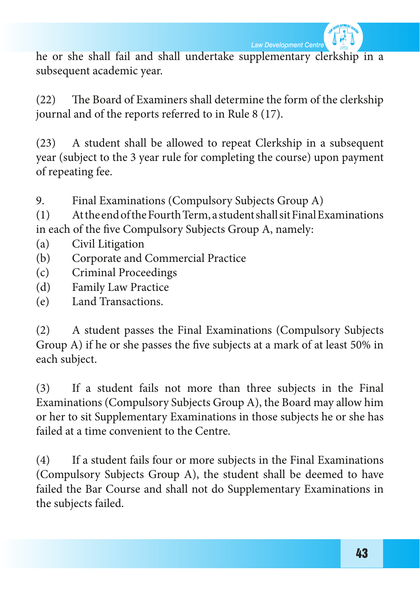

he or she shall fail and shall undertake supplementary clerkship in a subsequent academic year.

(22) The Board of Examiners shall determine the form of the clerkship journal and of the reports referred to in Rule 8 (17).

(23) A student shall be allowed to repeat Clerkship in a subsequent year (subject to the 3 year rule for completing the course) upon payment of repeating fee.

9. Final Examinations (Compulsory Subjects Group A)

(1) Atthe endoftheFourthTerm,astudentshallsitFinalExaminations in each of the five Compulsory Subjects Group A, namely:

- (a) Civil Litigation
- (b) Corporate and Commercial Practice
- (c) Criminal Proceedings
- (d) Family Law Practice
- (e) Land Transactions.

(2) A student passes the Final Examinations (Compulsory Subjects Group A) if he or she passes the five subjects at a mark of at least 50% in each subject.

(3) If a student fails not more than three subjects in the Final Examinations (Compulsory Subjects Group A), the Board may allow him or her to sit Supplementary Examinations in those subjects he or she has failed at a time convenient to the Centre.

(4) If a student fails four or more subjects in the Final Examinations (Compulsory Subjects Group A), the student shall be deemed to have failed the Bar Course and shall not do Supplementary Examinations in the subjects failed.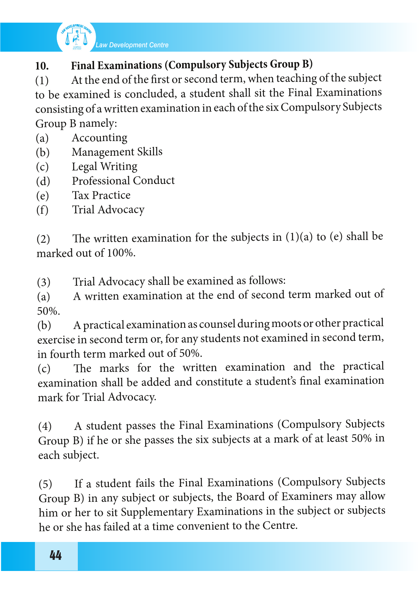

**10. Final Examinations (Compulsory Subjects Group B)**

(1) At the end of the first or second term, when teaching of the subject to be examined is concluded, <sup>a</sup> student shall sit the Final Examinations consisting of awritten examination in each ofthe sixCompulsory Subjects Group <sup>B</sup> namely:

- (a) Accounting
- (b) Management Skills
- (c) Legal Writing
- (d) Professional Conduct
- (e) Tax Practice
- (f) Trial Advocacy

(2) The written examination for the subjects in  $(1)(a)$  to (e) shall be marked out of 100%.

(3) Trial Advocacy shall be examined as follows:

(a) <sup>A</sup> written examination at the end of second term marked out of 50%.

(b) Apractical examination as counsel during moots or other practical exercise in second term or, for any students not examined in second term, in fourth term marked out of 50%.

(c) The marks for the written examination and the practical examination shall be added and constitute <sup>a</sup> student's final examination mark for Trial Advocacy.

(4) <sup>A</sup> student passes the Final Examinations (Compulsory Subjects Group B) if he or she passes the six subjects at <sup>a</sup> mark of at least 50% in each subject.

(5) If <sup>a</sup> student fails the Final Examinations (Compulsory Subjects Group B) in any subject or subjects, the Board of Examiners may allow him or her to sit Supplementary Examinations in the subject or subjects he or she has failed at <sup>a</sup> time convenient to the Centre.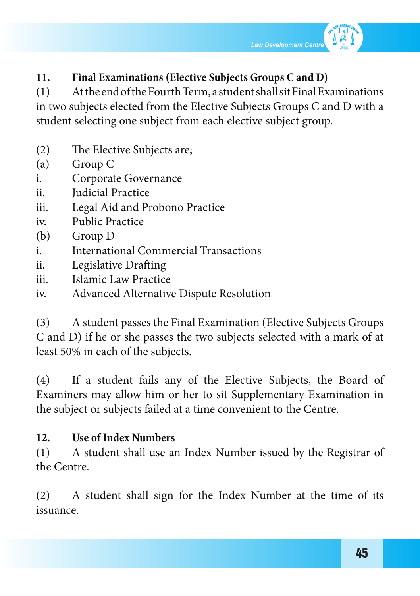

## **11. Final Examinations (Elective Subjects Groups C and D)**

(1) Atthe endoftheFourthTerm,astudentshallsitFinalExaminations in two subjects elected from the Elective Subjects Groups C and D with a student selecting one subject from each elective subject group.

- (2) The Elective Subjects are;
- (a) Group C
- i. Corporate Governance
- ii. Judicial Practice
- iii. Legal Aid and Probono Practice
- iv. Public Practice
- (b) Group D
- i. International Commercial Transactions
- ii. Legislative Drafting
- iii. Islamic Law Practice
- iv. Advanced Alternative Dispute Resolution

(3) A student passes the Final Examination (Elective Subjects Groups C and D) if he or she passes the two subjects selected with a mark of at least 50% in each of the subjects.

(4) If a student fails any of the Elective Subjects, the Board of Examiners may allow him or her to sit Supplementary Examination in the subject or subjects failed at a time convenient to the Centre.

### **12. Use of Index Numbers**

(1) A student shall use an Index Number issued by the Registrar of the Centre.

(2) A student shall sign for the Index Number at the time of its issuance.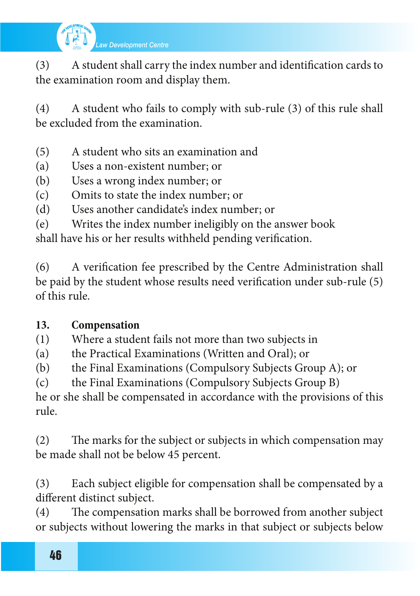

(3) A student shall carry the index number and identification cards to the examination room and display them.

(4) A student who fails to comply with sub-rule (3) of this rule shall be excluded from the examination.

- (5) A student who sits an examination and
- (a) Uses a non-existent number; or
- (b) Uses a wrong index number; or
- (c) Omits to state the index number; or
- (d) Uses another candidate's index number; or
- (e) Writes the index number ineligibly on the answer book

shall have his or her results withheld pending verification.

(6) A verification fee prescribed by the Centre Administration shall be paid by the student whose results need verification under sub-rule (5) of this rule.

## **13. Compensation**

(1) Where a student fails not more than two subjects in

- (a) the Practical Examinations (Written and Oral); or
- (b) the Final Examinations (Compulsory Subjects Group A); or
- (c) the Final Examinations (Compulsory Subjects Group B)

he or she shall be compensated in accordance with the provisions of this rule.

(2) The marks for the subject or subjects in which compensation may be made shall not be below 45 percent.

(3) Each subject eligible for compensation shall be compensated by a different distinct subject.

(4) The compensation marks shall be borrowed from another subject or subjects without lowering the marks in that subject or subjects below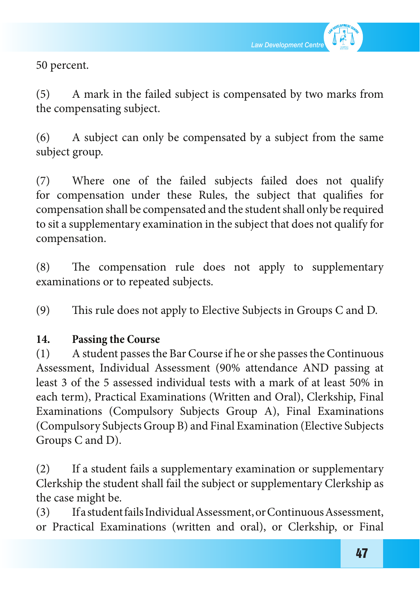

50 percent.

(5) A mark in the failed subject is compensated by two marks from the compensating subject.

(6) A subject can only be compensated by a subject from the same subject group.

(7) Where one of the failed subjects failed does not qualify for compensation under these Rules, the subject that qualifies for compensation shall be compensated and the student shall only be required to sit a supplementary examination in the subject that does not qualify for compensation.

(8) The compensation rule does not apply to supplementary examinations or to repeated subjects.

(9) This rule does not apply to Elective Subjects in Groups C and D.

### **14. Passing the Course**

(1) Astudent passesthe Bar Course if he orshe passesthe Continuous Assessment, Individual Assessment (90% attendance AND passing at least 3 of the 5 assessed individual tests with a mark of at least 50% in each term), Practical Examinations (Written and Oral), Clerkship, Final Examinations (Compulsory Subjects Group A), Final Examinations (Compulsory Subjects Group B) and Final Examination (Elective Subjects Groups C and D).

(2) If a student fails a supplementary examination or supplementary Clerkship the student shall fail the subject or supplementary Clerkship as the case might be.

(3) IfastudentfailsIndividualAssessment,orContinuousAssessment, or Practical Examinations (written and oral), or Clerkship, or Final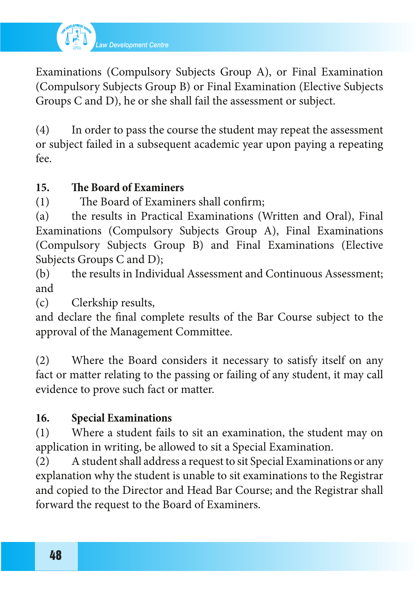

Examinations (Compulsory Subjects Group A), or Final Examination (Compulsory Subjects Group B) or Final Examination (Elective Subjects Groups C and D), he or she shall fail the assessment or subject.

(4) In order to pass the course the student may repeat the assessment or subject failed in a subsequent academic year upon paying a repeating fee.

### **15. The Board of Examiners**

(1) The Board of Examiners shall confirm;

(a) the results in Practical Examinations (Written and Oral), Final Examinations (Compulsory Subjects Group A), Final Examinations (Compulsory Subjects Group B) and Final Examinations (Elective Subjects Groups C and D);

(b) the results in Individual Assessment and Continuous Assessment; and

(c) Clerkship results,

and declare the final complete results of the Bar Course subject to the approval of the Management Committee.

(2) Where the Board considers it necessary to satisfy itself on any fact or matter relating to the passing or failing of any student, it may call evidence to prove such fact or matter.

## **16. Special Examinations**

(1) Where a student fails to sit an examination, the student may on application in writing, be allowed to sit a Special Examination.

(2) A student shall address a request to sit Special Examinations or any explanation why the student is unable to sit examinations to the Registrar and copied to the Director and Head Bar Course; and the Registrar shall forward the request to the Board of Examiners.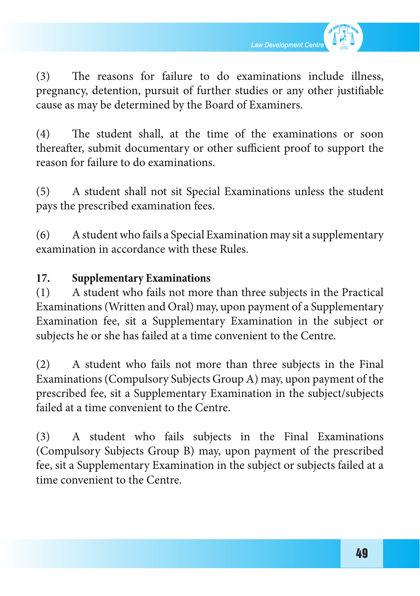

(3) The reasons for failure to do examinations include illness, pregnancy, detention, pursuit of further studies or any other justifiable cause as may be determined by the Board of Examiners.

(4) The student shall, at the time of the examinations or soon thereafter, submit documentary or other sufficient proof to support the reason for failure to do examinations.

(5) A student shall not sit Special Examinations unless the student pays the prescribed examination fees.

(6) Astudentwho fails a Special Examination may sit a supplementary examination in accordance with these Rules.

### **17. Supplementary Examinations**

(1) A student who fails not more than three subjects in the Practical Examinations(Written and Oral) may, upon payment of a Supplementary Examination fee, sit a Supplementary Examination in the subject or subjects he or she has failed at a time convenient to the Centre.

(2) A student who fails not more than three subjects in the Final Examinations (Compulsory Subjects Group A) may, upon payment of the prescribed fee, sit a Supplementary Examination in the subject/subjects failed at a time convenient to the Centre.

(3) A student who fails subjects in the Final Examinations (Compulsory Subjects Group B) may, upon payment of the prescribed fee, sit a Supplementary Examination in the subject or subjects failed at a time convenient to the Centre.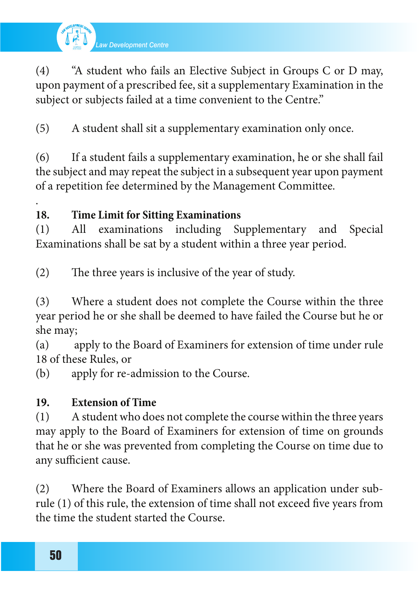

(4) "A student who fails an Elective Subject in Groups C or D may, upon payment of a prescribed fee, sit a supplementary Examination in the subject or subjects failed at a time convenient to the Centre."

(5) A student shall sit a supplementary examination only once.

(6) If a student fails a supplementary examination, he or she shall fail the subject and may repeat the subject in a subsequent year upon payment of a repetition fee determined by the Management Committee.

#### . **18. Time Limit for Sitting Examinations**

(1) All examinations including Supplementary and Special Examinations shall be sat by a student within a three year period.

(2) The three years is inclusive of the year of study.

(3) Where a student does not complete the Course within the three year period he or she shall be deemed to have failed the Course but he or she may;

(a) apply to the Board of Examiners for extension of time under rule 18 of these Rules, or

(b) apply for re-admission to the Course.

# **19. Extension of Time**

 $(1)$  A student who does not complete the course within the three years may apply to the Board of Examiners for extension of time on grounds that he or she was prevented from completing the Course on time due to any sufficient cause.

(2) Where the Board of Examiners allows an application under subrule (1) of this rule, the extension of time shall not exceed five years from the time the student started the Course.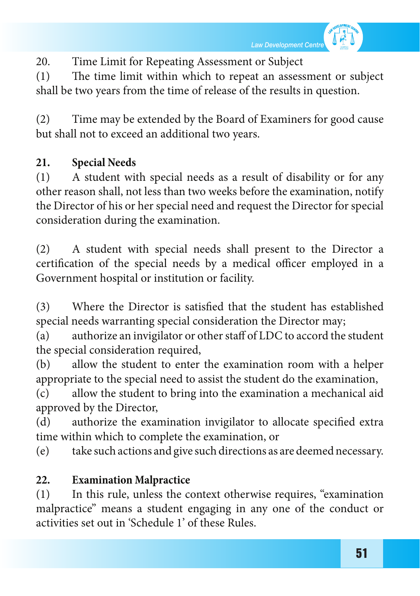20. Time Limit for Repeating Assessment or Subject<br>
(1) The time limit within which to repeat an assess

The time limit within which to repeat an assessment or subject shall be two years from the time of release of the results in question.

(2) Time may be extended by the Board of Examiners for good cause but shall not to exceed an additional two years.

## **21. Special Needs**

(1) A student with special needs as a result of disability or for any other reason shall, not less than two weeks before the examination, notify the Director of his or her special need and request the Director for special consideration during the examination.

(2) A student with special needs shall present to the Director a certification of the special needs by a medical officer employed in a Government hospital or institution or facility.

(3) Where the Director is satisfied that the student has established special needs warranting special consideration the Director may;

(a) authorize an invigilator or other staff of LDC to accord the student the special consideration required,

(b) allow the student to enter the examination room with a helper appropriate to the special need to assist the student do the examination,

(c) allow the student to bring into the examination a mechanical aid approved by the Director,

(d) authorize the examination invigilator to allocate specified extra time within which to complete the examination, or

(e) take such actions and give such directions as are deemed necessary.

## **22. Examination Malpractice**

 $(1)$  In this rule, unless the context otherwise requires, "examination" malpractice" means a student engaging in any one of the conduct or activities set out in 'Schedule 1' of these Rules.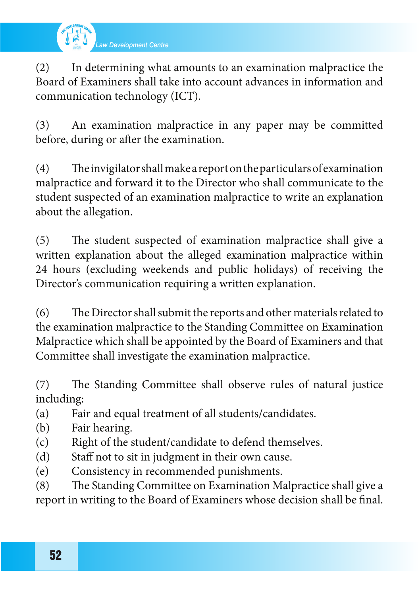

*Law Development Centre*

(2) In determining what amounts to an examination malpractice the Board of Examiners shall take into account advances in information and communication technology (ICT).

(3) An examination malpractice in any paper may be committed before, during or after the examination.

 $(4)$  The invigilator shall make a report on the particulars of examination malpractice and forward it to the Director who shall communicate to the student suspected of an examination malpractice to write an explanation about the allegation.

(5) The student suspected of examination malpractice shall give a written explanation about the alleged examination malpractice within 24 hours (excluding weekends and public holidays) of receiving the Director's communication requiring a written explanation.

(6) The Director shall submit the reports and other materials related to the examination malpractice to the Standing Committee on Examination Malpractice which shall be appointed by the Board of Examiners and that Committee shall investigate the examination malpractice.

(7) The Standing Committee shall observe rules of natural justice including:

- (a) Fair and equal treatment of all students/candidates.
- (b) Fair hearing.
- (c) Right of the student/candidate to defend themselves.
- (d) Staff not to sit in judgment in their own cause.
- (e) Consistency in recommended punishments.

(8) The Standing Committee on Examination Malpractice shall give a report in writing to the Board of Examiners whose decision shall be final.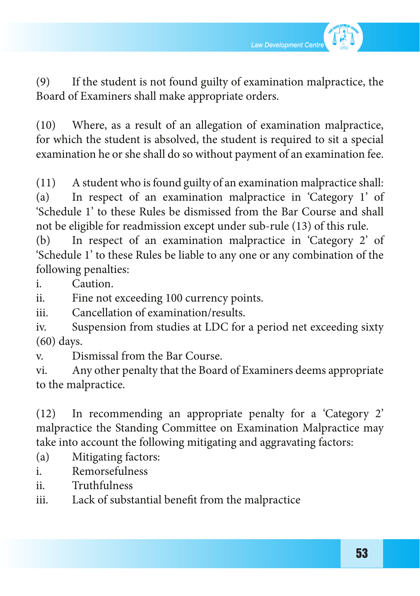*Law Development Centre*

(9) If the student is not found guilty of examination malpractice, the Board of Examiners shall make appropriate orders.

(10) Where, as a result of an allegation of examination malpractice, for which the student is absolved, the student is required to sit a special examination he or she shall do so without payment of an examination fee.

(11) A student who is found guilty of an examination malpractice shall:

(a) In respect of an examination malpractice in 'Category 1' of 'Schedule 1' to these Rules be dismissed from the Bar Course and shall not be eligible for readmission except under sub-rule (13) of this rule.

(b) In respect of an examination malpractice in 'Category 2' of 'Schedule 1' to these Rules be liable to any one or any combination of the following penalties:

i. Caution.

ii. Fine not exceeding 100 currency points.

iii. Cancellation of examination/results.

iv. Suspension from studies at LDC for a period net exceeding sixty (60) days.

v. Dismissal from the Bar Course.

vi. Any other penalty that the Board of Examiners deems appropriate to the malpractice.

(12) In recommending an appropriate penalty for a 'Category 2' malpractice the Standing Committee on Examination Malpractice may take into account the following mitigating and aggravating factors:

- (a) Mitigating factors:
- i. Remorsefulness
- ii. Truthfulness
- iii. Lack of substantial benefit from the malpractice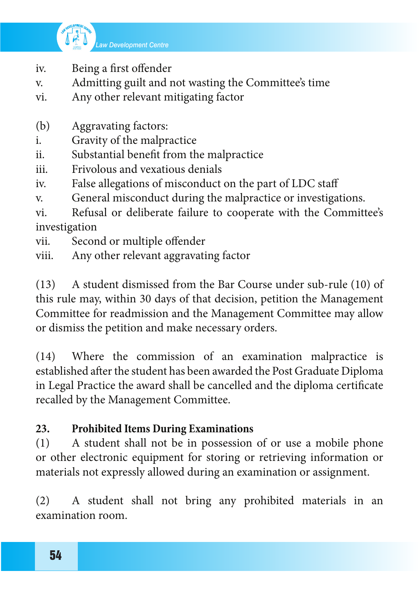

- iv. Being a first offender
- v. Admitting guilt and not wasting the Committee's time
- vi. Any other relevant mitigating factor
- (b) Aggravating factors:
- i. Gravity of the malpractice
- ii. Substantial benefit from the malpractice
- iii. Frivolous and vexatious denials
- iv. False allegations of misconduct on the part of LDC staff
- v. General misconduct during the malpractice or investigations.

vi. Refusal or deliberate failure to cooperate with the Committee's investigation

- vii. Second or multiple offender
- viii. Any other relevant aggravating factor

(13) A student dismissed from the Bar Course under sub-rule (10) of this rule may, within 30 days of that decision, petition the Management Committee for readmission and the Management Committee may allow or dismiss the petition and make necessary orders.

(14) Where the commission of an examination malpractice is established after the student has been awarded the Post Graduate Diploma in Legal Practice the award shall be cancelled and the diploma certificate recalled by the Management Committee.

# **23. Prohibited Items During Examinations**

(1) A student shall not be in possession of or use a mobile phone or other electronic equipment for storing or retrieving information or materials not expressly allowed during an examination or assignment.

(2) A student shall not bring any prohibited materials in an examination room.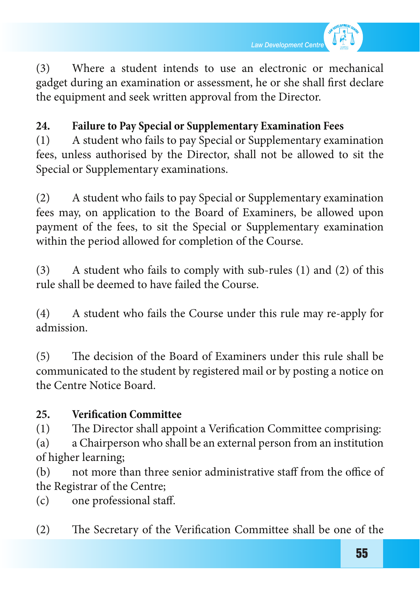

(3) Where a student intends to use an electronic or mechanical gadget during an examination or assessment, he or she shall first declare the equipment and seek written approval from the Director.

## **24. Failure to Pay Special or Supplementary Examination Fees**

(1) A student who fails to pay Special or Supplementary examination fees, unless authorised by the Director, shall not be allowed to sit the Special or Supplementary examinations.

(2) A student who fails to pay Special or Supplementary examination fees may, on application to the Board of Examiners, be allowed upon payment of the fees, to sit the Special or Supplementary examination within the period allowed for completion of the Course.

 $(3)$  A student who fails to comply with sub-rules  $(1)$  and  $(2)$  of this rule shall be deemed to have failed the Course.

(4) A student who fails the Course under this rule may re-apply for admission.

(5) The decision of the Board of Examiners under this rule shall be communicated to the student by registered mail or by posting a notice on the Centre Notice Board.

### **25. Verification Committee**

(1) The Director shall appoint a Verification Committee comprising:

(a) a Chairperson who shall be an external person from an institution of higher learning;

(b) not more than three senior administrative staff from the office of the Registrar of the Centre;

(c) one professional staff.

(2) The Secretary of the Verification Committee shall be one of the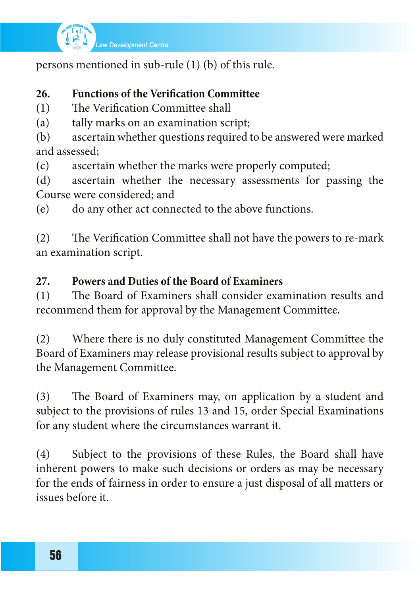

persons mentioned in sub-rule (1) (b) of this rule.

## **26. Functions of the Verification Committee**

- (1) The Verification Committee shall
- (a) tally marks on an examination script;

(b) ascertain whether questions required to be answered were marked and assessed;

(c) ascertain whether the marks were properly computed;

(d) ascertain whether the necessary assessments for passing the Course were considered; and

(e) do any other act connected to the above functions.

(2) The Verification Committee shall not have the powers to re-mark an examination script.

### **27. Powers and Duties of the Board of Examiners**

(1) The Board of Examiners shall consider examination results and recommend them for approval by the Management Committee.

(2) Where there is no duly constituted Management Committee the Board of Examiners may release provisional results subject to approval by the Management Committee.

(3) The Board of Examiners may, on application by a student and subject to the provisions of rules 13 and 15, order Special Examinations for any student where the circumstances warrant it.

(4) Subject to the provisions of these Rules, the Board shall have inherent powers to make such decisions or orders as may be necessary for the ends of fairness in order to ensure a just disposal of all matters or issues before it.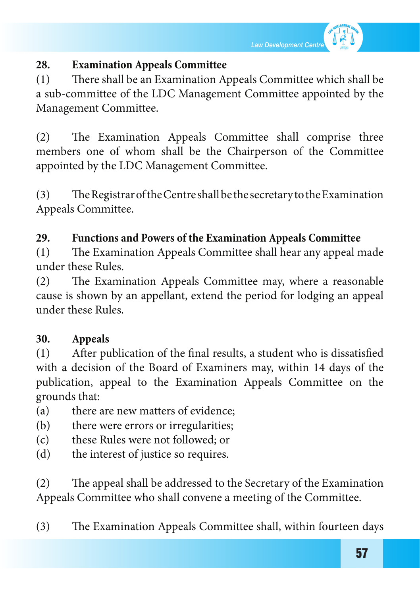

#### **28. Examination Appeals Committee**

(1) There shall be an Examination Appeals Committee which shall be a sub-committee of the LDC Management Committee appointed by the Management Committee.

(2) The Examination Appeals Committee shall comprise three members one of whom shall be the Chairperson of the Committee appointed by the LDC Management Committee.

(3) TheRegistraroftheCentreshallbethesecretarytotheExamination Appeals Committee.

### **29. Functions and Powers of the Examination Appeals Committee**

(1) The Examination Appeals Committee shall hear any appeal made under these Rules.

(2) The Examination Appeals Committee may, where a reasonable cause is shown by an appellant, extend the period for lodging an appeal under these Rules.

### **30. Appeals**

(1) After publication of the final results, a student who is dissatisfied with a decision of the Board of Examiners may, within 14 days of the publication, appeal to the Examination Appeals Committee on the grounds that:

- (a) there are new matters of evidence;
- (b) there were errors or irregularities;
- (c) these Rules were not followed; or
- (d) the interest of justice so requires.

(2) The appeal shall be addressed to the Secretary of the Examination Appeals Committee who shall convene a meeting of the Committee.

(3) The Examination Appeals Committee shall, within fourteen days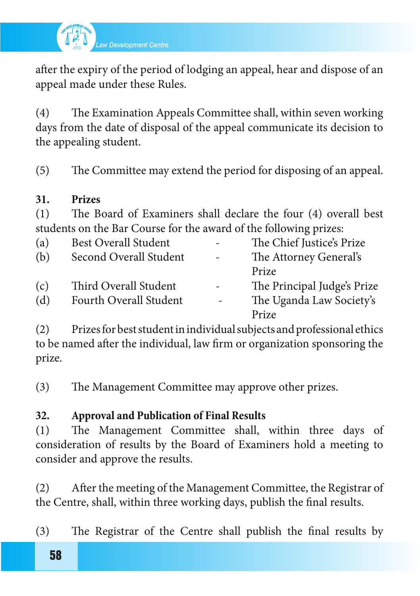

after the expiry of the period of lodging an appeal, hear and dispose of an appeal made under these Rules.

(4) The Examination Appeals Committee shall, within seven working days from the date of disposal of the appeal communicate its decision to the appealing student.

(5) The Committee may extend the period for disposing of an appeal.

### **31. Prizes**

(1) The Board of Examiners shall declare the four (4) overall best students on the Bar Course for the award of the following prizes:

| (a) | <b>Best Overall Student</b> |                          | The Chief Justice's Prize   |
|-----|-----------------------------|--------------------------|-----------------------------|
| (b) | Second Overall Student      |                          | The Attorney General's      |
|     |                             |                          | Prize                       |
| (c) | Third Overall Student       |                          | The Principal Judge's Prize |
| (d) | Fourth Overall Student      | $\overline{\phantom{0}}$ | The Uganda Law Society's    |
|     |                             |                          | Prize                       |

(2) Prizes for best student in individual subjects and professional ethics to be named after the individual, law firm or organization sponsoring the prize.

(3) The Management Committee may approve other prizes.

### **32. Approval and Publication of Final Results**

(1) The Management Committee shall, within three days of consideration of results by the Board of Examiners hold a meeting to consider and approve the results.

(2) After the meeting of the Management Committee, the Registrar of the Centre, shall, within three working days, publish the final results.

(3) The Registrar of the Centre shall publish the final results by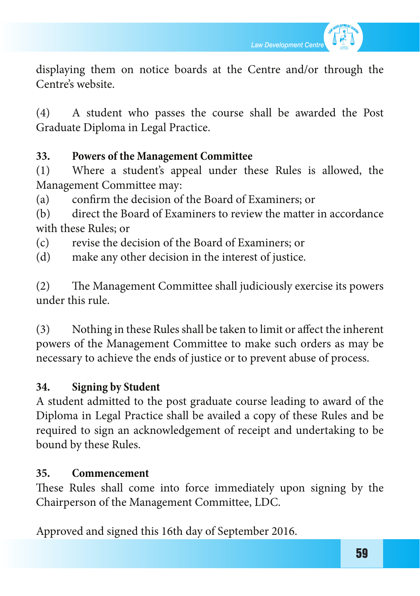

displaying them on notice boards at the Centre and/or through the Centre's website.

(4) A student who passes the course shall be awarded the Post Graduate Diploma in Legal Practice.

## **33. Powers of the Management Committee**

(1) Where a student's appeal under these Rules is allowed, the Management Committee may:

(a) confirm the decision of the Board of Examiners; or

(b) direct the Board of Examiners to review the matter in accordance with these Rules; or

(c) revise the decision of the Board of Examiners; or

(d) make any other decision in the interest of justice.

(2) The Management Committee shall judiciously exercise its powers under this rule.

(3) Nothing in these Rules shall be taken to limit or affect the inherent powers of the Management Committee to make such orders as may be necessary to achieve the ends of justice or to prevent abuse of process.

# **34. Signing by Student**

A student admitted to the post graduate course leading to award of the Diploma in Legal Practice shall be availed a copy of these Rules and be required to sign an acknowledgement of receipt and undertaking to be bound by these Rules.

## **35. Commencement**

These Rules shall come into force immediately upon signing by the Chairperson of the Management Committee, LDC.

Approved and signed this 16th day of September 2016.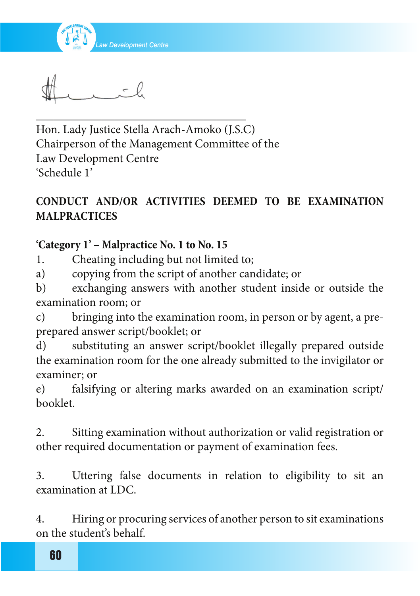

Hon. Lady Justice Stella Arach-Amoko (J.S.C) Chairperson of the Management Committee of the Law Development Centre 'Schedule 1'

\_\_\_\_\_\_\_\_\_\_\_\_\_\_\_\_\_\_\_\_\_\_\_\_\_\_\_\_\_\_\_\_\_\_\_

## **CONDUCT AND/OR ACTIVITIES DEEMED TO BE EXAMINATION MALPRACTICES**

### **'Category 1' – Malpractice No. 1 to No. 15**

1. Cheating including but not limited to;

a) copying from the script of another candidate; or

b) exchanging answers with another student inside or outside the examination room; or

c) bringing into the examination room, in person or by agent, a preprepared answer script/booklet; or

d) substituting an answer script/booklet illegally prepared outside the examination room for the one already submitted to the invigilator or examiner; or

e) falsifying or altering marks awarded on an examination script/ booklet.

2. Sitting examination without authorization or valid registration or other required documentation or payment of examination fees.

3. Uttering false documents in relation to eligibility to sit an examination at LDC.

4. Hiring or procuring services of another person to sit examinations on the student's behalf.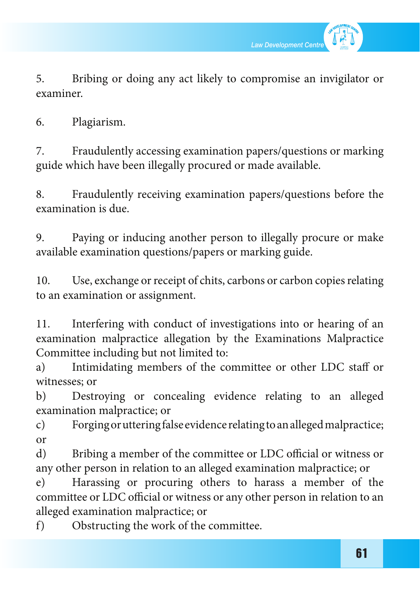

5. Bribing or doing any act likely to compromise an invigilator or examiner.

6. Plagiarism.

7. Fraudulently accessing examination papers/questions or marking guide which have been illegally procured or made available.

8. Fraudulently receiving examination papers/questions before the examination is due.

9. Paying or inducing another person to illegally procure or make available examination questions/papers or marking guide.

10. Use, exchange or receipt of chits, carbons or carbon copies relating to an examination or assignment.

11. Interfering with conduct of investigations into or hearing of an examination malpractice allegation by the Examinations Malpractice Committee including but not limited to:

a) Intimidating members of the committee or other LDC staff or witnesses; or

b) Destroying or concealing evidence relating to an alleged examination malpractice; or

c) Forging or uttering false evidence relating to an alleged malpractice; or

d) Bribing a member of the committee or LDC official or witness or any other person in relation to an alleged examination malpractice; or

e) Harassing or procuring others to harass a member of the committee or LDC official or witness or any other person in relation to an alleged examination malpractice; or

f) Obstructing the work of the committee.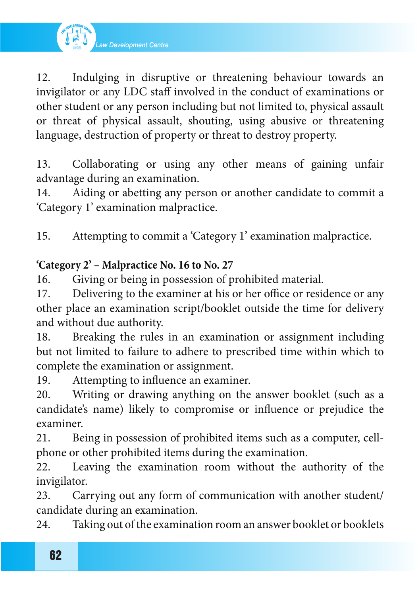

12. Indulging in disruptive or threatening behaviour towards an invigilator or any LDC staff involved in the conduct of examinations or other student or any person including but not limited to, physical assault or threat of physical assault, shouting, using abusive or threatening language, destruction of property or threat to destroy property.

13. Collaborating or using any other means of gaining unfair advantage during an examination.

14. Aiding or abetting any person or another candidate to commit a 'Category 1' examination malpractice.

15. Attempting to commit a 'Category 1' examination malpractice.

## **'Category 2' – Malpractice No. 16 to No. 27**

16. Giving or being in possession of prohibited material.

17. Delivering to the examiner at his or her office or residence or any other place an examination script/booklet outside the time for delivery and without due authority.

18. Breaking the rules in an examination or assignment including but not limited to failure to adhere to prescribed time within which to complete the examination or assignment.

19. Attempting to influence an examiner.

20. Writing or drawing anything on the answer booklet (such as a candidate's name) likely to compromise or influence or prejudice the examiner.

21. Being in possession of prohibited items such as a computer, cellphone or other prohibited items during the examination.

22. Leaving the examination room without the authority of the invigilator.

23. Carrying out any form of communication with another student/ candidate during an examination.

24. Taking out of the examination room an answer booklet or booklets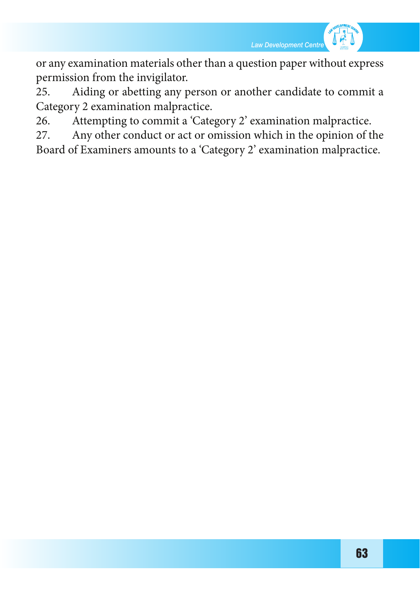

or any examination materials other than a question paper without express permission from the invigilator.

25. Aiding or abetting any person or another candidate to commit a Category 2 examination malpractice.

26. Attempting to commit a 'Category 2' examination malpractice.

27. Any other conduct or act or omission which in the opinion of the

Board of Examiners amounts to a 'Category 2' examination malpractice.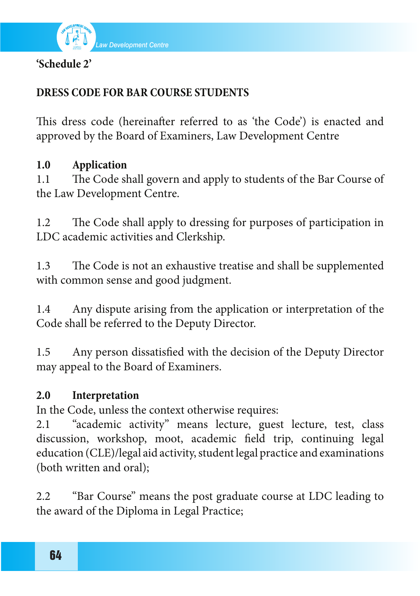

**'Schedule 2'**

# **DRESS CODE FOR BAR COURSE STUDENTS**

This dress code (hereinafter referred to as 'the Code') is enacted and approved by the Board of Examiners, Law Development Centre

## **1.0 Application**

1.1 The Code shall govern and apply to students of the Bar Course of the Law Development Centre.

1.2 The Code shall apply to dressing for purposes of participation in LDC academic activities and Clerkship.

1.3 The Code is not an exhaustive treatise and shall be supplemented with common sense and good judgment.

1.4 Any dispute arising from the application or interpretation of the Code shall be referred to the Deputy Director.

1.5 Any person dissatisfied with the decision of the Deputy Director may appeal to the Board of Examiners.

## **2.0 Interpretation**

In the Code, unless the context otherwise requires:

2.1 "academic activity" means lecture, guest lecture, test, class discussion, workshop, moot, academic field trip, continuing legal education (CLE)/legal aid activity, student legal practice and examinations (both written and oral);

2.2 "Bar Course" means the post graduate course at LDC leading to the award of the Diploma in Legal Practice;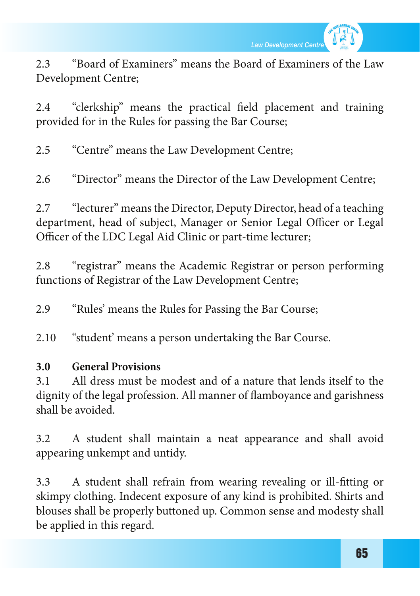

2.3 "Board of Examiners" means the Board of Examiners of the Law Development Centre;

2.4 "clerkship" means the practical field placement and training provided for in the Rules for passing the Bar Course;

2.5 "Centre" means the Law Development Centre;

2.6 "Director" means the Director of the Law Development Centre;

2.7 "Secturer" means the Director, Deputy Director, head of a teaching department, head of subject, Manager or Senior Legal Officer or Legal Officer of the LDC Legal Aid Clinic or part-time lecturer;

2.8 "registrar" means the Academic Registrar or person performing functions of Registrar of the Law Development Centre;

2.9 "Rules' means the Rules for Passing the Bar Course;

2.10 "student' means a person undertaking the Bar Course.

### **3.0 General Provisions**

3.1 All dress must be modest and of a nature that lends itself to the dignity of the legal profession. All manner of flamboyance and garishness shall be avoided.

3.2 A student shall maintain a neat appearance and shall avoid appearing unkempt and untidy.

3.3 A student shall refrain from wearing revealing or ill-fitting or skimpy clothing. Indecent exposure of any kind is prohibited. Shirts and blouses shall be properly buttoned up. Common sense and modesty shall be applied in this regard.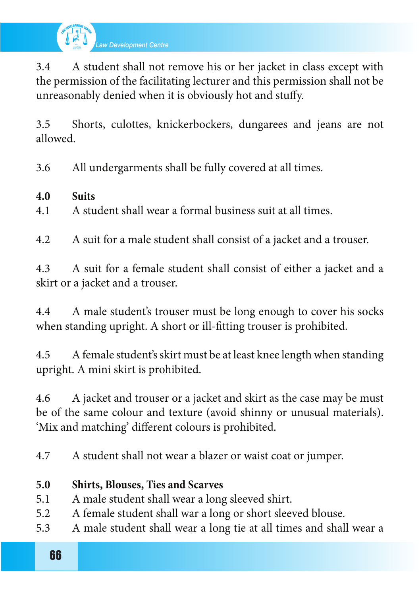

3.4 A student shall not remove his or her jacket in class except with the permission of the facilitating lecturer and this permission shall not be unreasonably denied when it is obviously hot and stuffy.

3.5 Shorts, culottes, knickerbockers, dungarees and jeans are not allowed.

3.6 All undergarments shall be fully covered at all times.

### **4.0 Suits**

4.1 A student shall wear a formal business suit at all times.

4.2 A suit for a male student shall consist of a jacket and a trouser.

4.3 A suit for a female student shall consist of either a jacket and a skirt or a jacket and a trouser.

4.4 A male student's trouser must be long enough to cover his socks when standing upright. A short or ill-fitting trouser is prohibited.

4.5 A female student's skirt must be at least knee length when standing upright. A mini skirt is prohibited.

4.6 A jacket and trouser or a jacket and skirt as the case may be must be of the same colour and texture (avoid shinny or unusual materials). 'Mix and matching' different colours is prohibited.

4.7 A student shall not wear a blazer or waist coat or jumper.

### **5.0 Shirts, Blouses, Ties and Scarves**

- 5.1 A male student shall wear a long sleeved shirt.
- 5.2 A female student shall war a long or short sleeved blouse.
- 5.3 A male student shall wear a long tie at all times and shall wear a

66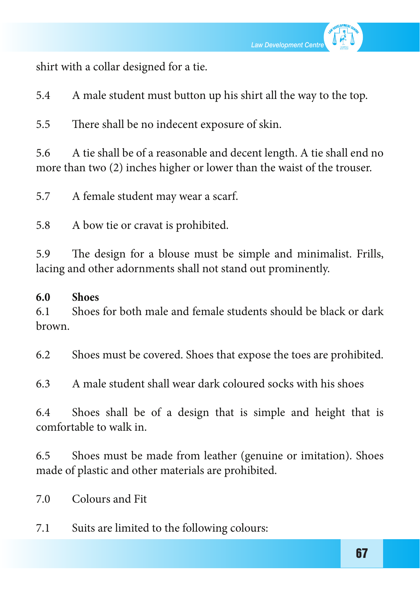

shirt with a collar designed for a tie.

5.4 A male student must button up his shirt all the way to the top.

5.5 There shall be no indecent exposure of skin.

5.6 A tie shall be of a reasonable and decent length. A tie shall end no more than two (2) inches higher or lower than the waist of the trouser.

5.7 A female student may wear a scarf.

5.8 A bow tie or cravat is prohibited.

5.9 The design for a blouse must be simple and minimalist. Frills, lacing and other adornments shall not stand out prominently.

#### **6.0 Shoes**

6.1 Shoes for both male and female students should be black or dark brown.

6.2 Shoes must be covered. Shoes that expose the toes are prohibited.

6.3 A male student shall wear dark coloured socks with his shoes

6.4 Shoes shall be of a design that is simple and height that is comfortable to walk in.

6.5 Shoes must be made from leather (genuine or imitation). Shoes made of plastic and other materials are prohibited.

7.0 Colours and Fit

7.1 Suits are limited to the following colours: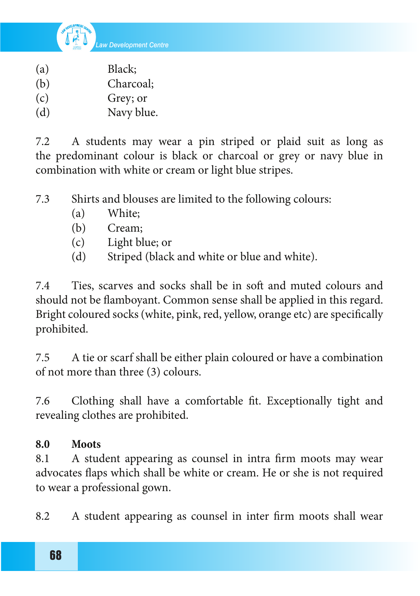

- (a) Black;
- (b) Charcoal;
- $\text{Grev: or}$
- (d) Navy blue.

7.2 A students may wear a pin striped or plaid suit as long as the predominant colour is black or charcoal or grey or navy blue in combination with white or cream or light blue stripes.

- 7.3 Shirts and blouses are limited to the following colours:
	- (a) White:
	- (b) Cream;
	- (c) Light blue; or
	- (d) Striped (black and white or blue and white).

7.4 Ties, scarves and socks shall be in soft and muted colours and should not be flamboyant. Common sense shall be applied in this regard. Bright coloured socks (white, pink, red, yellow, orange etc) are specifically prohibited.

7.5 A tie or scarf shall be either plain coloured or have a combination of not more than three (3) colours.

7.6 Clothing shall have a comfortable fit. Exceptionally tight and revealing clothes are prohibited.

### **8.0 Moots**

8.1 A student appearing as counsel in intra firm moots may wear advocates flaps which shall be white or cream. He or she is not required to wear a professional gown.

8.2 A student appearing as counsel in inter firm moots shall wear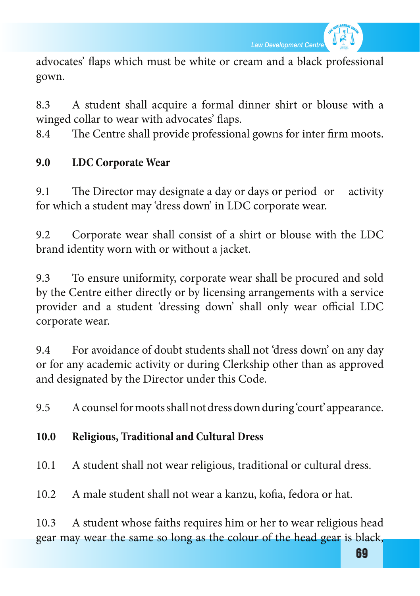

advocates' flaps which must be white or cream and a black professional gown.

8.3 A student shall acquire a formal dinner shirt or blouse with a winged collar to wear with advocates' flaps.

8.4 The Centre shall provide professional gowns for inter firm moots.

### **9.0 LDC Corporate Wear**

9.1 The Director may designate a day or days or period or activity for which a student may 'dress down' in LDC corporate wear.

9.2 Corporate wear shall consist of a shirt or blouse with the LDC brand identity worn with or without a jacket.

9.3 To ensure uniformity, corporate wear shall be procured and sold by the Centre either directly or by licensing arrangements with a service provider and a student 'dressing down' shall only wear official LDC corporate wear.

9.4 For avoidance of doubt students shall not 'dress down' on any day or for any academic activity or during Clerkship other than as approved and designated by the Director under this Code.

9.5 A counsel for moots shall not dress down during 'court' appearance.

### **10.0 Religious, Traditional and Cultural Dress**

10.1 A student shall not wear religious, traditional or cultural dress.

10.2 A male student shall not wear a kanzu, kofia, fedora or hat.

10.3 A student whose faiths requires him or her to wear religious head gear may wear the same so long as the colour of the head gear is black,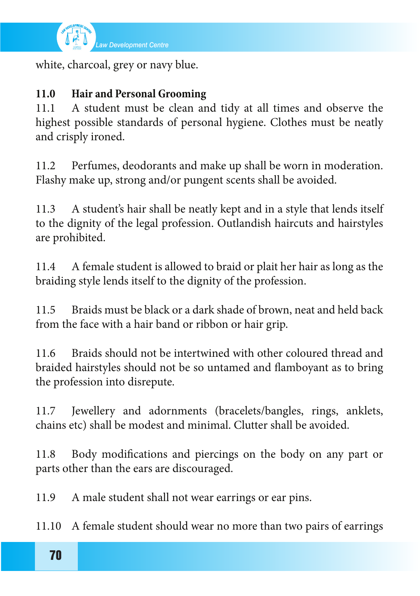

white, charcoal, grey or navy blue.

## **11.0 Hair and Personal Grooming**

11.1 A student must be clean and tidy at all times and observe the highest possible standards of personal hygiene. Clothes must be neatly and crisply ironed.

11.2 Perfumes, deodorants and make up shall be worn in moderation. Flashy make up, strong and/or pungent scents shall be avoided.

11.3 A student's hair shall be neatly kept and in a style that lends itself to the dignity of the legal profession. Outlandish haircuts and hairstyles are prohibited.

11.4 A female student is allowed to braid or plait her hair as long as the braiding style lends itself to the dignity of the profession.

11.5 Braids must be black or a dark shade of brown, neat and held back from the face with a hair band or ribbon or hair grip.

11.6 Braids should not be intertwined with other coloured thread and braided hairstyles should not be so untamed and flamboyant as to bring the profession into disrepute.

11.7 Jewellery and adornments (bracelets/bangles, rings, anklets, chains etc) shall be modest and minimal. Clutter shall be avoided.

11.8 Body modifications and piercings on the body on any part or parts other than the ears are discouraged.

11.9 A male student shall not wear earrings or ear pins.

11.10 A female student should wear no more than two pairs of earrings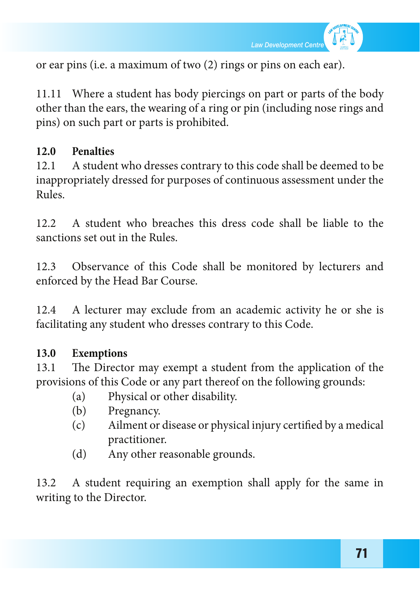

or ear pins (i.e. a maximum of two (2) rings or pins on each ear).

11.11 Where a student has body piercings on part or parts of the body other than the ears, the wearing of a ring or pin (including nose rings and pins) on such part or parts is prohibited.

#### **12.0 Penalties**

12.1 A student who dresses contrary to this code shall be deemed to be inappropriately dressed for purposes of continuous assessment under the Rules.

12.2 A student who breaches this dress code shall be liable to the sanctions set out in the Rules.

12.3 Observance of this Code shall be monitored by lecturers and enforced by the Head Bar Course.

12.4 A lecturer may exclude from an academic activity he or she is facilitating any student who dresses contrary to this Code.

### **13.0 Exemptions**

13.1 The Director may exempt a student from the application of the provisions of this Code or any part thereof on the following grounds:

- (a) Physical or other disability.
- (b) Pregnancy.
- (c) Ailment or disease or physical injury certified by a medical practitioner.
- (d) Any other reasonable grounds.

13.2 A student requiring an exemption shall apply for the same in writing to the Director.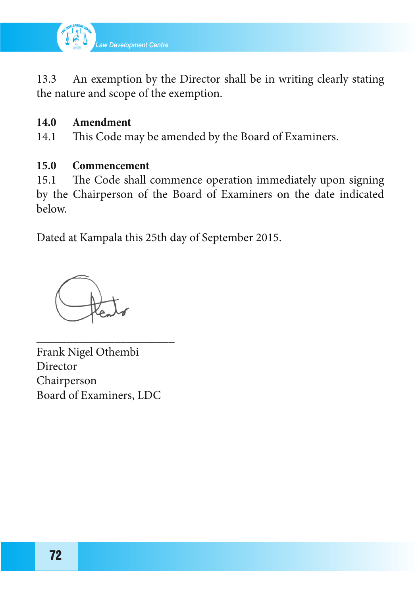

13.3 An exemption by the Director shall be in writing clearly stating the nature and scope of the exemption.

#### **14.0 Amendment**

14.1 This Code may be amended by the Board of Examiners.

#### **15.0 Commencement**

15.1 The Code shall commence operation immediately upon signing by the Chairperson of the Board of Examiners on the date indicated below.

Dated at Kampala this 25th day of September 2015.

\_\_\_\_\_\_\_\_\_\_\_\_\_\_\_\_\_\_\_\_\_\_\_ Frank Nigel Othembi Director Chairperson Board of Examiners, LDC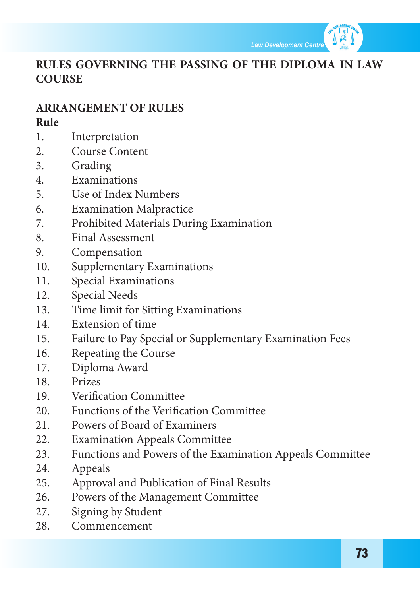

# **RULES GOVERNING THE PASSING OF THE DIPLOMA IN LAW COURSE**

#### **ARRANGEMENT OF RULES Rule**

- 1. Interpretation
- 2. Course Content
- 3. Grading
- 4. Examinations
- 5. Use of Index Numbers
- 6. Examination Malpractice
- 7. Prohibited Materials During Examination
- 8. Final Assessment
- 9. Compensation
- 10. Supplementary Examinations
- 11. Special Examinations
- 12. Special Needs
- 13. Time limit for Sitting Examinations
- 14. Extension of time
- 15. Failure to Pay Special or Supplementary Examination Fees
- 16. Repeating the Course
- 17. Diploma Award
- 18. Prizes
- 19. Verification Committee
- 20. Functions of the Verification Committee
- 21. Powers of Board of Examiners
- 22. Examination Appeals Committee
- 23. Functions and Powers of the Examination Appeals Committee
- 24. Appeals
- 25. Approval and Publication of Final Results
- 26. Powers of the Management Committee
- 27. Signing by Student
- 28. Commencement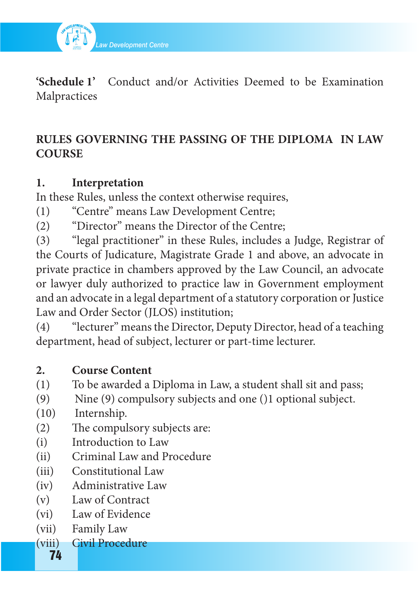

**'Schedule 1'** Conduct and/or Activities Deemed to be Examination Malpractices

# **RULES GOVERNING THE PASSING OF THE DIPLOMA IN LAW COURSE**

#### **1. Interpretation**

In these Rules, unless the context otherwise requires,

- (1) "Centre" means Law Development Centre;
- (2) "Director" means the Director of the Centre;

(3) "legal practitioner" in these Rules, includes a Judge, Registrar of the Courts of Judicature, Magistrate Grade 1 and above, an advocate in private practice in chambers approved by the Law Council, an advocate or lawyer duly authorized to practice law in Government employment and an advocate in a legal department of a statutory corporation or Justice Law and Order Sector (JLOS) institution;

(4) "lecturer" means the Director, Deputy Director, head of a teaching department, head of subject, lecturer or part-time lecturer.

## **2. Course Content**

- (1) To be awarded a Diploma in Law, a student shall sit and pass;
- (9) Nine (9) compulsory subjects and one ()1 optional subject.
- (10) Internship.
- (2) The compulsory subjects are:
- (i) Introduction to Law
- (ii) Criminal Law and Procedure
- (iii) Constitutional Law
- (iv) Administrative Law
- (v) Law of Contract
- (vi) Law of Evidence
- (vii) Family Law
- (viii) Civil Procedure

74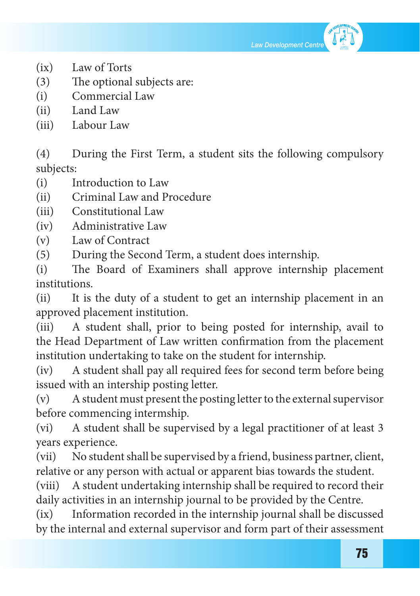

- (ix) Law of Torts
- (3) The optional subjects are:
- (i) Commercial Law
- (ii) Land Law
- (iii) Labour Law

(4) During the First Term, a student sits the following compulsory subjects:

- (i) Introduction to Law
- (ii) Criminal Law and Procedure
- (iii) Constitutional Law
- (iv) Administrative Law
- (v) Law of Contract
- (5) During the Second Term, a student does internship.

(i) The Board of Examiners shall approve internship placement institutions.

(ii) It is the duty of a student to get an internship placement in an approved placement institution.

(iii) A student shall, prior to being posted for internship, avail to the Head Department of Law written confirmation from the placement institution undertaking to take on the student for internship.

(iv) A student shall pay all required fees for second term before being issued with an intership posting letter.

 $(v)$  A student must present the posting letter to the external supervisor before commencing intermship.

(vi) A student shall be supervised by a legal practitioner of at least 3 years experience.

(vii) No student shall be supervised by a friend, business partner, client, relative or any person with actual or apparent bias towards the student.

(viii) A student undertaking internship shall be required to record their daily activities in an internship journal to be provided by the Centre.

(ix) Information recorded in the internship journal shall be discussed by the internal and external supervisor and form part of their assessment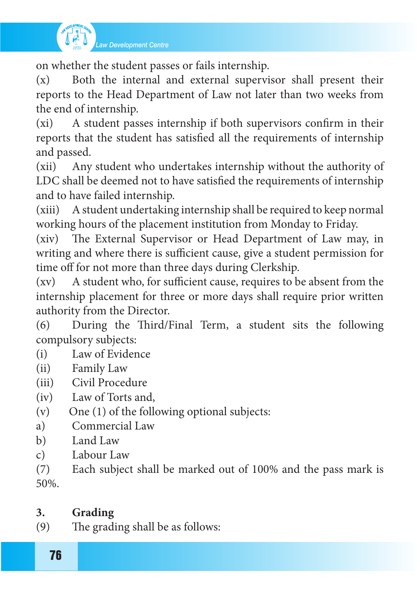

*Law Development Centre*

on whether the student passes or fails internship.

(x) Both the internal and external supervisor shall present their reports to the Head Department of Law not later than two weeks from the end of internship.

(xi) A student passes internship if both supervisors confirm in their reports that the student has satisfied all the requirements of internship and passed.

(xii) Any student who undertakes internship without the authority of LDC shall be deemed not to have satisfied the requirements of internship and to have failed internship.

(xiii) Astudent undertaking internship shall be required to keep normal working hours of the placement institution from Monday to Friday.

(xiv) The External Supervisor or Head Department of Law may, in writing and where there is sufficient cause, give a student permission for time off for not more than three days during Clerkship.

(xv) A student who, for sufficient cause, requires to be absent from the internship placement for three or more days shall require prior written authority from the Director.

(6) During the Third/Final Term, a student sits the following compulsory subjects:

- (i) Law of Evidence
- (ii) Family Law
- (iii) Civil Procedure
- (iv) Law of Torts and,
- (v) One (1) of the following optional subjects:
- a) Commercial Law
- b) Land Law
- c) Labour Law

(7) Each subject shall be marked out of 100% and the pass mark is 50%.

## **3. Grading**

(9) The grading shall be as follows:

76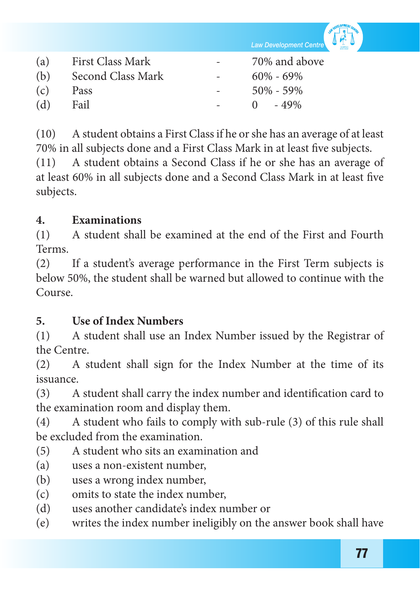

*Law Development Centre*

| (a) | <b>First Class Mark</b> | 70% and above       |
|-----|-------------------------|---------------------|
| (b) | Second Class Mark       | $60\% - 69\%$       |
| (c) | Pass                    | $50\% - 59\%$       |
| (d) | Fail                    | $-49\%$<br>$\Omega$ |
|     |                         |                     |

(10) A student obtains a First Classif he orshe has an average of at least 70% in all subjects done and a First Class Mark in at least five subjects.

(11) A student obtains a Second Class if he or she has an average of at least 60% in all subjects done and a Second Class Mark in at least five subjects.

# **4. Examinations**

(1) A student shall be examined at the end of the First and Fourth Terms.

(2) If a student's average performance in the First Term subjects is below 50%, the student shall be warned but allowed to continue with the Course.

# **5. Use of Index Numbers**

(1) A student shall use an Index Number issued by the Registrar of the Centre.

(2) A student shall sign for the Index Number at the time of its issuance.

(3) A student shall carry the index number and identification card to the examination room and display them.

(4) A student who fails to comply with sub-rule (3) of this rule shall be excluded from the examination.

- (5) A student who sits an examination and
- (a) uses a non-existent number,
- (b) uses a wrong index number,
- (c) omits to state the index number,
- (d) uses another candidate's index number or
- (e) writes the index number ineligibly on the answer book shall have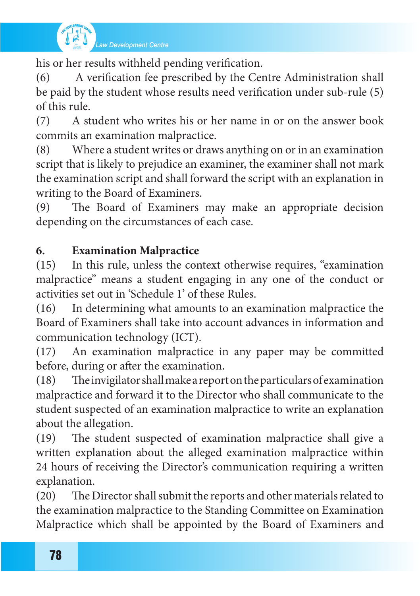

his or her results withheld pending verification.

(6) A verification fee prescribed by the Centre Administration shall be paid by the student whose results need verification under sub-rule (5) of this rule.

(7) A student who writes his or her name in or on the answer book commits an examination malpractice.

 $(8)$  Where a student writes or draws anything on or in an examination script that is likely to prejudice an examiner, the examiner shall not mark the examination script and shall forward the script with an explanation in writing to the Board of Examiners.

(9) The Board of Examiners may make an appropriate decision depending on the circumstances of each case.

# **6. Examination Malpractice**

(15) In this rule, unless the context otherwise requires, "examination malpractice" means a student engaging in any one of the conduct or activities set out in 'Schedule 1' of these Rules.

(16) In determining what amounts to an examination malpractice the Board of Examiners shall take into account advances in information and communication technology (ICT).

(17) An examination malpractice in any paper may be committed before, during or after the examination.

(18) Theinvigilatorshallmakeareportontheparticularsofexamination malpractice and forward it to the Director who shall communicate to the student suspected of an examination malpractice to write an explanation about the allegation.

(19) The student suspected of examination malpractice shall give a written explanation about the alleged examination malpractice within 24 hours of receiving the Director's communication requiring a written explanation.

(20) The Director shall submit the reports and other materials related to the examination malpractice to the Standing Committee on Examination Malpractice which shall be appointed by the Board of Examiners and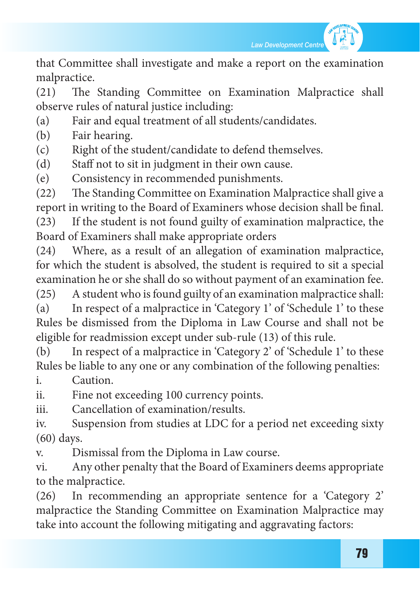

that Committee shall investigate and make a report on the examination malpractice.

(21) The Standing Committee on Examination Malpractice shall observe rules of natural justice including:

(a) Fair and equal treatment of all students/candidates.

(b) Fair hearing.

(c) Right of the student/candidate to defend themselves.

(d) Staff not to sit in judgment in their own cause.

(e) Consistency in recommended punishments.

(22) The Standing Committee on Examination Malpractice shall give a report in writing to the Board of Examiners whose decision shall be final.

(23) If the student is not found guilty of examination malpractice, the Board of Examiners shall make appropriate orders

(24) Where, as a result of an allegation of examination malpractice, for which the student is absolved, the student is required to sit a special examination he or she shall do so without payment of an examination fee.

(25) A student who is found guilty of an examination malpractice shall:

(a) In respect of a malpractice in 'Category 1' of 'Schedule 1' to these Rules be dismissed from the Diploma in Law Course and shall not be eligible for readmission except under sub-rule (13) of this rule.

(b) In respect of a malpractice in 'Category 2' of 'Schedule 1' to these Rules be liable to any one or any combination of the following penalties:

i. **Caution.** 

ii. Fine not exceeding 100 currency points.

iii. Cancellation of examination/results.

iv. Suspension from studies at LDC for a period net exceeding sixty (60) days.

v. Dismissal from the Diploma in Law course.

vi. Any other penalty that the Board of Examiners deems appropriate to the malpractice.

(26) In recommending an appropriate sentence for a 'Category 2' malpractice the Standing Committee on Examination Malpractice may take into account the following mitigating and aggravating factors: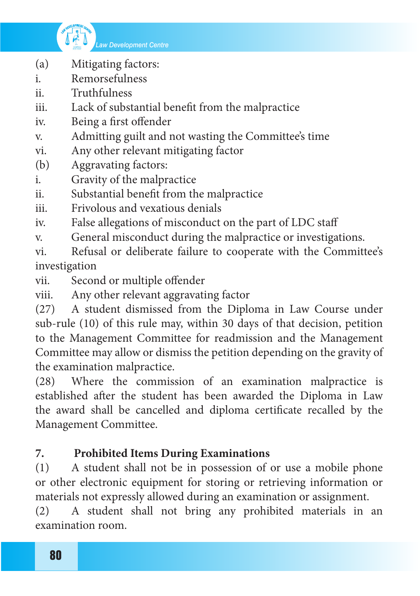

- (a) Mitigating factors:
- i. Remorsefulness
- ii. Truthfulness
- iii. Lack of substantial benefit from the malpractice
- iv. Being a first offender
- v. Admitting guilt and not wasting the Committee's time
- vi. Any other relevant mitigating factor
- (b) Aggravating factors:
- i. Gravity of the malpractice
- ii. Substantial benefit from the malpractice
- iii. Frivolous and vexatious denials
- iv. False allegations of misconduct on the part of LDC staff
- v. General misconduct during the malpractice or investigations.
- vi. Refusal or deliberate failure to cooperate with the Committee's investigation
- vii. Second or multiple offender
- viii. Any other relevant aggravating factor
- (27) A student dismissed from the Diploma in Law Course under sub-rule (10) of this rule may, within 30 days of that decision, petition to the Management Committee for readmission and the Management Committee may allow or dismiss the petition depending on the gravity of the examination malpractice.

(28) Where the commission of an examination malpractice is established after the student has been awarded the Diploma in Law the award shall be cancelled and diploma certificate recalled by the Management Committee.

# **7. Prohibited Items During Examinations**

(1) A student shall not be in possession of or use a mobile phone or other electronic equipment for storing or retrieving information or materials not expressly allowed during an examination or assignment.

(2) A student shall not bring any prohibited materials in an examination room.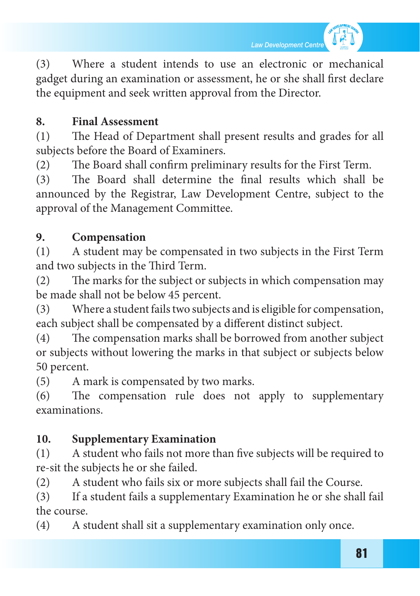

(3) Where a student intends to use an electronic or mechanical gadget during an examination or assessment, he or she shall first declare the equipment and seek written approval from the Director.

# **8. Final Assessment**

(1) The Head of Department shall present results and grades for all subjects before the Board of Examiners.

(2) The Board shall confirm preliminary results for the First Term.

(3) The Board shall determine the final results which shall be announced by the Registrar, Law Development Centre, subject to the approval of the Management Committee.

## **9. Compensation**

(1) A student may be compensated in two subjects in the First Term and two subjects in the Third Term.

(2) The marks for the subject or subjects in which compensation may be made shall not be below 45 percent.

(3) Where a student fails two subjects and is eligible for compensation, each subject shall be compensated by a different distinct subject.

(4) The compensation marks shall be borrowed from another subject or subjects without lowering the marks in that subject or subjects below 50 percent.

(5) A mark is compensated by two marks.

(6) The compensation rule does not apply to supplementary examinations.

# **10. Supplementary Examination**

(1) A student who fails not more than five subjects will be required to re-sit the subjects he or she failed.

(2) A student who fails six or more subjects shall fail the Course.

(3) If a student fails a supplementary Examination he or she shall fail the course.

(4) A student shall sit a supplementary examination only once.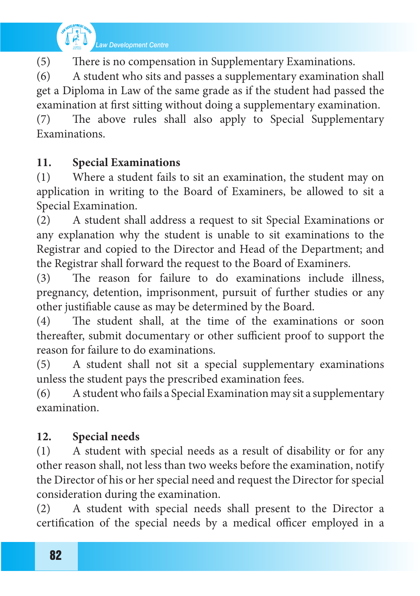

(5) There is no compensation in Supplementary Examinations.

(6) A student who sits and passes a supplementary examination shall get a Diploma in Law of the same grade as if the student had passed the examination at first sitting without doing a supplementary examination.

(7) The above rules shall also apply to Special Supplementary Examinations.

## **11. Special Examinations**

(1) Where a student fails to sit an examination, the student may on application in writing to the Board of Examiners, be allowed to sit a Special Examination.

(2) A student shall address a request to sit Special Examinations or any explanation why the student is unable to sit examinations to the Registrar and copied to the Director and Head of the Department; and the Registrar shall forward the request to the Board of Examiners.

(3) The reason for failure to do examinations include illness, pregnancy, detention, imprisonment, pursuit of further studies or any other justifiable cause as may be determined by the Board.

(4) The student shall, at the time of the examinations or soon thereafter, submit documentary or other sufficient proof to support the reason for failure to do examinations.

(5) A student shall not sit a special supplementary examinations unless the student pays the prescribed examination fees.

(6) Astudentwho fails a Special Examination may sit a supplementary examination.

# **12. Special needs**

(1) A student with special needs as a result of disability or for any other reason shall, not less than two weeks before the examination, notify the Director of his or her special need and request the Director for special consideration during the examination.

(2) A student with special needs shall present to the Director a certification of the special needs by a medical officer employed in a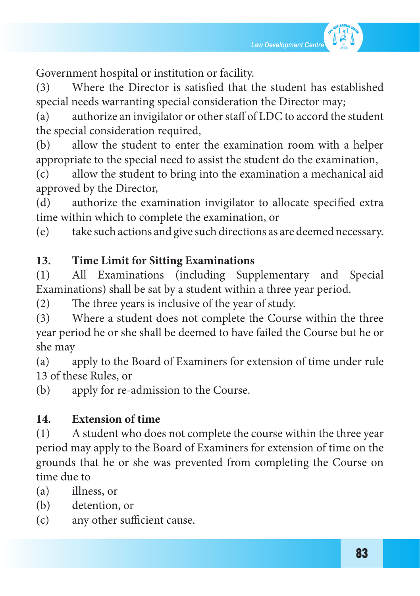

Government hospital or institution or facility.

(3) Where the Director is satisfied that the student has established special needs warranting special consideration the Director may;

(a) authorize an invigilator or other staff of LDC to accord the student the special consideration required,

(b) allow the student to enter the examination room with a helper appropriate to the special need to assist the student do the examination,

(c) allow the student to bring into the examination a mechanical aid approved by the Director,

(d) authorize the examination invigilator to allocate specified extra time within which to complete the examination, or

(e) take such actions and give such directions as are deemed necessary.

## **13. Time Limit for Sitting Examinations**

(1) All Examinations (including Supplementary and Special Examinations) shall be sat by a student within a three year period.

(2) The three years is inclusive of the year of study.

(3) Where a student does not complete the Course within the three year period he or she shall be deemed to have failed the Course but he or she may

(a) apply to the Board of Examiners for extension of time under rule 13 of these Rules, or

(b) apply for re-admission to the Course.

#### **14. Extension of time**

(1) A student who does not complete the course within the three year period may apply to the Board of Examiners for extension of time on the grounds that he or she was prevented from completing the Course on time due to

- (a) illness, or
- (b) detention, or
- (c) any other sufficient cause.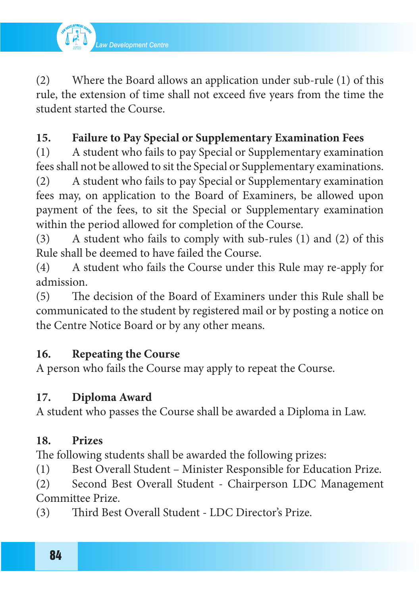

(2) Where the Board allows an application under sub-rule  $(1)$  of this rule, the extension of time shall not exceed five years from the time the student started the Course.

## **15. Failure to Pay Special or Supplementary Examination Fees**

(1) A student who fails to pay Special or Supplementary examination feesshall not be allowed to sit the Special or Supplementary examinations.

(2) A student who fails to pay Special or Supplementary examination fees may, on application to the Board of Examiners, be allowed upon payment of the fees, to sit the Special or Supplementary examination within the period allowed for completion of the Course.

 $(3)$  A student who fails to comply with sub-rules  $(1)$  and  $(2)$  of this Rule shall be deemed to have failed the Course.

(4) A student who fails the Course under this Rule may re-apply for admission.

(5) The decision of the Board of Examiners under this Rule shall be communicated to the student by registered mail or by posting a notice on the Centre Notice Board or by any other means.

# **16. Repeating the Course**

A person who fails the Course may apply to repeat the Course.

# **17. Diploma Award**

A student who passes the Course shall be awarded a Diploma in Law.

## **18. Prizes**

The following students shall be awarded the following prizes:

(1) Best Overall Student – Minister Responsible for Education Prize.

(2) Second Best Overall Student - Chairperson LDC Management Committee Prize.

(3) Third Best Overall Student - LDC Director's Prize.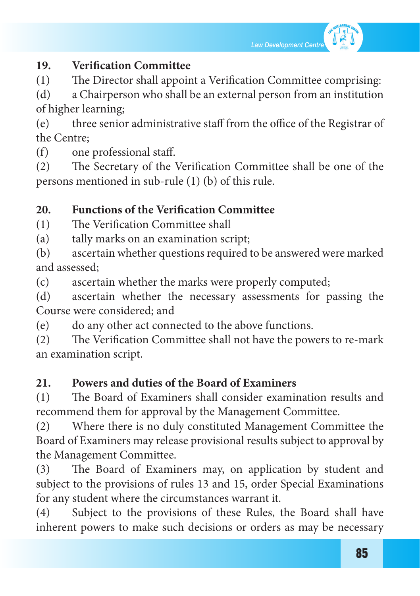## **19. Verification Committee**

(1) The Director shall appoint a Verification Committee comprising:

(d) a Chairperson who shall be an external person from an institution of higher learning;

(e) three senior administrative staff from the office of the Registrar of the Centre;

(f) one professional staff.

(2) The Secretary of the Verification Committee shall be one of the persons mentioned in sub-rule (1) (b) of this rule.

## **20. Functions of the Verification Committee**

(1) The Verification Committee shall

(a) tally marks on an examination script;

(b) ascertain whether questions required to be answered were marked and assessed;

(c) ascertain whether the marks were properly computed;

(d) ascertain whether the necessary assessments for passing the Course were considered; and

(e) do any other act connected to the above functions.

(2) The Verification Committee shall not have the powers to re-mark an examination script.

## **21. Powers and duties of the Board of Examiners**

(1) The Board of Examiners shall consider examination results and recommend them for approval by the Management Committee.

(2) Where there is no duly constituted Management Committee the Board of Examiners may release provisional results subject to approval by the Management Committee.

(3) The Board of Examiners may, on application by student and subject to the provisions of rules 13 and 15, order Special Examinations for any student where the circumstances warrant it.

(4) Subject to the provisions of these Rules, the Board shall have inherent powers to make such decisions or orders as may be necessary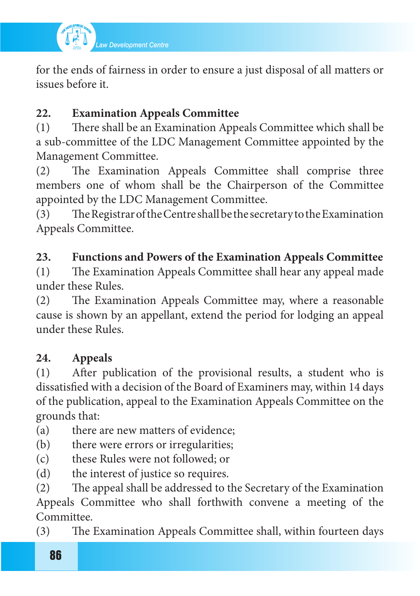

for the ends of fairness in order to ensure a just disposal of all matters or issues before it.

# **22. Examination Appeals Committee**

(1) There shall be an Examination Appeals Committee which shall be a sub-committee of the LDC Management Committee appointed by the Management Committee.

(2) The Examination Appeals Committee shall comprise three members one of whom shall be the Chairperson of the Committee appointed by the LDC Management Committee.

(3) TheRegistraroftheCentreshallbethesecretarytotheExamination Appeals Committee.

## **23. Functions and Powers of the Examination Appeals Committee**

(1) The Examination Appeals Committee shall hear any appeal made under these Rules.

(2) The Examination Appeals Committee may, where a reasonable cause is shown by an appellant, extend the period for lodging an appeal under these Rules.

## **24. Appeals**

(1) After publication of the provisional results, a student who is dissatisfied with a decision of the Board of Examiners may, within 14 days of the publication, appeal to the Examination Appeals Committee on the grounds that:

- (a) there are new matters of evidence;
- (b) there were errors or irregularities;
- (c) these Rules were not followed; or
- (d) the interest of justice so requires.

(2) The appeal shall be addressed to the Secretary of the Examination Appeals Committee who shall forthwith convene a meeting of the Committee.

(3) The Examination Appeals Committee shall, within fourteen days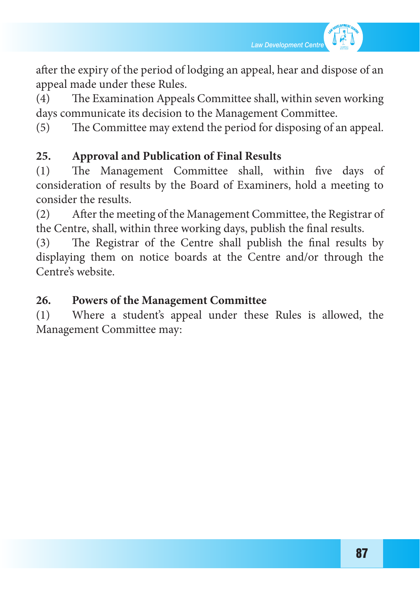

after the expiry of the period of lodging an appeal, hear and dispose of an appeal made under these Rules.

(4) The Examination Appeals Committee shall, within seven working days communicate its decision to the Management Committee.

(5) The Committee may extend the period for disposing of an appeal.

# **25. Approval and Publication of Final Results**

(1) The Management Committee shall, within five days of consideration of results by the Board of Examiners, hold a meeting to consider the results.

(2) After the meeting of the Management Committee, the Registrar of the Centre, shall, within three working days, publish the final results.

(3) The Registrar of the Centre shall publish the final results by displaying them on notice boards at the Centre and/or through the Centre's website.

## **26. Powers of the Management Committee**

(1) Where a student's appeal under these Rules is allowed, the Management Committee may: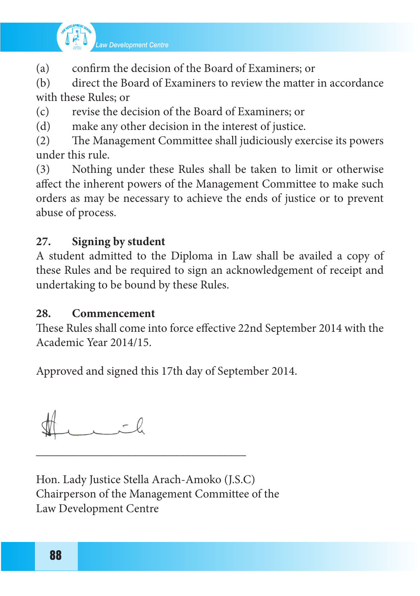

(a) confirm the decision of the Board of Examiners; or

(b) direct the Board of Examiners to review the matter in accordance with these Rules; or

- (c) revise the decision of the Board of Examiners; or
- (d) make any other decision in the interest of justice.

(2) The Management Committee shall judiciously exercise its powers under this rule.

(3) Nothing under these Rules shall be taken to limit or otherwise affect the inherent powers of the Management Committee to make such orders as may be necessary to achieve the ends of justice or to prevent abuse of process.

# **27. Signing by student**

A student admitted to the Diploma in Law shall be availed a copy of these Rules and be required to sign an acknowledgement of receipt and undertaking to be bound by these Rules.

## **28. Commencement**

These Rules shall come into force effective 22nd September 2014 with the Academic Year 2014/15.

Approved and signed this 17th day of September 2014.

Hon. Lady Justice Stella Arach-Amoko (J.S.C) Chairperson of the Management Committee of the Law Development Centre

 $\_$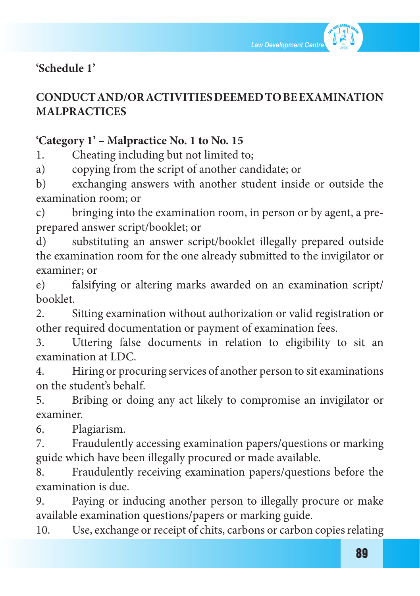

# **'Schedule 1'**

# **CONDUCT AND/OR ACTIVITIES DEEMED TO BE EXAMINATION MALPRACTICES**

## **'Category 1' – Malpractice No. 1 to No. 15**

1. Cheating including but not limited to;

a) copying from the script of another candidate; or

b) exchanging answers with another student inside or outside the examination room; or

c) bringing into the examination room, in person or by agent, a preprepared answer script/booklet; or

d) substituting an answer script/booklet illegally prepared outside the examination room for the one already submitted to the invigilator or examiner; or

e) falsifying or altering marks awarded on an examination script/ booklet.

2. Sitting examination without authorization or valid registration or other required documentation or payment of examination fees.

3. Uttering false documents in relation to eligibility to sit an examination at LDC.

4. Hiring or procuring services of another person to sit examinations on the student's behalf.

5. Bribing or doing any act likely to compromise an invigilator or examiner.

6. Plagiarism.

7. Fraudulently accessing examination papers/questions or marking guide which have been illegally procured or made available.

8. Fraudulently receiving examination papers/questions before the examination is due.

9. Paying or inducing another person to illegally procure or make available examination questions/papers or marking guide.

10. Use, exchange or receipt of chits, carbons or carbon copies relating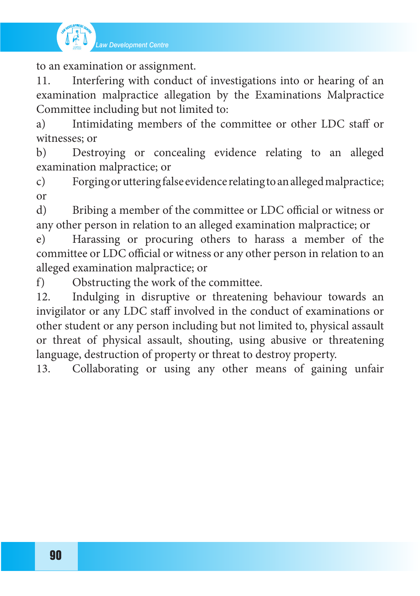

to an examination or assignment.

11. Interfering with conduct of investigations into or hearing of an examination malpractice allegation by the Examinations Malpractice Committee including but not limited to:

a) Intimidating members of the committee or other LDC staff or witnesses; or

b) Destroying or concealing evidence relating to an alleged examination malpractice; or

c) Forging or uttering false evidence relating to an alleged malpractice; or

d) Bribing a member of the committee or LDC official or witness or any other person in relation to an alleged examination malpractice; or

e) Harassing or procuring others to harass a member of the committee or LDC official or witness or any other person in relation to an alleged examination malpractice; or

f) Obstructing the work of the committee.

12. Indulging in disruptive or threatening behaviour towards an invigilator or any LDC staff involved in the conduct of examinations or other student or any person including but not limited to, physical assault or threat of physical assault, shouting, using abusive or threatening language, destruction of property or threat to destroy property.

13. Collaborating or using any other means of gaining unfair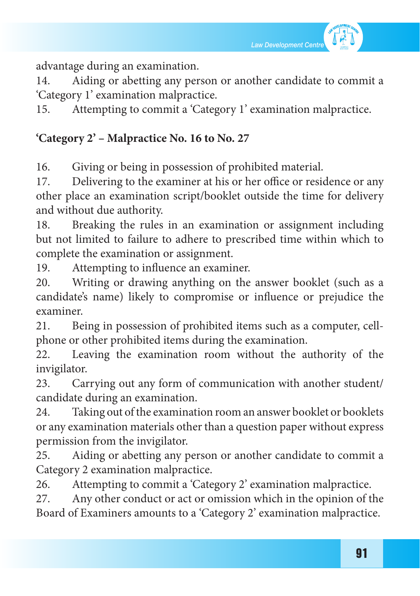*Law Development Centre*

advantage during an examination.

14. Aiding or abetting any person or another candidate to commit a 'Category 1' examination malpractice.

15. Attempting to commit a 'Category 1' examination malpractice.

## **'Category 2' – Malpractice No. 16 to No. 27**

16. Giving or being in possession of prohibited material.

17. Delivering to the examiner at his or her office or residence or any other place an examination script/booklet outside the time for delivery and without due authority.

18. Breaking the rules in an examination or assignment including but not limited to failure to adhere to prescribed time within which to complete the examination or assignment.

19. Attempting to influence an examiner.

20. Writing or drawing anything on the answer booklet (such as a candidate's name) likely to compromise or influence or prejudice the examiner.

21. Being in possession of prohibited items such as a computer, cellphone or other prohibited items during the examination.

22. Leaving the examination room without the authority of the invigilator.

23. Carrying out any form of communication with another student/ candidate during an examination.

24. Taking out of the examination room an answer booklet or booklets or any examination materials other than a question paper without express permission from the invigilator.

25. Aiding or abetting any person or another candidate to commit a Category 2 examination malpractice.

26. Attempting to commit a 'Category 2' examination malpractice.

27. Any other conduct or act or omission which in the opinion of the Board of Examiners amounts to a 'Category 2' examination malpractice.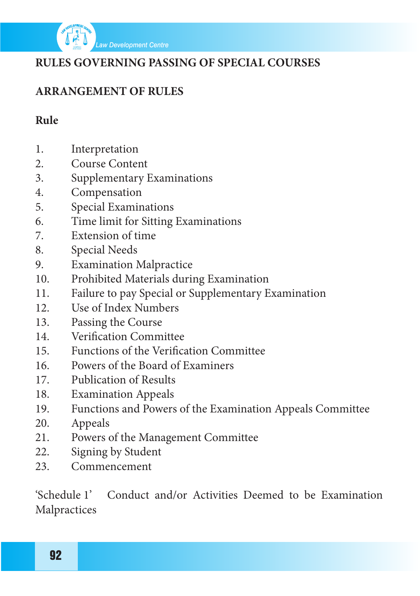

# **RULES GOVERNING PASSING OF SPECIAL COURSES**

# **ARRANGEMENT OF RULES**

# **Rule**

- 1. Interpretation
- 2. Course Content
- 3. Supplementary Examinations
- 4. Compensation
- 5. Special Examinations
- 6. Time limit for Sitting Examinations
- 7. Extension of time
- 8. Special Needs
- 9. Examination Malpractice
- 10. Prohibited Materials during Examination
- 11. Failure to pay Special or Supplementary Examination
- 12. Use of Index Numbers
- 13. Passing the Course
- 14. Verification Committee
- 15. Functions of the Verification Committee
- 16. Powers of the Board of Examiners
- 17. Publication of Results
- 18. Examination Appeals
- 19. Functions and Powers of the Examination Appeals Committee
- 20. Appeals
- 21. Powers of the Management Committee
- 22. Signing by Student
- 23. Commencement

'Schedule 1' Conduct and/or Activities Deemed to be Examination Malpractices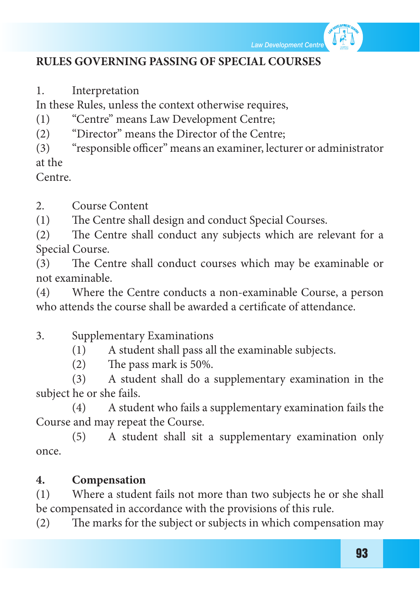

## **RULES GOVERNING PASSING OF SPECIAL COURSES**

1. Interpretation

In these Rules, unless the context otherwise requires,

- (1) "Centre" means Law Development Centre;
- (2) "Director" means the Director of the Centre;
- (3) "responsible officer" means an examiner, lecturer or administrator at the

Centre.

2. Course Content

(1) The Centre shall design and conduct Special Courses.

(2) The Centre shall conduct any subjects which are relevant for a Special Course.

(3) The Centre shall conduct courses which may be examinable or not examinable.

(4) Where the Centre conducts a non-examinable Course, a person who attends the course shall be awarded a certificate of attendance.

3. Supplementary Examinations

 (1) A student shall pass all the examinable subjects.

 $(2)$  The pass mark is 50%.

 (3) A student shall do a supplementary examination in the subject he or she fails.

 (4) A student who fails a supplementary examination fails the Course and may repeat the Course.

 (5) A student shall sit a supplementary examination only once.

## **4. Compensation**

(1) Where a student fails not more than two subjects he or she shall be compensated in accordance with the provisions of this rule.

(2) The marks for the subject or subjects in which compensation may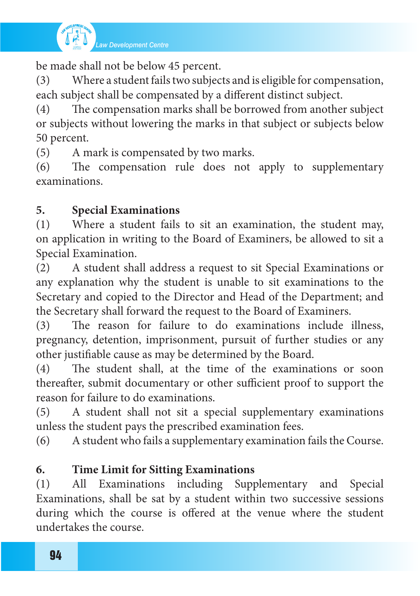

be made shall not be below 45 percent.

(3) Where a student fails two subjects and is eligible for compensation, each subject shall be compensated by a different distinct subject.

(4) The compensation marks shall be borrowed from another subject or subjects without lowering the marks in that subject or subjects below 50 percent.

(5) A mark is compensated by two marks.

(6) The compensation rule does not apply to supplementary examinations.

# **5. Special Examinations**

(1) Where a student fails to sit an examination, the student may, on application in writing to the Board of Examiners, be allowed to sit a Special Examination.

(2) A student shall address a request to sit Special Examinations or any explanation why the student is unable to sit examinations to the Secretary and copied to the Director and Head of the Department; and the Secretary shall forward the request to the Board of Examiners.

(3) The reason for failure to do examinations include illness, pregnancy, detention, imprisonment, pursuit of further studies or any other justifiable cause as may be determined by the Board.

(4) The student shall, at the time of the examinations or soon thereafter, submit documentary or other sufficient proof to support the reason for failure to do examinations.

(5) A student shall not sit a special supplementary examinations unless the student pays the prescribed examination fees.

 $(6)$  A student who fails a supplementary examination fails the Course.

# **6. Time Limit for Sitting Examinations**

(1) All Examinations including Supplementary and Special Examinations, shall be sat by a student within two successive sessions during which the course is offered at the venue where the student undertakes the course.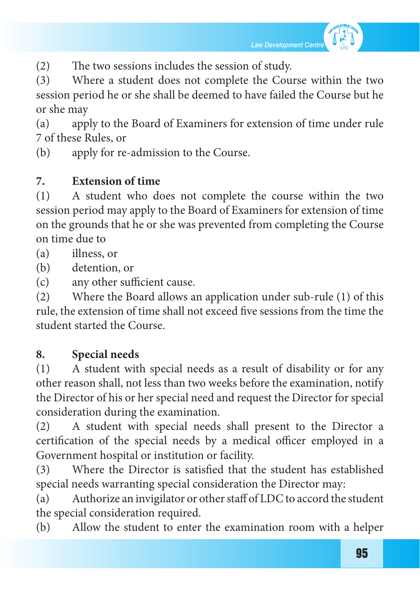

(2) The two sessions includes the session of study.

(3) Where a student does not complete the Course within the two session period he or she shall be deemed to have failed the Course but he or she may

(a) apply to the Board of Examiners for extension of time under rule 7 of these Rules, or

(b) apply for re-admission to the Course.

# **7. Extension of time**

(1) A student who does not complete the course within the two session period may apply to the Board of Examiners for extension of time on the grounds that he or she was prevented from completing the Course on time due to

(a) illness, or

(b) detention, or

(c) any other sufficient cause.

(2) Where the Board allows an application under sub-rule (1) of this rule, the extension of time shall not exceed five sessions from the time the student started the Course.

## **8. Special needs**

(1) A student with special needs as a result of disability or for any other reason shall, not less than two weeks before the examination, notify the Director of his or her special need and request the Director for special consideration during the examination.

(2) A student with special needs shall present to the Director a certification of the special needs by a medical officer employed in a Government hospital or institution or facility.

(3) Where the Director is satisfied that the student has established special needs warranting special consideration the Director may:

(a) Authorize an invigilator or other staff of LDC to accord the student the special consideration required.

(b) Allow the student to enter the examination room with a helper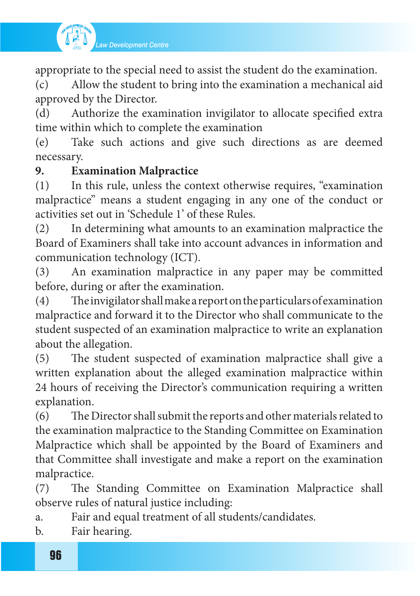

appropriate to the special need to assist the student do the examination.

(c) Allow the student to bring into the examination a mechanical aid approved by the Director.

(d) Authorize the examination invigilator to allocate specified extra time within which to complete the examination

(e) Take such actions and give such directions as are deemed necessary.

## **9. Examination Malpractice**

(1) In this rule, unless the context otherwise requires, "examination malpractice" means a student engaging in any one of the conduct or activities set out in 'Schedule 1' of these Rules.

(2) In determining what amounts to an examination malpractice the Board of Examiners shall take into account advances in information and communication technology (ICT).

(3) An examination malpractice in any paper may be committed before, during or after the examination.

(4) Theinvigilatorshallmakeareportontheparticularsofexamination malpractice and forward it to the Director who shall communicate to the student suspected of an examination malpractice to write an explanation about the allegation.

(5) The student suspected of examination malpractice shall give a written explanation about the alleged examination malpractice within 24 hours of receiving the Director's communication requiring a written explanation.

(6) The Director shall submit the reports and other materials related to the examination malpractice to the Standing Committee on Examination Malpractice which shall be appointed by the Board of Examiners and that Committee shall investigate and make a report on the examination malpractice.

(7) The Standing Committee on Examination Malpractice shall observe rules of natural justice including:

a. Fair and equal treatment of all students/candidates.

b. Fair hearing.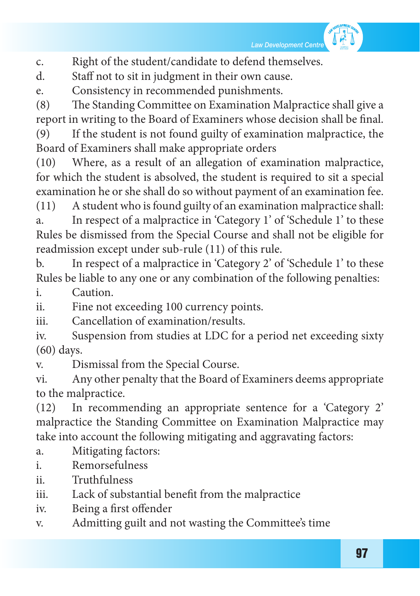

c. Right of the student/candidate to defend themselves.

d. Staff not to sit in judgment in their own cause.

e. Consistency in recommended punishments.

(8) The Standing Committee on Examination Malpractice shall give a report in writing to the Board of Examiners whose decision shall be final.

(9) If the student is not found guilty of examination malpractice, the Board of Examiners shall make appropriate orders

 $(10)$  Where, as a result of an allegation of examination malpractice, for which the student is absolved, the student is required to sit a special examination he or she shall do so without payment of an examination fee.

 $(11)$  A student who is found guilty of an examination malpractice shall:

a. In respect of a malpractice in 'Category 1' of 'Schedule 1' to these Rules be dismissed from the Special Course and shall not be eligible for readmission except under sub-rule (11) of this rule.

b. In respect of a malpractice in 'Category 2' of 'Schedule 1' to these Rules be liable to any one or any combination of the following penalties:

i. Caution.

ii. Fine not exceeding 100 currency points.

iii. Cancellation of examination/results.

iv. Suspension from studies at LDC for a period net exceeding sixty (60) days.

v. Dismissal from the Special Course.

vi. Any other penalty that the Board of Examiners deems appropriate to the malpractice.

(12) In recommending an appropriate sentence for a 'Category 2' malpractice the Standing Committee on Examination Malpractice may take into account the following mitigating and aggravating factors:

- a. Mitigating factors:
- i. Remorsefulness
- ii. Truthfulness
- iii. Lack of substantial benefit from the malpractice
- iv. Being a first offender
- v. Admitting guilt and not wasting the Committee's time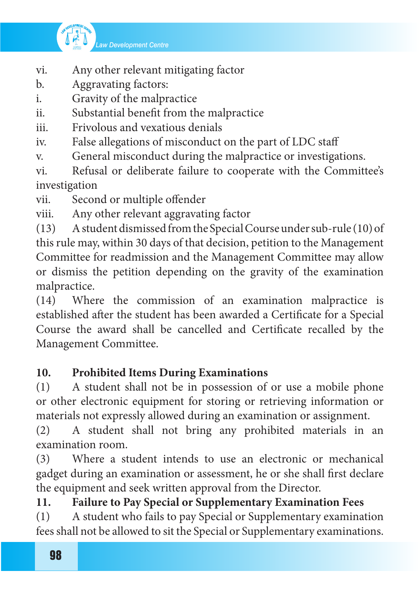

- vi. Any other relevant mitigating factor
- b. Aggravating factors:
- i. Gravity of the malpractice
- ii. Substantial benefit from the malpractice
- iii. Frivolous and vexatious denials
- iv. False allegations of misconduct on the part of LDC staff
- v. General misconduct during the malpractice or investigations.
- vi. Refusal or deliberate failure to cooperate with the Committee's investigation
- vii. Second or multiple offender
- viii. Any other relevant aggravating factor

(13) A student dismissed from the Special Course under sub-rule  $(10)$  of this rule may, within 30 days of that decision, petition to the Management Committee for readmission and the Management Committee may allow or dismiss the petition depending on the gravity of the examination malpractice.

(14) Where the commission of an examination malpractice is established after the student has been awarded a Certificate for a Special Course the award shall be cancelled and Certificate recalled by the Management Committee.

# **10. Prohibited Items During Examinations**

(1) A student shall not be in possession of or use a mobile phone or other electronic equipment for storing or retrieving information or materials not expressly allowed during an examination or assignment.

(2) A student shall not bring any prohibited materials in an examination room.

(3) Where a student intends to use an electronic or mechanical gadget during an examination or assessment, he or she shall first declare the equipment and seek written approval from the Director.

**11. Failure to Pay Special or Supplementary Examination Fees**

(1) A student who fails to pay Special or Supplementary examination feesshall not be allowed to sit the Special or Supplementary examinations.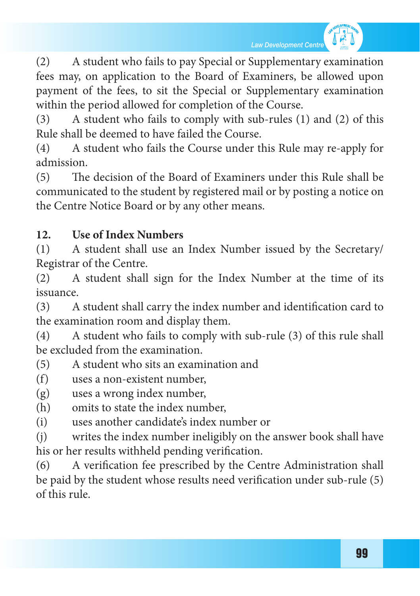

(2) A student who fails to pay Special or Supplementary examination fees may, on application to the Board of Examiners, be allowed upon payment of the fees, to sit the Special or Supplementary examination within the period allowed for completion of the Course.

 $(3)$  A student who fails to comply with sub-rules  $(1)$  and  $(2)$  of this Rule shall be deemed to have failed the Course.

(4) A student who fails the Course under this Rule may re-apply for admission.

(5) The decision of the Board of Examiners under this Rule shall be communicated to the student by registered mail or by posting a notice on the Centre Notice Board or by any other means.

# **12. Use of Index Numbers**

(1) A student shall use an Index Number issued by the Secretary/ Registrar of the Centre.

(2) A student shall sign for the Index Number at the time of its issuance.

(3) A student shall carry the index number and identification card to the examination room and display them.

 $(4)$  A student who fails to comply with sub-rule  $(3)$  of this rule shall be excluded from the examination.

- (5) A student who sits an examination and
- (f) uses a non-existent number,
- (g) uses a wrong index number,
- (h) omits to state the index number,
- (i) uses another candidate's index number or

(i) writes the index number ineligibly on the answer book shall have his or her results withheld pending verification.

(6) A verification fee prescribed by the Centre Administration shall be paid by the student whose results need verification under sub-rule (5) of this rule.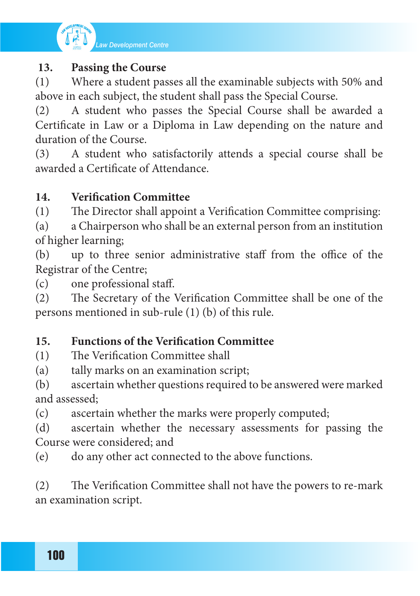

#### **13. Passing the Course**

 $(1)$  Where a student passes all the examinable subjects with 50% and above in each subject, the student shall pass the Special Course.

(2) A student who passes the Special Course shall be awarded a Certificate in Law or a Diploma in Law depending on the nature and duration of the Course.

(3) A student who satisfactorily attends a special course shall be awarded a Certificate of Attendance.

# **14. Verification Committee**

(1) The Director shall appoint a Verification Committee comprising:

(a) a Chairperson who shall be an external person from an institution of higher learning;

(b) up to three senior administrative staff from the office of the Registrar of the Centre;

(c) one professional staff.

(2) The Secretary of the Verification Committee shall be one of the persons mentioned in sub-rule (1) (b) of this rule.

# **15. Functions of the Verification Committee**

(1) The Verification Committee shall

(a) tally marks on an examination script;

(b) ascertain whether questions required to be answered were marked and assessed;

(c) ascertain whether the marks were properly computed;

(d) ascertain whether the necessary assessments for passing the Course were considered; and

(e) do any other act connected to the above functions.

(2) The Verification Committee shall not have the powers to re-mark an examination script.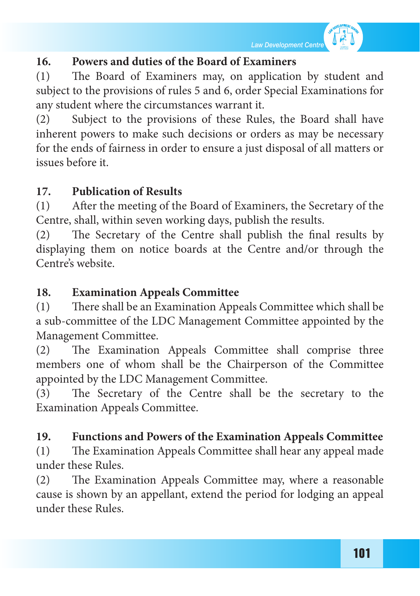

#### **16. Powers and duties of the Board of Examiners**

(1) The Board of Examiners may, on application by student and subject to the provisions of rules 5 and 6, order Special Examinations for any student where the circumstances warrant it.

(2) Subject to the provisions of these Rules, the Board shall have inherent powers to make such decisions or orders as may be necessary for the ends of fairness in order to ensure a just disposal of all matters or issues before it.

## **17. Publication of Results**

(1) After the meeting of the Board of Examiners, the Secretary of the Centre, shall, within seven working days, publish the results.

(2) The Secretary of the Centre shall publish the final results by displaying them on notice boards at the Centre and/or through the Centre's website.

## **18. Examination Appeals Committee**

(1) There shall be an Examination Appeals Committee which shall be a sub-committee of the LDC Management Committee appointed by the Management Committee.

(2) The Examination Appeals Committee shall comprise three members one of whom shall be the Chairperson of the Committee appointed by the LDC Management Committee.

(3) The Secretary of the Centre shall be the secretary to the Examination Appeals Committee.

# **19. Functions and Powers of the Examination Appeals Committee**

(1) The Examination Appeals Committee shall hear any appeal made under these Rules.

(2) The Examination Appeals Committee may, where a reasonable cause is shown by an appellant, extend the period for lodging an appeal under these Rules.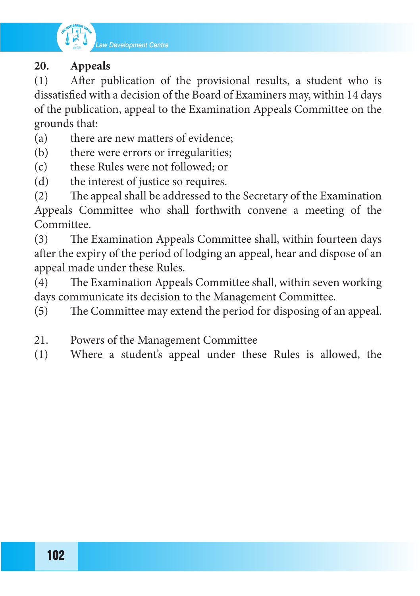

#### **20. Appeals**

(1) After publication of the provisional results, a student who is dissatisfied with a decision of the Board of Examiners may, within 14 days of the publication, appeal to the Examination Appeals Committee on the grounds that:

- (a) there are new matters of evidence;
- (b) there were errors or irregularities;
- (c) these Rules were not followed; or
- (d) the interest of justice so requires.

(2) The appeal shall be addressed to the Secretary of the Examination Appeals Committee who shall forthwith convene a meeting of the Committee.

(3) The Examination Appeals Committee shall, within fourteen days after the expiry of the period of lodging an appeal, hear and dispose of an appeal made under these Rules.

(4) The Examination Appeals Committee shall, within seven working days communicate its decision to the Management Committee.

(5) The Committee may extend the period for disposing of an appeal.

- 21. Powers of the Management Committee
- (1) Where a student's appeal under these Rules is allowed, the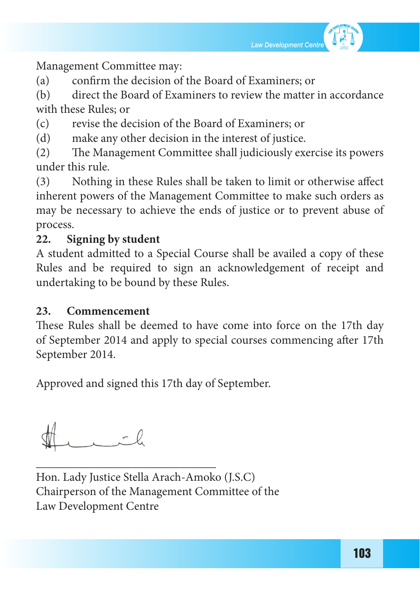

Management Committee may:

(a) confirm the decision of the Board of Examiners; or

(b) direct the Board of Examiners to review the matter in accordance with these Rules; or

(c) revise the decision of the Board of Examiners; or

(d) make any other decision in the interest of justice.

(2) The Management Committee shall judiciously exercise its powers under this rule.

(3) Nothing in these Rules shall be taken to limit or otherwise affect inherent powers of the Management Committee to make such orders as may be necessary to achieve the ends of justice or to prevent abuse of process.

# **22. Signing by student**

A student admitted to a Special Course shall be availed a copy of these Rules and be required to sign an acknowledgement of receipt and undertaking to be bound by these Rules.

#### **23. Commencement**

These Rules shall be deemed to have come into force on the 17th day of September 2014 and apply to special courses commencing after 17th September 2014.

Approved and signed this 17th day of September.

\_\_\_\_\_\_\_\_\_\_\_\_\_\_\_\_\_\_\_\_\_\_\_\_\_\_\_\_\_\_ Hon. Lady Justice Stella Arach-Amoko (J.S.C) Chairperson of the Management Committee of the Law Development Centre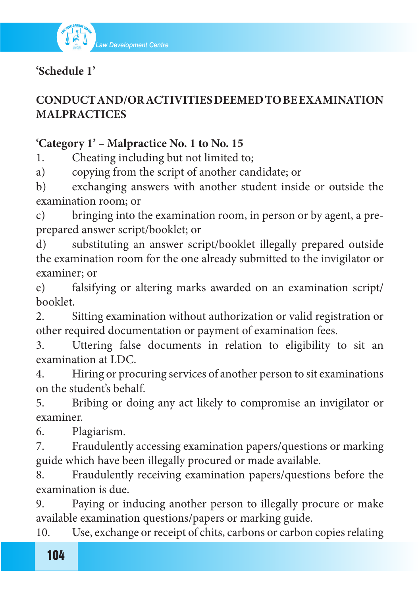

# **'Schedule 1'**

# **CONDUCT AND/OR ACTIVITIES DEEMED TO BE EXAMINATION MALPRACTICES**

## **'Category 1' – Malpractice No. 1 to No. 15**

1. Cheating including but not limited to;

a) copying from the script of another candidate; or

b) exchanging answers with another student inside or outside the examination room; or

c) bringing into the examination room, in person or by agent, a preprepared answer script/booklet; or

d) substituting an answer script/booklet illegally prepared outside the examination room for the one already submitted to the invigilator or examiner; or

e) falsifying or altering marks awarded on an examination script/ booklet.

2. Sitting examination without authorization or valid registration or other required documentation or payment of examination fees.

3. Uttering false documents in relation to eligibility to sit an examination at LDC.

4. Hiring or procuring services of another person to sit examinations on the student's behalf.

5. Bribing or doing any act likely to compromise an invigilator or examiner.

6. Plagiarism.

7. Fraudulently accessing examination papers/questions or marking guide which have been illegally procured or made available.

8. Fraudulently receiving examination papers/questions before the examination is due.

9. Paying or inducing another person to illegally procure or make available examination questions/papers or marking guide.

10. Use, exchange or receipt of chits, carbons or carbon copies relating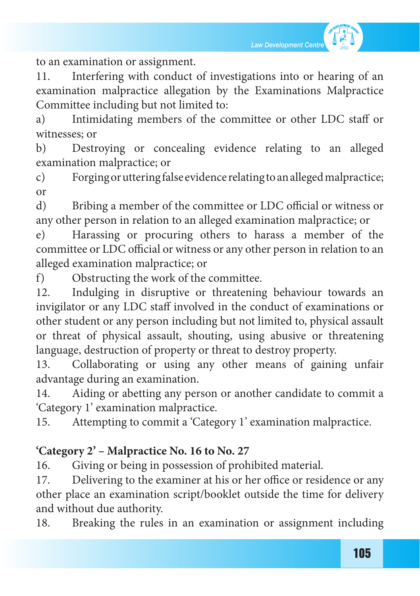to an examination or assignment.

11. Interfering with conduct of investigations into or hearing of an examination malpractice allegation by the Examinations Malpractice Committee including but not limited to:

a) Intimidating members of the committee or other LDC staff or witnesses; or

b) Destroying or concealing evidence relating to an alleged examination malpractice; or

c) Forging or uttering false evidence relating to an alleged malpractice; or

d) Bribing a member of the committee or LDC official or witness or any other person in relation to an alleged examination malpractice; or

e) Harassing or procuring others to harass a member of the committee or LDC official or witness or any other person in relation to an alleged examination malpractice; or

f) Obstructing the work of the committee.

12. Indulging in disruptive or threatening behaviour towards an invigilator or any LDC staff involved in the conduct of examinations or other student or any person including but not limited to, physical assault or threat of physical assault, shouting, using abusive or threatening language, destruction of property or threat to destroy property.

13. Collaborating or using any other means of gaining unfair advantage during an examination.

14. Aiding or abetting any person or another candidate to commit a 'Category 1' examination malpractice.

15. Attempting to commit a 'Category 1' examination malpractice.

## **'Category 2' – Malpractice No. 16 to No. 27**

16. Giving or being in possession of prohibited material.

17. Delivering to the examiner at his or her office or residence or any other place an examination script/booklet outside the time for delivery and without due authority.

18. Breaking the rules in an examination or assignment including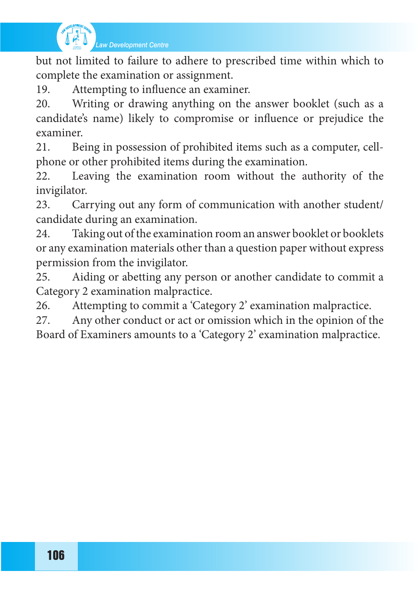

but not limited to failure to adhere to prescribed time within which to complete the examination or assignment.

19. Attempting to influence an examiner.

20. Writing or drawing anything on the answer booklet (such as a candidate's name) likely to compromise or influence or prejudice the examiner.

21. Being in possession of prohibited items such as a computer, cellphone or other prohibited items during the examination.

22. Leaving the examination room without the authority of the invigilator.

23. Carrying out any form of communication with another student/ candidate during an examination.

24. Taking out of the examination room an answer booklet or booklets or any examination materials other than a question paper without express permission from the invigilator.

25. Aiding or abetting any person or another candidate to commit a Category 2 examination malpractice.

26. Attempting to commit a 'Category 2' examination malpractice.

27. Any other conduct or act or omission which in the opinion of the Board of Examiners amounts to a 'Category 2' examination malpractice.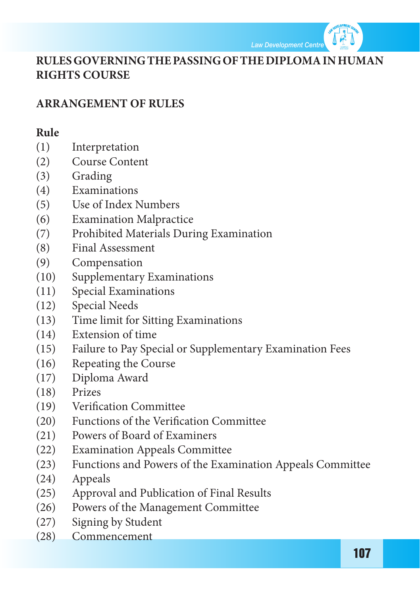

## **RULES GOVERNING THE PASSING OF THE DIPLOMA IN HUMAN RIGHTS COURSE**

## **ARRANGEMENT OF RULES**

#### **Rule**

- (1) Interpretation
- (2) Course Content
- (3) Grading
- (4) Examinations
- (5) Use of Index Numbers
- (6) Examination Malpractice
- (7) Prohibited Materials During Examination
- (8) Final Assessment
- (9) Compensation
- (10) Supplementary Examinations
- (11) Special Examinations
- (12) Special Needs
- (13) Time limit for Sitting Examinations
- (14) Extension of time
- (15) Failure to Pay Special or Supplementary Examination Fees
- (16) Repeating the Course
- (17) Diploma Award
- (18) Prizes
- (19) Verification Committee
- (20) Functions of the Verification Committee
- (21) Powers of Board of Examiners
- (22) Examination Appeals Committee
- (23) Functions and Powers of the Examination Appeals Committee
- (24) Appeals
- (25) Approval and Publication of Final Results
- (26) Powers of the Management Committee
- (27) Signing by Student
- (28) Commencement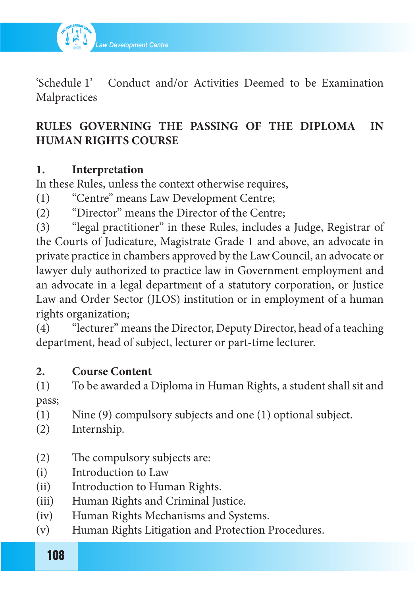

'Schedule 1' Conduct and/or Activities Deemed to be Examination Malpractices

# **RULES GOVERNING THE PASSING OF THE DIPLOMA IN HUMAN RIGHTS COURSE**

#### **1. Interpretation**

In these Rules, unless the context otherwise requires,

- (1) "Centre" means Law Development Centre;
- (2) "Director" means the Director of the Centre;

(3) "legal practitioner" in these Rules, includes a Judge, Registrar of the Courts of Judicature, Magistrate Grade 1 and above, an advocate in private practice in chambers approved by the Law Council, an advocate or lawyer duly authorized to practice law in Government employment and an advocate in a legal department of a statutory corporation, or Justice Law and Order Sector (JLOS) institution or in employment of a human rights organization;

(4) "lecturer" meansthe Director, Deputy Director, head of a teaching department, head of subject, lecturer or part-time lecturer.

## **2. Course Content**

(1) To be awarded a Diploma in Human Rights, a student shall sit and pass;

- (1) Nine  $(9)$  compulsory subjects and one  $(1)$  optional subject.
- (2) Internship.
- (2) The compulsory subjects are:
- (i) Introduction to Law
- (ii) Introduction to Human Rights.
- (iii) Human Rights and Criminal Justice.
- (iv) Human Rights Mechanisms and Systems.
- (v) Human Rights Litigation and Protection Procedures.

108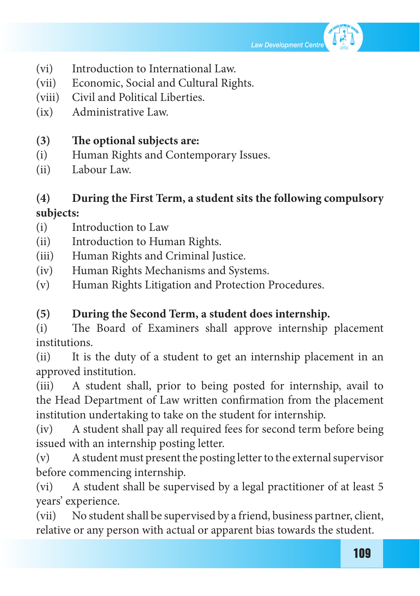

- (vi) Introduction to International Law.
- (vii) Economic, Social and Cultural Rights.
- (viii) Civil and Political Liberties.
- (ix) Administrative Law.

### **(3) The optional subjects are:**

- (i) Human Rights and Contemporary Issues.
- (ii) Labour Law.

# **(4) During the First Term, a student sits the following compulsory**

#### **subjects:**

- (i) Introduction to Law
- (ii) Introduction to Human Rights.
- (iii) Human Rights and Criminal Justice.
- (iv) Human Rights Mechanisms and Systems.
- (v) Human Rights Litigation and Protection Procedures.

### **(5) During the Second Term, a student does internship.**

(i) The Board of Examiners shall approve internship placement institutions.

(ii) It is the duty of a student to get an internship placement in an approved institution.

(iii) A student shall, prior to being posted for internship, avail to the Head Department of Law written confirmation from the placement institution undertaking to take on the student for internship.

(iv) A student shall pay all required fees for second term before being issued with an internship posting letter.

 $(v)$  A student must present the posting letter to the external supervisor before commencing internship.

(vi) A student shall be supervised by a legal practitioner of at least 5 years' experience.

(vii) No student shall be supervised by a friend, business partner, client, relative or any person with actual or apparent bias towards the student.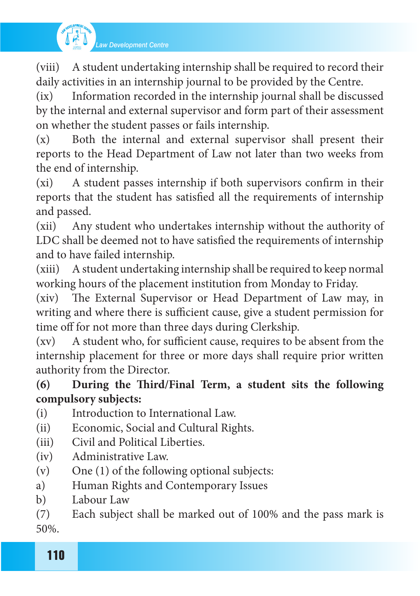

*Law Development Centre*

(viii) A student undertaking internship shall be required to record their daily activities in an internship journal to be provided by the Centre.

(ix) Information recorded in the internship journal shall be discussed by the internal and external supervisor and form part of their assessment on whether the student passes or fails internship.

(x) Both the internal and external supervisor shall present their reports to the Head Department of Law not later than two weeks from the end of internship.

(xi) A student passes internship if both supervisors confirm in their reports that the student has satisfied all the requirements of internship and passed.

(xii) Any student who undertakes internship without the authority of LDC shall be deemed not to have satisfied the requirements of internship and to have failed internship.

(xiii) Astudent undertaking internship shall be required to keep normal working hours of the placement institution from Monday to Friday.

(xiv) The External Supervisor or Head Department of Law may, in writing and where there is sufficient cause, give a student permission for time off for not more than three days during Clerkship.

(xv) A student who, for sufficient cause, requires to be absent from the internship placement for three or more days shall require prior written authority from the Director.

**(6) During the Third/Final Term, a student sits the following compulsory subjects:**

- (i) Introduction to International Law.
- (ii) Economic, Social and Cultural Rights.
- (iii) Civil and Political Liberties.
- (iv) Administrative Law.
- (v) One  $(1)$  of the following optional subjects:
- a) Human Rights and Contemporary Issues
- b) Labour Law

(7) Each subject shall be marked out of 100% and the pass mark is 50%.

110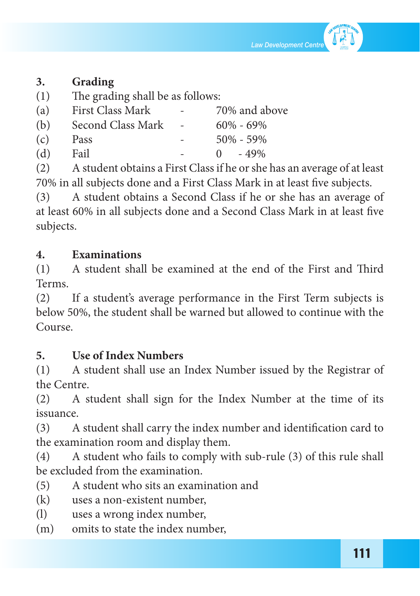

### **3. Grading**

 $(1)$  The grading shall be as follows:

| (a) | First Class Mark  | $\overline{\phantom{0}}$ | 70% and above       |
|-----|-------------------|--------------------------|---------------------|
| (b) | Second Class Mark | $\sim$                   | $60\% - 69\%$       |
| (c) | Pass              |                          | $50\% - 59\%$       |
| (d) | Fail              |                          | $-49\%$<br>$\Omega$ |

(2) A student obtains a First Classif he orshe has an average of at least 70% in all subjects done and a First Class Mark in at least five subjects.

(3) A student obtains a Second Class if he or she has an average of at least 60% in all subjects done and a Second Class Mark in at least five subjects.

#### **4. Examinations**

(1) A student shall be examined at the end of the First and Third Terms.

(2) If a student's average performance in the First Term subjects is below 50%, the student shall be warned but allowed to continue with the Course.

#### **5. Use of Index Numbers**

(1) A student shall use an Index Number issued by the Registrar of the Centre.

(2) A student shall sign for the Index Number at the time of its issuance.

(3) A student shall carry the index number and identification card to the examination room and display them.

(4) A student who fails to comply with sub-rule (3) of this rule shall be excluded from the examination.

- (5) A student who sits an examination and
- (k) uses a non-existent number,
- (1) uses a wrong index number,
- (m) omits to state the index number,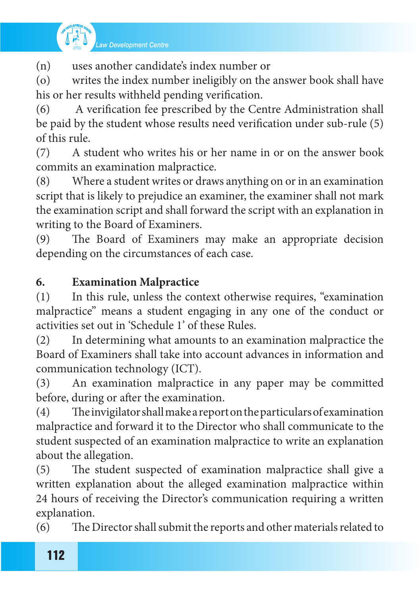

(n) uses another candidate's index number or

(o) writes the index number ineligibly on the answer book shall have his or her results withheld pending verification.

(6) A verification fee prescribed by the Centre Administration shall be paid by the student whose results need verification under sub-rule (5) of this rule.

(7) A student who writes his or her name in or on the answer book commits an examination malpractice.

(8) Where a student writes or draws anything on or in an examination script that is likely to prejudice an examiner, the examiner shall not mark the examination script and shall forward the script with an explanation in writing to the Board of Examiners.

(9) The Board of Examiners may make an appropriate decision depending on the circumstances of each case.

### **6. Examination Malpractice**

(1) In this rule, unless the context otherwise requires, "examination malpractice" means a student engaging in any one of the conduct or activities set out in 'Schedule 1' of these Rules.

(2) In determining what amounts to an examination malpractice the Board of Examiners shall take into account advances in information and communication technology (ICT).

(3) An examination malpractice in any paper may be committed before, during or after the examination.

(4) Theinvigilatorshallmakeareportontheparticularsofexamination malpractice and forward it to the Director who shall communicate to the student suspected of an examination malpractice to write an explanation about the allegation.

(5) The student suspected of examination malpractice shall give a written explanation about the alleged examination malpractice within 24 hours of receiving the Director's communication requiring a written explanation.

(6) The Director shall submit the reports and other materials related to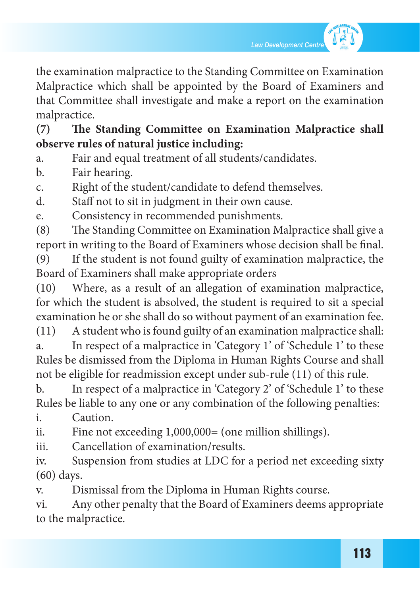

the examination malpractice to the Standing Committee on Examination Malpractice which shall be appointed by the Board of Examiners and that Committee shall investigate and make a report on the examination malpractice.

**(7) The Standing Committee on Examination Malpractice shall observe rules of natural justice including:**

a. Fair and equal treatment of all students/candidates.

b. Fair hearing.

c. Right of the student/candidate to defend themselves.

d. Staff not to sit in judgment in their own cause.

e. Consistency in recommended punishments.

(8) The Standing Committee on Examination Malpractice shall give a report in writing to the Board of Examiners whose decision shall be final.

(9) If the student is not found guilty of examination malpractice, the Board of Examiners shall make appropriate orders

(10) Where, as a result of an allegation of examination malpractice, for which the student is absolved, the student is required to sit a special examination he or she shall do so without payment of an examination fee.

 $(11)$  A student who is found guilty of an examination malpractice shall: a. In respect of a malpractice in 'Category 1' of 'Schedule 1' to these Rules be dismissed from the Diploma in Human Rights Course and shall not be eligible for readmission except under sub-rule (11) of this rule.

b. In respect of a malpractice in 'Category 2' of 'Schedule 1' to these Rules be liable to any one or any combination of the following penalties:

i. Caution.

ii. Fine not exceeding 1,000,000= (one million shillings).

iii. Cancellation of examination/results.

iv. Suspension from studies at LDC for a period net exceeding sixty (60) days.

v. Dismissal from the Diploma in Human Rights course.

vi. Any other penalty that the Board of Examiners deems appropriate to the malpractice.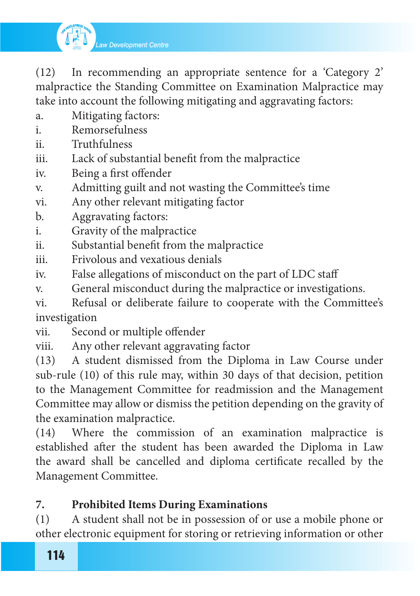

(12) In recommending an appropriate sentence for a 'Category 2' malpractice the Standing Committee on Examination Malpractice may take into account the following mitigating and aggravating factors:

- a. Mitigating factors:
- i. Remorsefulness
- ii. Truthfulness
- iii. Lack of substantial benefit from the malpractice
- iv. Being a first offender
- v. Admitting guilt and not wasting the Committee's time
- vi. Any other relevant mitigating factor
- b. Aggravating factors:
- i. Gravity of the malpractice
- ii. Substantial benefit from the malpractice
- iii. Frivolous and vexatious denials
- iv. False allegations of misconduct on the part of LDC staff
- v. General misconduct during the malpractice or investigations.

vi. Refusal or deliberate failure to cooperate with the Committee's investigation

- vii. Second or multiple offender
- viii. Any other relevant aggravating factor

(13) A student dismissed from the Diploma in Law Course under sub-rule (10) of this rule may, within 30 days of that decision, petition to the Management Committee for readmission and the Management Committee may allow or dismiss the petition depending on the gravity of the examination malpractice.

(14) Where the commission of an examination malpractice is established after the student has been awarded the Diploma in Law the award shall be cancelled and diploma certificate recalled by the Management Committee.

## **7. Prohibited Items During Examinations**

(1) A student shall not be in possession of or use a mobile phone or other electronic equipment for storing or retrieving information or other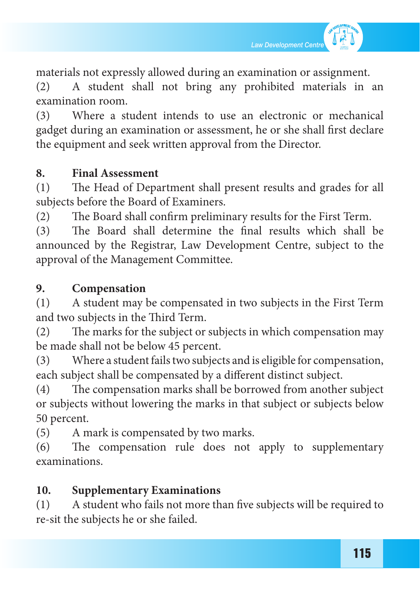*Law Development Centre*

materials not expressly allowed during an examination or assignment.

(2) A student shall not bring any prohibited materials in an examination room.

(3) Where a student intends to use an electronic or mechanical gadget during an examination or assessment, he or she shall first declare the equipment and seek written approval from the Director.

#### **8. Final Assessment**

(1) The Head of Department shall present results and grades for all subjects before the Board of Examiners.

(2) The Board shall confirm preliminary results for the First Term.

(3) The Board shall determine the final results which shall be announced by the Registrar, Law Development Centre, subject to the approval of the Management Committee.

#### **9. Compensation**

(1) A student may be compensated in two subjects in the First Term and two subjects in the Third Term.

(2) The marks for the subject or subjects in which compensation may be made shall not be below 45 percent.

(3) Where a student failstwo subjects and is eligible for compensation, each subject shall be compensated by a different distinct subject.

(4) The compensation marks shall be borrowed from another subject or subjects without lowering the marks in that subject or subjects below 50 percent.

(5) A mark is compensated by two marks.

(6) The compensation rule does not apply to supplementary examinations.

#### **10. Supplementary Examinations**

(1) A student who fails not more than five subjects will be required to re-sit the subjects he or she failed.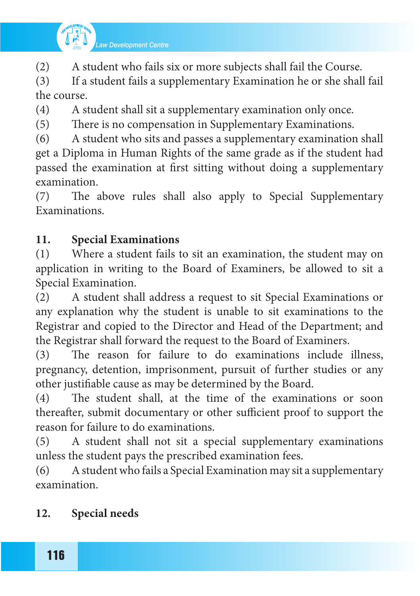

(2) A student who fails six or more subjects shall fail the Course.

(3) If a student fails a supplementary Examination he or she shall fail the course.

(4) A student shall sit a supplementary examination only once.

(5) There is no compensation in Supplementary Examinations.

(6) A student who sits and passes a supplementary examination shall get a Diploma in Human Rights of the same grade as if the student had passed the examination at first sitting without doing a supplementary examination.

(7) The above rules shall also apply to Special Supplementary Examinations.

## **11. Special Examinations**

(1) Where a student fails to sit an examination, the student may on application in writing to the Board of Examiners, be allowed to sit a Special Examination.

(2) A student shall address a request to sit Special Examinations or any explanation why the student is unable to sit examinations to the Registrar and copied to the Director and Head of the Department; and the Registrar shall forward the request to the Board of Examiners.

(3) The reason for failure to do examinations include illness, pregnancy, detention, imprisonment, pursuit of further studies or any other justifiable cause as may be determined by the Board.

(4) The student shall, at the time of the examinations or soon thereafter, submit documentary or other sufficient proof to support the reason for failure to do examinations.

(5) A student shall not sit a special supplementary examinations unless the student pays the prescribed examination fees.

 $(6)$  A student who fails a Special Examination may sit a supplementary examination.

## **12. Special needs**

116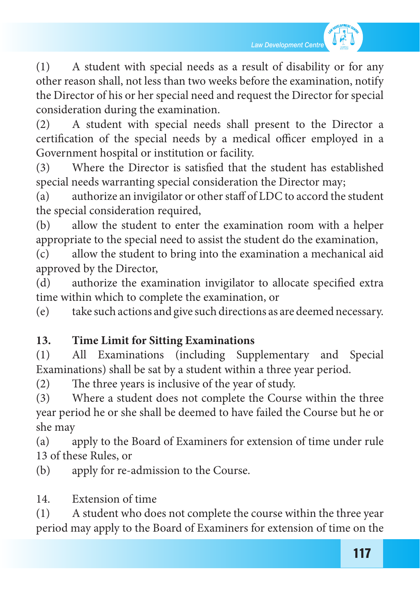



(2) A student with special needs shall present to the Director a certification of the special needs by a medical officer employed in a Government hospital or institution or facility.

(3) Where the Director is satisfied that the student has established special needs warranting special consideration the Director may;

(a) authorize an invigilator or other staff of LDC to accord the student the special consideration required,

(b) allow the student to enter the examination room with a helper appropriate to the special need to assist the student do the examination,

(c) allow the student to bring into the examination a mechanical aid approved by the Director,

(d) authorize the examination invigilator to allocate specified extra time within which to complete the examination, or

(e) take such actions and give such directions as are deemed necessary.

### **13. Time Limit for Sitting Examinations**

(1) All Examinations (including Supplementary and Special Examinations) shall be sat by a student within a three year period.

(2) The three years is inclusive of the year of study.

(3) Where a student does not complete the Course within the three year period he or she shall be deemed to have failed the Course but he or she may

(a) apply to the Board of Examiners for extension of time under rule 13 of these Rules, or

(b) apply for re-admission to the Course.

14. Extension of time

(1) A student who does not complete the course within the three year period may apply to the Board of Examiners for extension of time on the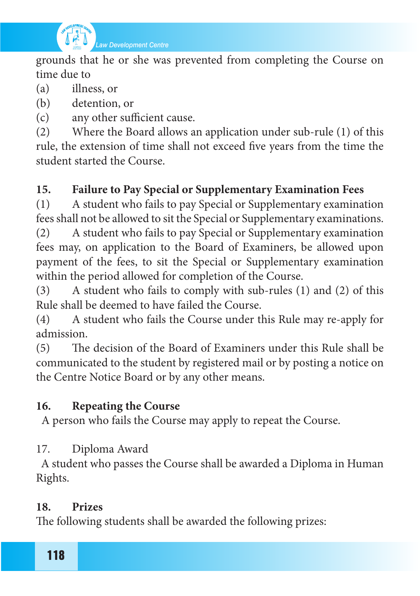

grounds that he or she was prevented from completing the Course on time due to

- (a) illness, or
- (b) detention, or
- (c) any other sufficient cause.

(2) Where the Board allows an application under sub-rule  $(1)$  of this rule, the extension of time shall not exceed five years from the time the student started the Course.

# **15. Failure to Pay Special or Supplementary Examination Fees**

(1) A student who fails to pay Special or Supplementary examination feesshall not be allowed to sit the Special or Supplementary examinations.

(2) A student who fails to pay Special or Supplementary examination fees may, on application to the Board of Examiners, be allowed upon payment of the fees, to sit the Special or Supplementary examination within the period allowed for completion of the Course.

 $(3)$  A student who fails to comply with sub-rules  $(1)$  and  $(2)$  of this Rule shall be deemed to have failed the Course.

(4) A student who fails the Course under this Rule may re-apply for admission.

(5) The decision of the Board of Examiners under this Rule shall be communicated to the student by registered mail or by posting a notice on the Centre Notice Board or by any other means.

# **16. Repeating the Course**

A person who fails the Course may apply to repeat the Course.

17. Diploma Award

 A student who passes the Course shall be awarded a Diploma in Human Rights.

## **18. Prizes**

The following students shall be awarded the following prizes: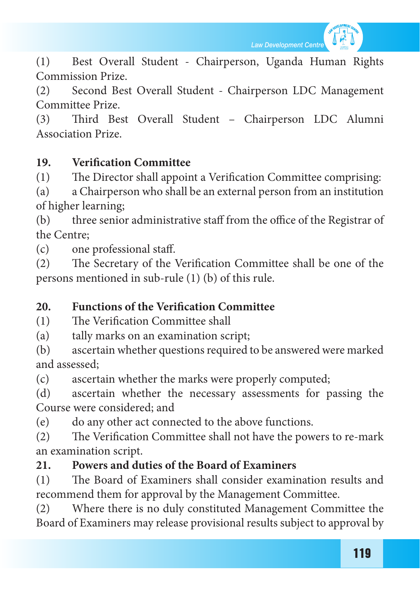

(1) Best Overall Student - Chairperson, Uganda Human Rights Commission Prize.

(2) Second Best Overall Student - Chairperson LDC Management Committee Prize.

(3) Third Best Overall Student – Chairperson LDC Alumni Association Prize.

#### **19. Verification Committee**

(1) The Director shall appoint a Verification Committee comprising:

(a) a Chairperson who shall be an external person from an institution of higher learning;

(b) three senior administrative staff from the office of the Registrar of the Centre;

(c) one professional staff.

(2) The Secretary of the Verification Committee shall be one of the persons mentioned in sub-rule (1) (b) of this rule.

#### **20. Functions of the Verification Committee**

(1) The Verification Committee shall

- (a) tally marks on an examination script;
- (b) ascertain whether questions required to be answered were marked and assessed;

(c) ascertain whether the marks were properly computed;

(d) ascertain whether the necessary assessments for passing the Course were considered; and

(e) do any other act connected to the above functions.

(2) The Verification Committee shall not have the powers to re-mark an examination script.

### **21. Powers and duties of the Board of Examiners**

(1) The Board of Examiners shall consider examination results and recommend them for approval by the Management Committee.

(2) Where there is no duly constituted Management Committee the Board of Examiners may release provisional results subject to approval by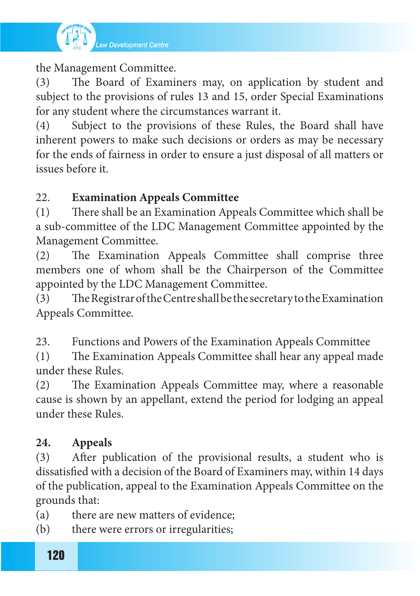

the Management Committee.

(3) The Board of Examiners may, on application by student and subject to the provisions of rules 13 and 15, order Special Examinations for any student where the circumstances warrant it.

(4) Subject to the provisions of these Rules, the Board shall have inherent powers to make such decisions or orders as may be necessary for the ends of fairness in order to ensure a just disposal of all matters or issues before it.

### 22. **Examination Appeals Committee**

(1) There shall be an Examination Appeals Committee which shall be a sub-committee of the LDC Management Committee appointed by the Management Committee.

(2) The Examination Appeals Committee shall comprise three members one of whom shall be the Chairperson of the Committee appointed by the LDC Management Committee.

(3) TheRegistraroftheCentreshallbethesecretarytotheExamination Appeals Committee.

23. Functions and Powers of the Examination Appeals Committee

(1) The Examination Appeals Committee shall hear any appeal made under these Rules.

(2) The Examination Appeals Committee may, where a reasonable cause is shown by an appellant, extend the period for lodging an appeal under these Rules.

### **24. Appeals**

(3) After publication of the provisional results, a student who is dissatisfied with a decision of the Board of Examiners may, within 14 days of the publication, appeal to the Examination Appeals Committee on the grounds that:

(a) there are new matters of evidence;

(b) there were errors or irregularities;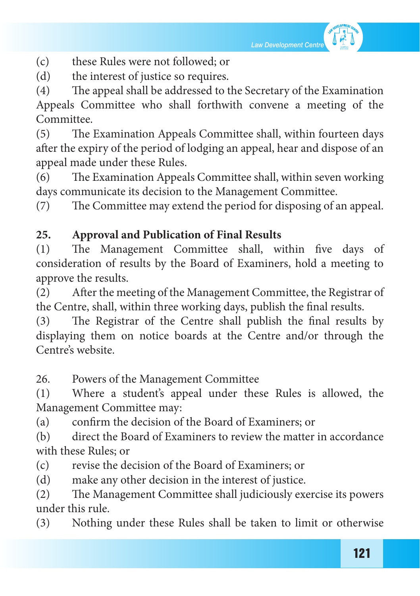

(c) these Rules were not followed; or

(d) the interest of justice so requires.

(4) The appeal shall be addressed to the Secretary of the Examination Appeals Committee who shall forthwith convene a meeting of the Committee.

(5) The Examination Appeals Committee shall, within fourteen days after the expiry of the period of lodging an appeal, hear and dispose of an appeal made under these Rules.

(6) The Examination Appeals Committee shall, within seven working days communicate its decision to the Management Committee.

(7) The Committee may extend the period for disposing of an appeal.

### **25. Approval and Publication of Final Results**

(1) The Management Committee shall, within five days of consideration of results by the Board of Examiners, hold a meeting to approve the results.

(2) After the meeting of the Management Committee, the Registrar of the Centre, shall, within three working days, publish the final results.

(3) The Registrar of the Centre shall publish the final results by displaying them on notice boards at the Centre and/or through the Centre's website.

26. Powers of the Management Committee

(1) Where a student's appeal under these Rules is allowed, the Management Committee may:

(a) confirm the decision of the Board of Examiners; or

(b) direct the Board of Examiners to review the matter in accordance with these Rules; or

(c) revise the decision of the Board of Examiners; or

(d) make any other decision in the interest of justice.

(2) The Management Committee shall judiciously exercise its powers under this rule.

(3) Nothing under these Rules shall be taken to limit or otherwise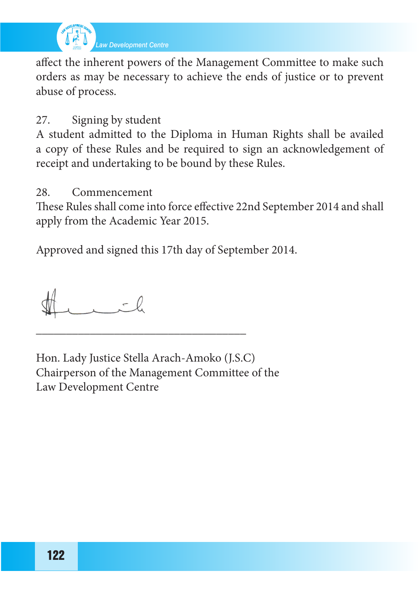

affect the inherent powers of the Management Committee to make such orders as may be necessary to achieve the ends of justice or to prevent abuse of process.

### 27. Signing by student

A student admitted to the Diploma in Human Rights shall be availed a copy of these Rules and be required to sign an acknowledgement of receipt and undertaking to be bound by these Rules.

#### 28. Commencement

These Rules shall come into force effective 22nd September 2014 and shall apply from the Academic Year 2015.

Approved and signed this 17th day of September 2014.

Hon. Lady Justice Stella Arach-Amoko (J.S.C) Chairperson of the Management Committee of the Law Development Centre

\_\_\_\_\_\_\_\_\_\_\_\_\_\_\_\_\_\_\_\_\_\_\_\_\_\_\_\_\_\_\_\_\_\_\_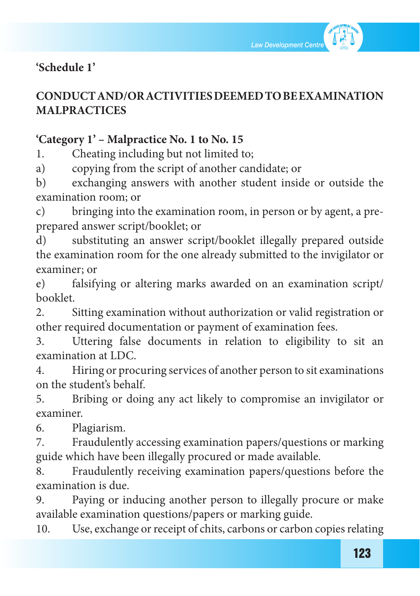

## **'Schedule 1'**

# **CONDUCT AND/OR ACTIVITIES DEEMED TO BE EXAMINATION MALPRACTICES**

#### **'Category 1' – Malpractice No. 1 to No. 15**

1. Cheating including but not limited to;

a) copying from the script of another candidate; or

b) exchanging answers with another student inside or outside the examination room; or

c) bringing into the examination room, in person or by agent, a preprepared answer script/booklet; or

d) substituting an answer script/booklet illegally prepared outside the examination room for the one already submitted to the invigilator or examiner; or

e) falsifying or altering marks awarded on an examination script/ booklet.

2. Sitting examination without authorization or valid registration or other required documentation or payment of examination fees.

3. Uttering false documents in relation to eligibility to sit an examination at LDC.

4. Hiring or procuring services of another person to sit examinations on the student's behalf.

5. Bribing or doing any act likely to compromise an invigilator or examiner.

6. Plagiarism.

7. Fraudulently accessing examination papers/questions or marking guide which have been illegally procured or made available.

8. Fraudulently receiving examination papers/questions before the examination is due.

9. Paying or inducing another person to illegally procure or make available examination questions/papers or marking guide.

10. Use, exchange or receipt of chits, carbons or carbon copies relating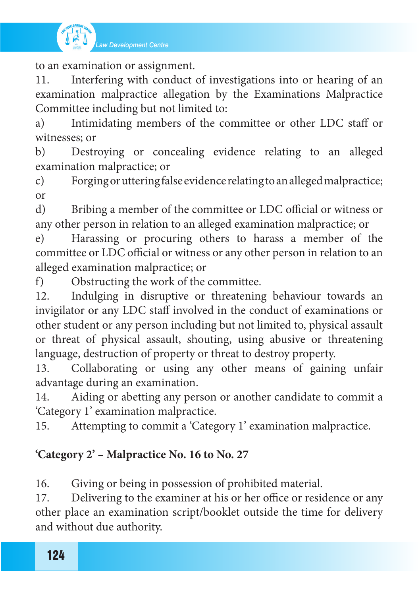

to an examination or assignment.

11. Interfering with conduct of investigations into or hearing of an examination malpractice allegation by the Examinations Malpractice Committee including but not limited to:

a) Intimidating members of the committee or other LDC staff or witnesses; or

b) Destroying or concealing evidence relating to an alleged examination malpractice; or

c) Forging or uttering false evidence relating to an alleged malpractice; or

d) Bribing a member of the committee or LDC official or witness or any other person in relation to an alleged examination malpractice; or

e) Harassing or procuring others to harass a member of the committee or LDC official or witness or any other person in relation to an alleged examination malpractice; or

f) Obstructing the work of the committee.

12. Indulging in disruptive or threatening behaviour towards an invigilator or any LDC staff involved in the conduct of examinations or other student or any person including but not limited to, physical assault or threat of physical assault, shouting, using abusive or threatening language, destruction of property or threat to destroy property.

13. Collaborating or using any other means of gaining unfair advantage during an examination.

14. Aiding or abetting any person or another candidate to commit a 'Category 1' examination malpractice.

15. Attempting to commit a 'Category 1' examination malpractice.

# **'Category 2' – Malpractice No. 16 to No. 27**

16. Giving or being in possession of prohibited material.

17. Delivering to the examiner at his or her office or residence or any other place an examination script/booklet outside the time for delivery and without due authority.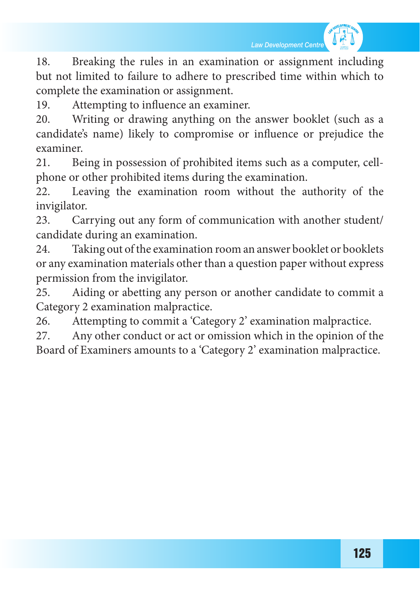18. Breaking the rules in an examination or assignment including but not limited to failure to adhere to prescribed time within which to complete the examination or assignment.

19. Attempting to influence an examiner.

20. Writing or drawing anything on the answer booklet (such as a candidate's name) likely to compromise or influence or prejudice the examiner.

21. Being in possession of prohibited items such as a computer, cellphone or other prohibited items during the examination.

22. Leaving the examination room without the authority of the invigilator.

23. Carrying out any form of communication with another student/ candidate during an examination.

24. Taking out of the examination room an answer booklet or booklets or any examination materials other than a question paper without express permission from the invigilator.

25. Aiding or abetting any person or another candidate to commit a Category 2 examination malpractice.

26. Attempting to commit a 'Category 2' examination malpractice.

27. Any other conduct or act or omission which in the opinion of the Board of Examiners amounts to a 'Category 2' examination malpractice.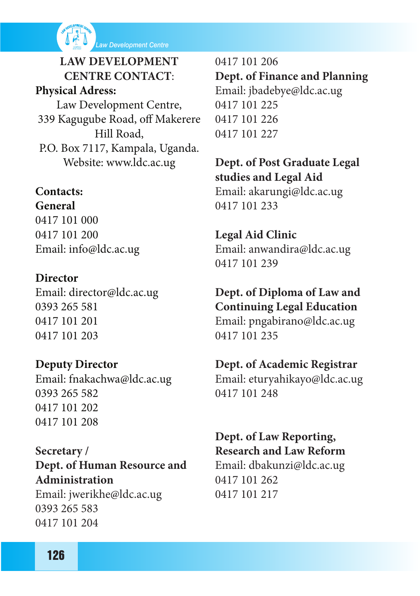

## **LAW DEVELOPMENT CENTRE CONTACT**:

### **Physical Adress:**

Law Development Centre, 339 Kagugube Road, off Makerere Hill Road, P.O. Box 7117, Kampala, Uganda. Website: www.ldc.ac.ug

#### **Contacts:**

**General**  

0417 101 000 0417 101 200 Email: info@ldc.ac.ug

**Director**  Email: director@ldc.ac.ug 0393 265 581 0417 101 201 0417 101 203

**Deputy Director** Email: fnakachwa@ldc.ac.ug 0393 265 582 0417 101 202 0417 101 208

**Secretary / Dept. of Human Resource and Administration**  Email: jwerikhe@ldc.ac.ug 0393 265 583 0417 101 204

0417 101 206 **Dept. of Finance and Planning** Email: jbadebye@ldc.ac.ug 0417 101 225 0417 101 226 0417 101 227

**Dept. of Post Graduate Legal studies and Legal Aid**  Email: akarungi@ldc.ac.ug 

0417 101 233

**Legal Aid Clinic**  Email: anwandira@ldc.ac.ug 0417 101 239

**Dept. of Diploma of Law and Continuing Legal Education** Email: pngabirano@ldc.ac.ug 0417 101 235

## **Dept. of Academic Registrar**

Email: eturyahikayo@ldc.ac.ug 0417 101 248

**Dept. of Law Reporting, Research and Law Reform** 

Email: dbakunzi@ldc.ac.ug 0417 101 262 0417 101 217

126